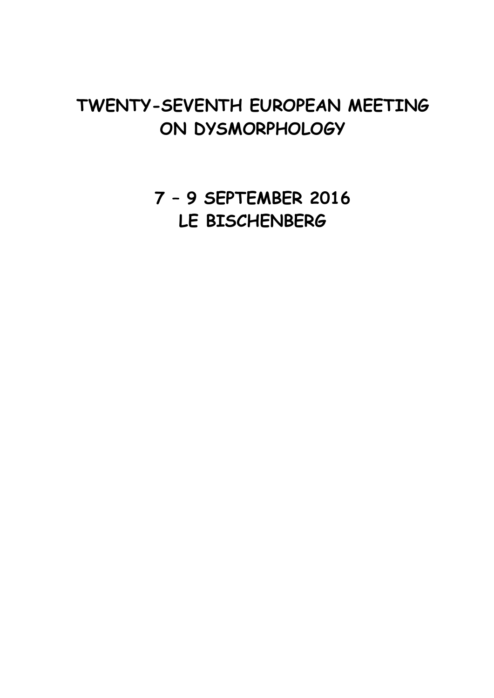# **TWENTY-SEVENTH EUROPEAN MEETING ON DYSMORPHOLOGY**

**7 – 9 SEPTEMBER 2016 LE BISCHENBERG**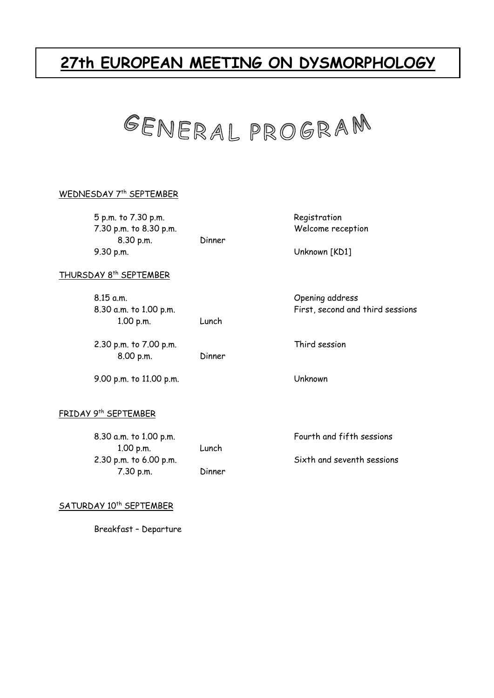# **27th EUROPEAN MEETING ON DYSMORPHOLOGY**



#### WEDNESDAY 7<sup>th</sup> SEPTEMBER

 5 p.m. to 7.30 p.m. Registration 7.30 p.m. to 8.30 p.m. Welcome reception 8.30 p.m. Dinner 9.30 p.m. Unknown [KD1]

THURSDAY 8th SEPTEMBER

| $8.15$ a.m.<br>8.30 a.m. to 1.00 p.m.<br>1.00 p.m. | Lunch  |
|----------------------------------------------------|--------|
| 2.30 p.m. to 7.00 p.m.<br>8.00 p.m.                | Dinner |

9.00 p.m. to 11.00 p.m. Unknown

Opening address First, second and third sessions

Third session

## FRIDAY 9th SEPTEMBER

8.30 a.m. to 1.00 p.m. The control of the sessions of the sessions of the sessions of the sessions of the sessions 1.00 p.m. Lunch 2.30 p.m. to 6.00 p.m. Sixth and seventh sessions 7.30 p.m. Dinner

SATURDAY 10<sup>th</sup> SEPTEMBER

Breakfast – Departure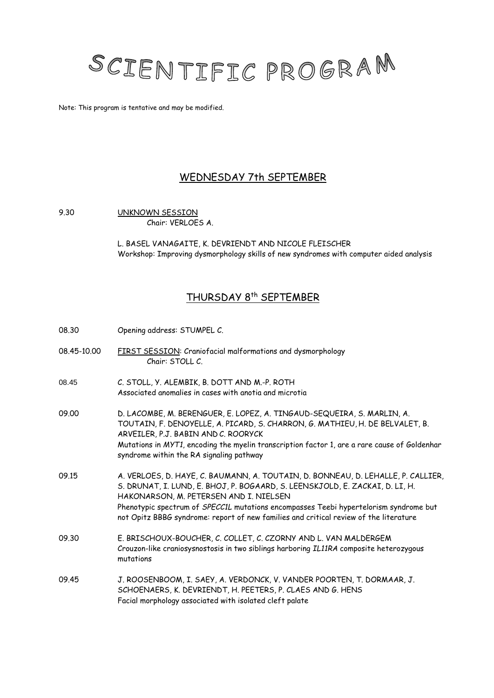

Note: This program is tentative and may be modified.

# WEDNESDAY 7th SEPTEMBER

#### 9.30 UNKNOWN SESSION Chair: VERLOES A.

L. BASEL VANAGAITE, K. DEVRIENDT AND NICOLE FLEISCHER Workshop: Improving dysmorphology skills of new syndromes with computer aided analysis

# THURSDAY 8th SEPTEMBER

08.30 Opening address: STUMPEL C. 08.45-10.00 FIRST SESSION: Craniofacial malformations and dysmorphology Chair: STOLL C. 08.45 C. STOLL, Y. ALEMBIK, B. DOTT AND M.-P. ROTH Associated anomalies in cases with anotia and microtia 09.00 D. LACOMBE, M. BERENGUER, E. LOPEZ, A. TINGAUD-SEQUEIRA, S. MARLIN, A. TOUTAIN, F. DENOYELLE, A. PICARD, S. CHARRON, G. MATHIEU, H. DE BELVALET, B. ARVEILER, P.J. BABIN AND C. ROORYCK Mutations in *MYT1*, encoding the myelin transcription factor 1, are a rare cause of Goldenhar syndrome within the RA signaling pathway 09.15 A. VERLOES, D. HAYE, C. BAUMANN, A. TOUTAIN, D. BONNEAU, D. LEHALLE, P. CALLIER, S. DRUNAT, I. LUND, E. BHOJ, P. BOGAARD, S. LEENSKJOLD, E. ZACKAI, D. LI, H. HAKONARSON, M. PETERSEN AND I. NIELSEN Phenotypic spectrum of *SPECC1L* mutations encompasses Teebi hypertelorism syndrome but not Opitz BBBG syndrome: report of new families and critical review of the literature 09.30 E. BRISCHOUX-BOUCHER, C. COLLET, C. CZORNY AND L. VAN MALDERGEM Crouzon-like craniosysnostosis in two siblings harboring *IL11RA* composite heterozygous mutations 09.45 J. ROOSENBOOM, I. SAEY, A. VERDONCK, V. VANDER POORTEN, T. DORMAAR, J. SCHOENAERS, K. DEVRIENDT, H. PEETERS, P. CLAES AND G. HENS Facial morphology associated with isolated cleft palate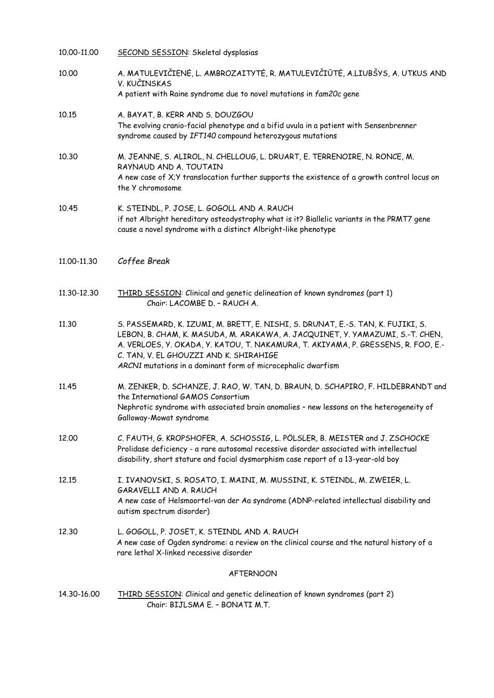| 10.00-11.00      | SECOND SESSION: Skeletal dysplasias                                                                                                                                                                                                                                                                                                                             |  |
|------------------|-----------------------------------------------------------------------------------------------------------------------------------------------------------------------------------------------------------------------------------------------------------------------------------------------------------------------------------------------------------------|--|
| 10.00            | A. MATULEVIČIENĖ, L. AMBROZAITYTĖ, R. MATULEVIČIŪTĖ, A.LIUBŠYS, A. UTKUS AND<br>V. KUČINSKAS<br>A patient with Raine syndrome due to novel mutations in fam20c gene                                                                                                                                                                                             |  |
| 10.15            | A. BAYAT, B. KERR AND S. DOUZGOU<br>The evolving cranio-facial phenotype and a bifid uvula in a patient with Sensenbrenner<br>syndrome caused by IFT140 compound heterozygous mutations                                                                                                                                                                         |  |
| 10.30            | M. JEANNE, S. ALIROL, N. CHELLOUG, L. DRUART, E. TERRENOIRE, N. RONCE, M.<br>RAYNAUD AND A. TOUTAIN<br>A new case of X;Y translocation further supports the existence of a growth control locus on<br>the Y chromosome                                                                                                                                          |  |
| 10.45            | K. STEINDL, P. JOSE, L. GOGOLL AND A. RAUCH<br>if not Albright hereditary osteodystrophy what is it? Biallelic variants in the PRMT7 gene<br>cause a novel syndrome with a distinct Albright-like phenotype                                                                                                                                                     |  |
| 11.00-11.30      | Coffee Break                                                                                                                                                                                                                                                                                                                                                    |  |
| 11.30-12.30      | THIRD SESSION: Clinical and genetic delineation of known syndromes (part 1)<br>Chair: LACOMBE D. - RAUCH A.                                                                                                                                                                                                                                                     |  |
| 11.30            | S. PASSEMARD, K. IZUMI, M. BRETT, E. NISHI, S. DRUNAT, E.-S. TAN, K. FUJIKI, S.<br>LEBON, B. CHAM, K. MASUDA, M. ARAKAWA, A. JACQUINET, Y. YAMAZUMI, S.-T. CHEN,<br>A. VERLOES, Y. OKADA, Y. KATOU, T. NAKAMURA, T. AKIYAMA, P. GRESSENS, R. FOO, E.-<br>C. TAN, V. EL GHOUZZI AND K. SHIRAHIGE<br>ARCN1 mutations in a dominant form of microcephalic dwarfism |  |
| 11.45            | M. ZENKER, D. SCHANZE, J. RAO, W. TAN, D. BRAUN, D. SCHAPIRO, F. HILDEBRANDT and<br>the International GAMOS Consortium<br>Nephrotic syndrome with associated brain anomalies - new lessons on the heterogeneity of<br>Galloway-Mowat syndrome                                                                                                                   |  |
| 12.00            | C. FAUTH, G. KROPSHOFER, A. SCHOSSIG, L. PÖLSLER, B. MEISTER and J. ZSCHOCKE<br>Prolidase deficiency - a rare autosomal recessive disorder associated with intellectual<br>disability, short stature and facial dysmorphism case report of a 13-year-old boy                                                                                                    |  |
| 12.15            | I. IVANOVSKI, S. ROSATO, I. MAINI, M. MUSSINI, K. STEINDL, M. ZWEIER, L.<br>GARAVELLI AND A. RAUCH<br>A new case of Helsmoortel-van der Aa syndrome (ADNP-related intellectual disability and<br>autism spectrum disorder)                                                                                                                                      |  |
| 12.30            | L. GOGOLL, P. JOSET, K. STEINDL AND A. RAUCH<br>A new case of Ogden syndrome: a review on the clinical course and the natural history of a<br>rare lethal X-linked recessive disorder                                                                                                                                                                           |  |
| <b>AFTERNOON</b> |                                                                                                                                                                                                                                                                                                                                                                 |  |
| 14.30-16.00      | THIRD SESSION: Clinical and genetic delineation of known syndromes (part 2)<br>Chair: BIJLSMA E. - BONATI M.T.                                                                                                                                                                                                                                                  |  |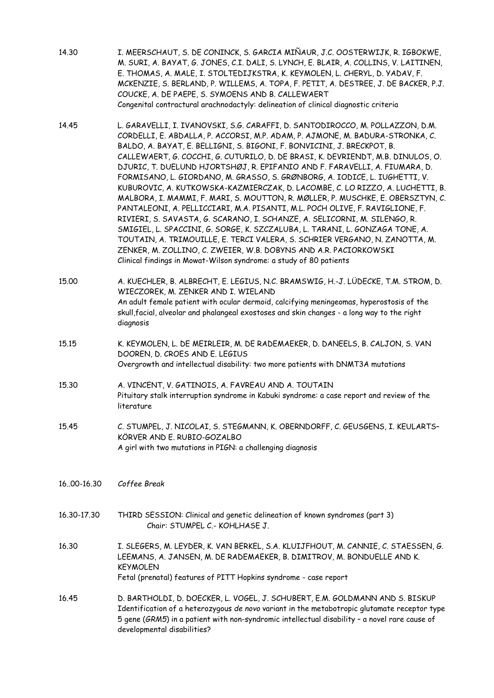- 14.30 I. MEERSCHAUT, S. DE CONINCK, S. GARCIA MIÑAUR, J.C. OOSTERWIJK, R. IGBOKWE, M. SURI, A. BAYAT, G. JONES, C.I. DALI, S. LYNCH, E. BLAIR, A. COLLINS, V. LAITINEN, E. THOMAS, A. MALE, I. STOLTEDIJKSTRA, K. KEYMOLEN, L. CHERYL, D. YADAV, F. MCKENZIE, S. BERLAND, P. WILLEMS, A. TOPA, F. PETIT, A. DESTREE, J. DE BACKER, P.J. COUCKE, A. DE PAEPE, S. SYMOENS AND B. CALLEWAERT Congenital contractural arachnodactyly: delineation of clinical diagnostic criteria
- 14.45 L. GARAVELLI, I. IVANOVSKI, S.G. CARAFFI, D. SANTODIROCCO, M. POLLAZZON, D.M. CORDELLI, E. ABDALLA, P. ACCORSI, M.P. ADAM, P. AJMONE, M. BADURA-STRONKA, C. BALDO, A. BAYAT, E. BELLIGNI, S. BIGONI, F. BONVICINI, J. BRECKPOT, B. CALLEWAERT, G. COCCHI, G. CUTURILO, D. DE BRASI, K. DEVRIENDT, M.B. DINULOS, O. DJURIC, T. DUELUND HJORTSHØJ, R. EPIFANIO AND F. FARAVELLI, A. FIUMARA, D. FORMISANO, L. GIORDANO, M. GRASSO, S. GRØNBORG, A. IODICE, L. IUGHETTI, V. KUBUROVIC, A. KUTKOWSKA-KAZMIERCZAK, D. LACOMBE, C. LO RIZZO, A. LUCHETTI, B. MALBORA, I. MAMMI, F. MARI, S. MOUTTON, R. MØLLER, P. MUSCHKE, E. OBERSZTYN, C. PANTALEONI, A. PELLICCIARI, M.A. PISANTI, M.L. POCH OLIVE, F. RAVIGLIONE, F. RIVIERI, S. SAVASTA, G. SCARANO, I. SCHANZE, A. SELICORNI, M. SILENGO, R. SMIGIEL, L. SPACCINI, G. SORGE, K. SZCZALUBA, L. TARANI, L. GONZAGA TONE, A. TOUTAIN, A. TRIMOUILLE, E. TERCI VALERA, S. SCHRIER VERGANO, N. ZANOTTA, M. ZENKER, M. ZOLLINO, C. ZWEIER, W.B. DOBYNS AND A.R. PACIORKOWSKI Clinical findings in Mowat-Wilson syndrome: a study of 80 patients
- 15.00 A. KUECHLER, B. ALBRECHT, E. LEGIUS, N.C. BRAMSWIG, H.-J. LÜDECKE, T.M. STROM, D. WIECZOREK, M. ZENKER AND I. WIELAND An adult female patient with ocular dermoid, calcifying meningeomas, hyperostosis of the skull,facial, alveolar and phalangeal exostoses and skin changes - a long way to the right diagnosis
- 15.15 K. KEYMOLEN, L. DE MEIRLEIR, M. DE RADEMAEKER, D. DANEELS, B. CALJON, S. VAN DOOREN, D. CROES AND E. LEGIUS Overgrowth and intellectual disability: two more patients with DNMT3A mutations
- 15.30 A. VINCENT, V. GATINOIS, A. FAVREAU AND A. TOUTAIN Pituitary stalk interruption syndrome in Kabuki syndrome: a case report and review of the literature
- 15.45 C. STUMPEL, J. NICOLAI, S. STEGMANN, K. OBERNDORFF, C. GEUSGENS, I. KEULARTS– KÖRVER AND E. RUBIO-GOZALBO A girl with two mutations in PIGN: a challenging diagnosis
- 16..00-16.30 *Coffee Break*
- 16.30-17.30 THIRD SESSION: Clinical and genetic delineation of known syndromes (part 3) Chair: STUMPEL C.- KOHLHASE J.
- 16.30 I. SLEGERS, M. LEYDER, K. VAN BERKEL, S.A. KLUIJFHOUT, M. CANNIE, C. STAESSEN, G. LEEMANS, A. JANSEN, M. DE RADEMAEKER, B. DIMITROV, M. BONDUELLE AND K. KEYMOLEN Fetal (prenatal) features of PITT Hopkins syndrome - case report
- 16.45 D. BARTHOLDI, D. DOECKER, L. VOGEL, J. SCHUBERT, E.M. GOLDMANN AND S. BISKUP Identification of a heterozygous *de novo* variant in the metabotropic glutamate receptor type 5 gene (*GRM5*) in a patient with non-syndromic intellectual disability – a novel rare cause of developmental disabilities?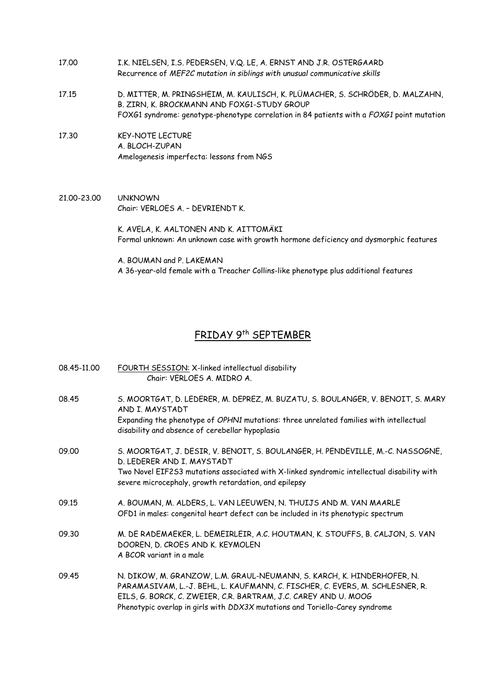- 17.00 I.K. NIELSEN, I.S. PEDERSEN, V.Q. LE, A. ERNST AND J.R. OSTERGAARD Recurrence of *MEF2C mutation in siblings with unusual communicative skills*
- 17.15 D. MITTER, M. PRINGSHEIM, M. KAULISCH, K. PLÜMACHER, S. SCHRÖDER, D. MALZAHN, B. ZIRN, K. BROCKMANN AND FOXG1-STUDY GROUP FOXG1 syndrome: genotype-phenotype correlation in 84 patients with a *FOXG1* point mutation
- 17.30 KEY-NOTE LECTURE A. BLOCH-ZUPAN Amelogenesis imperfecta: lessons from NGS
- 21.00-23.00 UNKNOWN Chair: VERLOES A. – DEVRIENDT K.

 K. AVELA, K. AALTONEN AND K. AITTOMÄKI Formal unknown: An unknown case with growth hormone deficiency and dysmorphic features

 A. BOUMAN and P. LAKEMAN A 36-year-old female with a Treacher Collins-like phenotype plus additional features

### FRIDAY 9th SEPTEMBER

08.45-11.00 FOURTH SESSION: X-linked intellectual disability Chair: VERLOES A. MIDRO A. 08.45 S. MOORTGAT, D. LEDERER, M. DEPREZ, M. BUZATU, S. BOULANGER, V. BENOIT, S. MARY AND I. MAYSTADT Expanding the phenotype of *OPHN1* mutations: three unrelated families with intellectual disability and absence of cerebellar hypoplasia 09.00 S. MOORTGAT, J. DESIR, V. BENOIT, S. BOULANGER, H. PENDEVILLE, M.-C. NASSOGNE, D. LEDERER AND I. MAYSTADT Two Novel EIF2S3 mutations associated with X-linked syndromic intellectual disability with severe microcephaly, growth retardation, and epilepsy 09.15 A. BOUMAN, M. ALDERS, L. VAN LEEUWEN, N. THUIJS AND M. VAN MAARLE OFD1 in males: congenital heart defect can be included in its phenotypic spectrum 09.30 M. DE RADEMAEKER, L. DEMEIRLEIR, A.C. HOUTMAN, K. STOUFFS, B. CALJON, S. VAN DOOREN, D. CROES AND K. KEYMOLEN A BCOR variant in a male 09.45 N. DIKOW, M. GRANZOW, L.M. GRAUL-NEUMANN, S. KARCH, K. HINDERHOFER, N. PARAMASIVAM, L.-J. BEHL, L. KAUFMANN, C. FISCHER, C. EVERS, M. SCHLESNER, R. EILS, G. BORCK, C. ZWEIER, C.R. BARTRAM, J.C. CAREY AND U. MOOG Phenotypic overlap in girls with *DDX3X* mutations and Toriello-Carey syndrome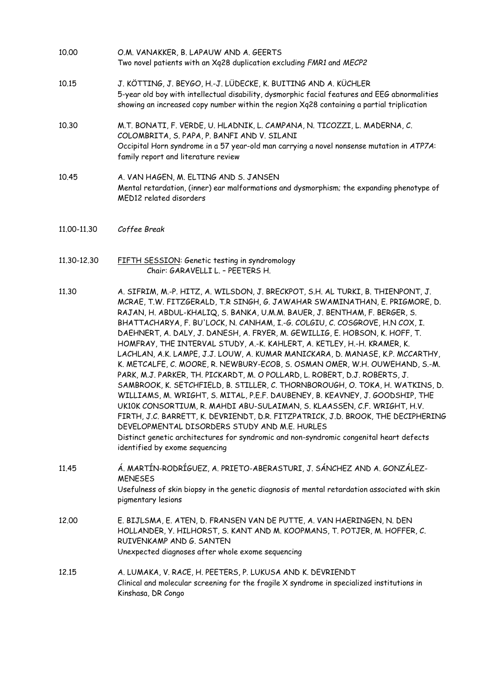- 10.00 O.M. VANAKKER, B. LAPAUW AND A. GEERTS Two novel patients with an Xq28 duplication excluding *FMR1* and *MECP2*
- 10.15 J. KÖTTING, J. BEYGO, H.-J. LÜDECKE, K. BUITING AND A. KÜCHLER 5-year old boy with intellectual disability, dysmorphic facial features and EEG abnormalities showing an increased copy number within the region Xq28 containing a partial triplication
- 10.30 M.T. BONATI, F. VERDE, U. HLADNIK, L. CAMPANA, N. TICOZZI, L. MADERNA, C. COLOMBRITA, S. PAPA, P. BANFI AND V. SILANI Occipital Horn syndrome in a 57 year-old man carrying a novel nonsense mutation in *ATP7A*: family report and literature review
- 10.45 A. VAN HAGEN, M. ELTING AND S. JANSEN Mental retardation, (inner) ear malformations and dysmorphism; the expanding phenotype of MED12 related disorders
- 11.00-11.30 *Coffee Break*
- 11.30-12.30 FIFTH SESSION: Genetic testing in syndromology Chair: GARAVELLI L. – PEETERS H.
- 11.30 A. SIFRIM, M.-P. HITZ, A. WILSDON, J. BRECKPOT, S.H. AL TURKI, B. THIENPONT, J. MCRAE, T.W. FITZGERALD, T.R SINGH, G. JAWAHAR SWAMINATHAN, E. PRIGMORE, D. RAJAN, H. ABDUL-KHALIQ, S. BANKA, U.M.M. BAUER, J. BENTHAM, F. BERGER, S. BHATTACHARYA, F. BU'LOCK, N. CANHAM, I.-G. COLGIU, C. COSGROVE, H.N COX, I. DAEHNERT, A. DALY, J. DANESH, A. FRYER, M. GEWILLIG, E. HOBSON, K. HOFF, T. HOMFRAY, THE INTERVAL STUDY, A.-K. KAHLERT, A. KETLEY, H.-H. KRAMER, K. LACHLAN, A.K. LAMPE, J.J. LOUW, A. KUMAR MANICKARA, D. MANASE, K.P. MCCARTHY, K. METCALFE, C. MOORE, R. NEWBURY-ECOB, S. OSMAN OMER, W.H. OUWEHAND, S.-M. PARK, M.J. PARKER, TH. PICKARDT, M. O POLLARD, L. ROBERT, D.J. ROBERTS, J. SAMBROOK, K. SETCHFIELD, B. STILLER, C. THORNBOROUGH, O. TOKA, H. WATKINS, D. WILLIAMS, M. WRIGHT, S. MITAL, P.E.F. DAUBENEY, B. KEAVNEY, J. GOODSHIP, THE UK10K CONSORTIUM, R. MAHDI ABU-SULAIMAN, S. KLAASSEN, C.F. WRIGHT, H.V. FIRTH, J.C. BARRETT, K. DEVRIENDT, D.R. FITZPATRICK, J.D. BROOK, THE DECIPHERING DEVELOPMENTAL DISORDERS STUDY AND M.E. HURLES Distinct genetic architectures for syndromic and non-syndromic congenital heart defects identified by exome sequencing
- 11.45 Á. MARTÍN-RODRÍGUEZ, A. PRIETO-ABERASTURI, J. SÁNCHEZ AND A. GONZÁLEZ-MENESES Usefulness of skin biopsy in the genetic diagnosis of mental retardation associated with skin pigmentary lesions 12.00 E. BIJLSMA, E. ATEN, D. FRANSEN VAN DE PUTTE, A. VAN HAERINGEN, N. DEN
- HOLLANDER, Y. HILHORST, S. KANT AND M. KOOPMANS, T. POTJER, M. HOFFER, C. RUIVENKAMP AND G. SANTEN Unexpected diagnoses after whole exome sequencing
- 12.15 A. LUMAKA, V. RACE, H. PEETERS, P. LUKUSA AND K. DEVRIENDT Clinical and molecular screening for the fragile X syndrome in specialized institutions in Kinshasa, DR Congo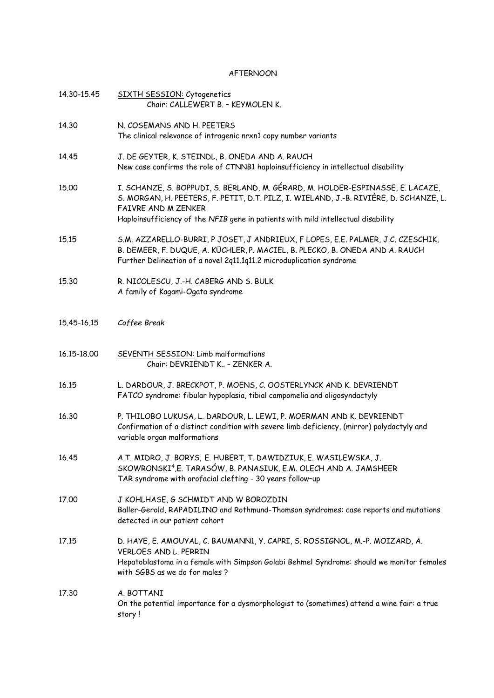#### AFTERNOON

| 14.30-15.45 | SIXTH SESSION: Cytogenetics<br>Chair: CALLEWERT B. - KEYMOLEN K.                                                                                                                                                                                                                    |
|-------------|-------------------------------------------------------------------------------------------------------------------------------------------------------------------------------------------------------------------------------------------------------------------------------------|
| 14.30       | N. COSEMANS AND H. PEETERS<br>The clinical relevance of intragenic nrxn1 copy number variants                                                                                                                                                                                       |
| 14.45       | J. DE GEYTER, K. STEINDL, B. ONEDA AND A. RAUCH<br>New case confirms the role of CTNNB1 haploinsufficiency in intellectual disability                                                                                                                                               |
| 15.00       | I. SCHANZE, S. BOPPUDI, S. BERLAND, M. GÉRARD, M. HOLDER-ESPINASSE, E. LACAZE,<br>S. MORGAN, H. PEETERS, F. PETIT, D.T. PILZ, I. WIELAND, J.-B. RIVIÈRE, D. SCHANZE, L.<br>FAIVRE AND M ZENKER<br>Haploinsufficiency of the NFIB gene in patients with mild intellectual disability |
| 15.15       | S.M. AZZARELLO-BURRI, P JOSET, J ANDRIEUX, F LOPES, E.E. PALMER, J.C. CZESCHIK,<br>B. DEMEER, F. DUQUE, A. KÜCHLER, P. MACIEL, B. PLECKO, B. ONEDA AND A. RAUCH<br>Further Delineation of a novel 2q11.1q11.2 microduplication syndrome                                             |
| 15.30       | R. NICOLESCU, J.-H. CABERG AND S. BULK<br>A family of Kagami-Ogata syndrome                                                                                                                                                                                                         |
| 15.45-16.15 | Coffee Break                                                                                                                                                                                                                                                                        |
| 16.15-18.00 | SEVENTH SESSION: Limb malformations<br>Chair: DEVRIENDT K - ZENKER A.                                                                                                                                                                                                               |
| 16.15       | L. DARDOUR, J. BRECKPOT, P. MOENS, C. OOSTERLYNCK AND K. DEVRIENDT<br>FATCO syndrome: fibular hypoplasia, tibial campomelia and oligosyndactyly                                                                                                                                     |
| 16.30       | P. THILOBO LUKUSA, L. DARDOUR, L. LEWI, P. MOERMAN AND K. DEVRIENDT<br>Confirmation of a distinct condition with severe limb deficiency, (mirror) polydactyly and<br>variable organ malformations                                                                                   |
| 16.45       | A.T. MIDRO, J. BORYS, E. HUBERT, T. DAWIDZIUK, E. WASILEWSKA, J.<br>SKOWRONSKI <sup>4</sup> , E. TARASÓW, B. PANASIUK, E.M. OLECH AND A. JAMSHEER<br>TAR syndrome with orofacial clefting - 30 years follow-up                                                                      |
| 17.00       | J KOHLHASE, G SCHMIDT AND W BOROZDIN<br>Baller-Gerold, RAPADILINO and Rothmund-Thomson syndromes: case reports and mutations<br>detected in our patient cohort                                                                                                                      |
| 17.15       | D. HAYE, E. AMOUYAL, C. BAUMANN1, Y. CAPRI, S. ROSSIGNOL, M.-P. MOIZARD, A.<br><b>VERLOES AND L. PERRIN</b><br>Hepatoblastoma in a female with Simpson Golabi Behmel Syndrome: should we monitor females<br>with SGBS as we do for males ?                                          |
| 17.30       | A. BOTTANI<br>On the potential importance for a dysmorphologist to (sometimes) attend a wine fair: a true<br>story !                                                                                                                                                                |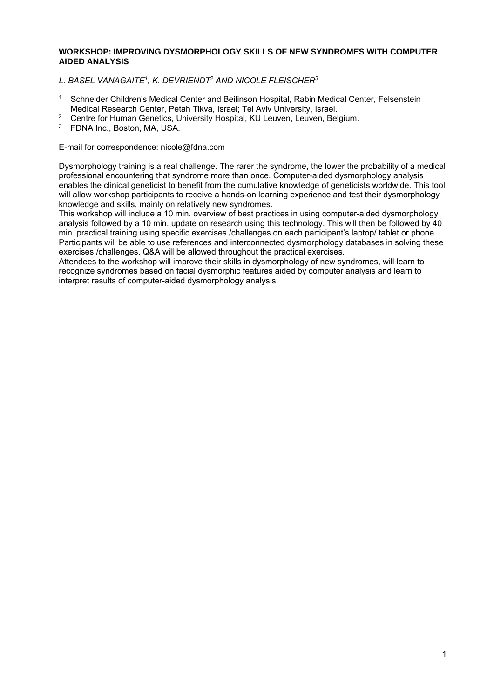#### **WORKSHOP: IMPROVING DYSMORPHOLOGY SKILLS OF NEW SYNDROMES WITH COMPUTER AIDED ANALYSIS**

#### *L. BASEL VANAGAITE1, K. DEVRIENDT2 AND NICOLE FLEISCHER3*

- <sup>1</sup> Schneider Children's Medical Center and Beilinson Hospital, Rabin Medical Center, Felsenstein Medical Research Center, Petah Tikva, Israel; Tel Aviv University, Israel.
- <sup>2</sup> Centre for Human Genetics, University Hospital, KU Leuven, Leuven, Belgium.
- 3 FDNA Inc., Boston, MA, USA.

#### E-mail for correspondence: nicole@fdna.com

Dysmorphology training is a real challenge. The rarer the syndrome, the lower the probability of a medical professional encountering that syndrome more than once. Computer-aided dysmorphology analysis enables the clinical geneticist to benefit from the cumulative knowledge of geneticists worldwide. This tool will allow workshop participants to receive a hands-on learning experience and test their dysmorphology knowledge and skills, mainly on relatively new syndromes.

This workshop will include a 10 min. overview of best practices in using computer-aided dysmorphology analysis followed by a 10 min. update on research using this technology. This will then be followed by 40 min. practical training using specific exercises /challenges on each participant's laptop/ tablet or phone. Participants will be able to use references and interconnected dysmorphology databases in solving these exercises /challenges. Q&A will be allowed throughout the practical exercises.

Attendees to the workshop will improve their skills in dysmorphology of new syndromes, will learn to recognize syndromes based on facial dysmorphic features aided by computer analysis and learn to interpret results of computer-aided dysmorphology analysis.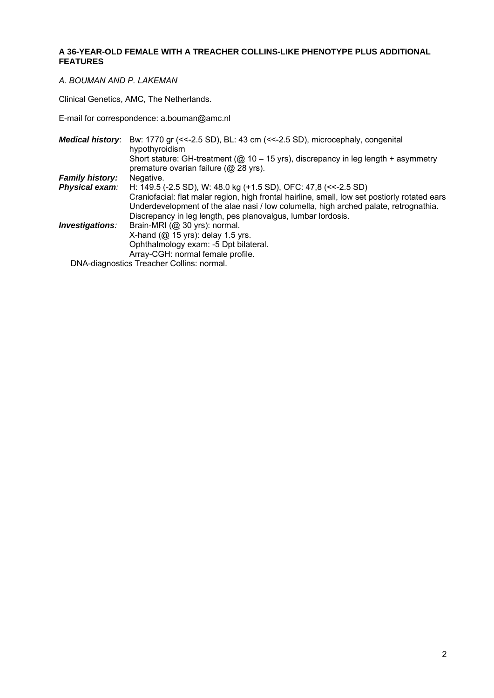#### **A 36-YEAR-OLD FEMALE WITH A TREACHER COLLINS-LIKE PHENOTYPE PLUS ADDITIONAL FEATURES**

#### *A. BOUMAN AND P. LAKEMAN*

Clinical Genetics, AMC, The Netherlands.

E-mail for correspondence: a.bouman@amc.nl

| <b>Medical history:</b> | Bw: 1770 gr (<<- 2.5 SD), BL: 43 cm (<<- 2.5 SD), microcephaly, congenital<br>hypothyroidism                                                                                          |
|-------------------------|---------------------------------------------------------------------------------------------------------------------------------------------------------------------------------------|
|                         | Short stature: GH-treatment ( $@10 - 15$ yrs), discrepancy in leg length + asymmetry                                                                                                  |
|                         | premature ovarian failure (@ 28 yrs).                                                                                                                                                 |
| <b>Family history:</b>  | Negative.                                                                                                                                                                             |
| Physical exam:          | H: 149.5 (-2.5 SD), W: 48.0 kg (+1.5 SD), OFC: 47,8 (<<-2.5 SD)                                                                                                                       |
|                         | Craniofacial: flat malar region, high frontal hairline, small, low set postiorly rotated ears<br>Underdevelopment of the alae nasi / low columella, high arched palate, retrognathia. |
|                         | Discrepancy in leg length, pes planovalgus, lumbar lordosis.                                                                                                                          |
| Investigations:         | Brain-MRI (@ 30 yrs): normal.                                                                                                                                                         |
|                         | X-hand $(\mathcal{Q}$ 15 yrs): delay 1.5 yrs.                                                                                                                                         |
|                         | Ophthalmology exam: -5 Dpt bilateral.                                                                                                                                                 |
|                         | Array-CGH: normal female profile.                                                                                                                                                     |
|                         | DNA diognostics Tropober Collins: permal                                                                                                                                              |

DNA-diagnostics Treacher Collins: normal.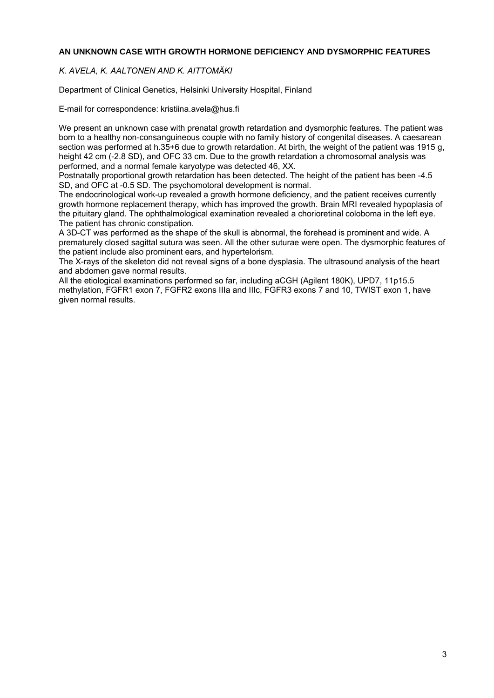#### **AN UNKNOWN CASE WITH GROWTH HORMONE DEFICIENCY AND DYSMORPHIC FEATURES**

#### *K. AVELA, K. AALTONEN AND K. AITTOMÄKI*

Department of Clinical Genetics, Helsinki University Hospital, Finland

E-mail for correspondence: kristiina.avela@hus.fi

We present an unknown case with prenatal growth retardation and dysmorphic features. The patient was born to a healthy non-consanguineous couple with no family history of congenital diseases. A caesarean section was performed at h.35+6 due to growth retardation. At birth, the weight of the patient was 1915 g. height 42 cm (-2.8 SD), and OFC 33 cm. Due to the growth retardation a chromosomal analysis was performed, and a normal female karyotype was detected 46, XX.

Postnatally proportional growth retardation has been detected. The height of the patient has been -4.5 SD, and OFC at -0.5 SD. The psychomotoral development is normal.

The endocrinological work-up revealed a growth hormone deficiency, and the patient receives currently growth hormone replacement therapy, which has improved the growth. Brain MRI revealed hypoplasia of the pituitary gland. The ophthalmological examination revealed a chorioretinal coloboma in the left eye. The patient has chronic constipation.

A 3D-CT was performed as the shape of the skull is abnormal, the forehead is prominent and wide. A prematurely closed sagittal sutura was seen. All the other suturae were open. The dysmorphic features of the patient include also prominent ears, and hypertelorism.

The X-rays of the skeleton did not reveal signs of a bone dysplasia. The ultrasound analysis of the heart and abdomen gave normal results.

All the etiological examinations performed so far, including aCGH (Agilent 180K), UPD7, 11p15.5 methylation, FGFR1 exon 7, FGFR2 exons IIIa and IIIc, FGFR3 exons 7 and 10, TWIST exon 1, have given normal results.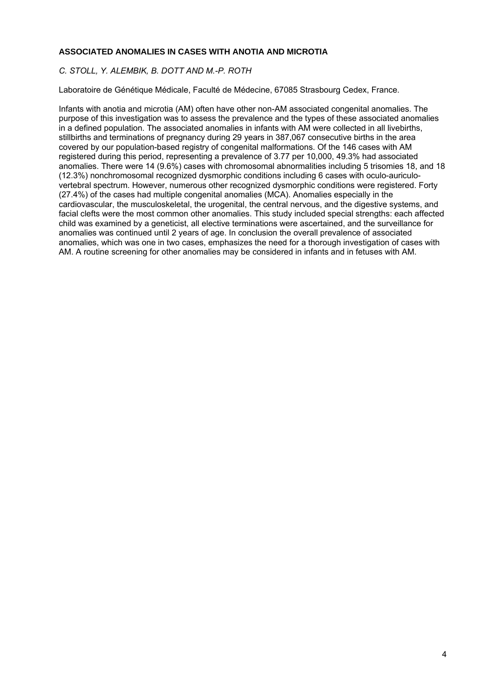#### **ASSOCIATED ANOMALIES IN CASES WITH ANOTIA AND MICROTIA**

#### *C. STOLL, Y. ALEMBIK, B. DOTT AND M.-P. ROTH*

Laboratoire de Génétique Médicale, Faculté de Médecine, 67085 Strasbourg Cedex, France.

Infants with anotia and microtia (AM) often have other non-AM associated congenital anomalies. The purpose of this investigation was to assess the prevalence and the types of these associated anomalies in a defined population. The associated anomalies in infants with AM were collected in all livebirths, stillbirths and terminations of pregnancy during 29 years in 387,067 consecutive births in the area covered by our population-based registry of congenital malformations. Of the 146 cases with AM registered during this period, representing a prevalence of 3.77 per 10,000, 49.3% had associated anomalies. There were 14 (9.6%) cases with chromosomal abnormalities including 5 trisomies 18, and 18 (12.3%) nonchromosomal recognized dysmorphic conditions including 6 cases with oculo-auriculovertebral spectrum. However, numerous other recognized dysmorphic conditions were registered. Forty (27.4%) of the cases had multiple congenital anomalies (MCA). Anomalies especially in the cardiovascular, the musculoskeletal, the urogenital, the central nervous, and the digestive systems, and facial clefts were the most common other anomalies. This study included special strengths: each affected child was examined by a geneticist, all elective terminations were ascertained, and the surveillance for anomalies was continued until 2 years of age. In conclusion the overall prevalence of associated anomalies, which was one in two cases, emphasizes the need for a thorough investigation of cases with AM. A routine screening for other anomalies may be considered in infants and in fetuses with AM.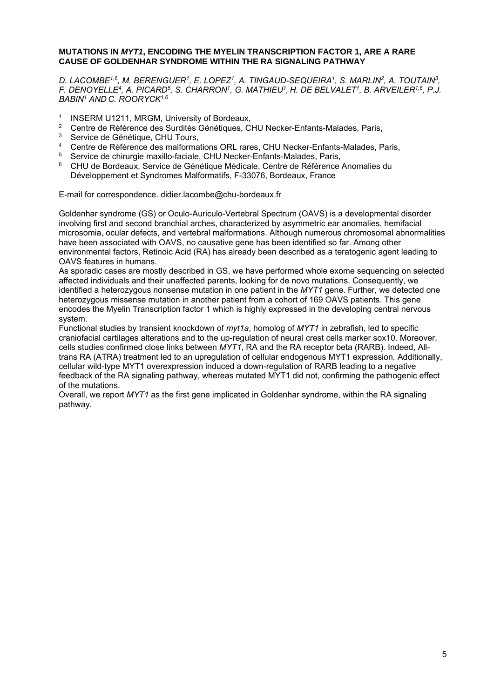#### **MUTATIONS IN** *MYT1***, ENCODING THE MYELIN TRANSCRIPTION FACTOR 1, ARE A RARE CAUSE OF GOLDENHAR SYNDROME WITHIN THE RA SIGNALING PATHWAY**

*D. LACOMBE1,6, M. BERENGUER1, E. LOPEZ1, A. TINGAUD-SEQUEIRA1, S. MARLIN2, A. TOUTAIN3, F. DENOYELLE4, A. PICARD5, S. CHARRON1, G. MATHIEU1, H. DE BELVALET1, B. ARVEILER1,6, P.J. BABIN1 AND C. ROORYCK1,6* 

- <sup>1</sup> INSERM U1211, MRGM, University of Bordeaux,<br><sup>2</sup> Centre de Péférence des Surdités Génétiques, Cl
- <sup>2</sup> Centre de Référence des Surdités Génétiques, CHU Necker-Enfants-Malades, Paris,
- $3$  Service de Génétique, CHU Tours,
- 4 Centre de Référence des malformations ORL rares, CHU Necker-Enfants-Malades, Paris,
- <sup>5</sup> Service de chirurgie maxillo-faciale, CHU Necker-Enfants-Malades, Paris,<br>6 CHU de Perdeaux, Service de Cépétique Médioele, Centre de Pétérence
- 6 CHU de Bordeaux, Service de Génétique Médicale, Centre de Référence Anomalies du Développement et Syndromes Malformatifs, F-33076, Bordeaux, France

E-mail for correspondence. didier.lacombe@chu-bordeaux.fr

Goldenhar syndrome (GS) or Oculo-Auriculo-Vertebral Spectrum (OAVS) is a developmental disorder involving first and second branchial arches, characterized by asymmetric ear anomalies, hemifacial microsomia, ocular defects, and vertebral malformations. Although numerous chromosomal abnormalities have been associated with OAVS, no causative gene has been identified so far. Among other environmental factors, Retinoic Acid (RA) has already been described as a teratogenic agent leading to OAVS features in humans.

As sporadic cases are mostly described in GS, we have performed whole exome sequencing on selected affected individuals and their unaffected parents, looking for de novo mutations. Consequently, we identified a heterozygous nonsense mutation in one patient in the *MYT1* gene. Further, we detected one heterozygous missense mutation in another patient from a cohort of 169 OAVS patients. This gene encodes the Myelin Transcription factor 1 which is highly expressed in the developing central nervous system.

Functional studies by transient knockdown of *myt1a*, homolog of *MYT1* in zebrafish, led to specific craniofacial cartilages alterations and to the up-regulation of neural crest cells marker sox10. Moreover, cells studies confirmed close links between *MYT1*, RA and the RA receptor beta (RARB). Indeed, Alltrans RA (ATRA) treatment led to an upregulation of cellular endogenous MYT1 expression. Additionally, cellular wild-type MYT1 overexpression induced a down-regulation of RARB leading to a negative feedback of the RA signaling pathway, whereas mutated MYT1 did not, confirming the pathogenic effect of the mutations.

Overall, we report *MYT1* as the first gene implicated in Goldenhar syndrome, within the RA signaling pathway.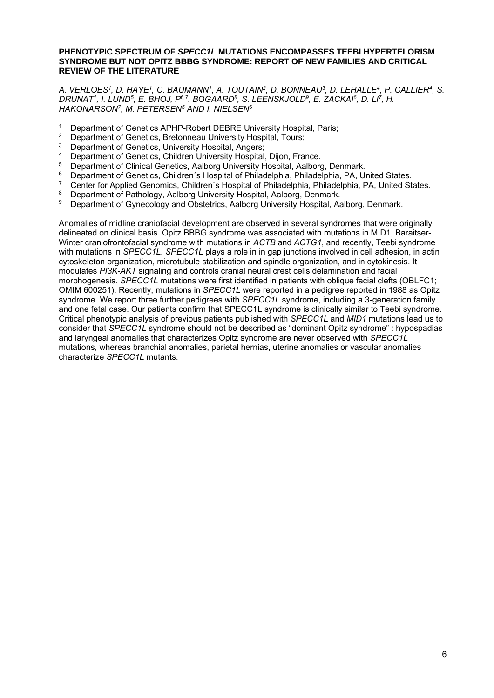#### **PHENOTYPIC SPECTRUM OF** *SPECC1L* **MUTATIONS ENCOMPASSES TEEBI HYPERTELORISM SYNDROME BUT NOT OPITZ BBBG SYNDROME: REPORT OF NEW FAMILIES AND CRITICAL REVIEW OF THE LITERATURE**

*A. VERLOES1, D. HAYE1, C. BAUMANN1, A. TOUTAIN2, D. BONNEAU3, D. LEHALLE4, P. CALLIER4, S. DRUNAT1, I. LUND5, E. BHOJ, P6,7. BOGAARD8, S. LEENSKJOLD9, E. ZACKAI6, D. LI7, H. HAKONARSON7, M. PETERSEN5 AND I. NIELSEN*<sup>5</sup>

- <sup>1</sup> Department of Genetics APHP-Robert DEBRE University Hospital, Paris;<br><sup>2</sup> Department of Genetics, Brotonneau University Hospital, Tours;
- <sup>2</sup> Department of Genetics, Bretonneau University Hospital, Tours;
- <sup>3</sup> Department of Genetics, University Hospital, Angers;
- <sup>4</sup> Department of Genetics, Children University Hospital, Dijon, France.<br> **6** Department of Clinical Constitution Aelberg University Hospital, Aelberg
- 5 Department of Clinical Genetics, Aalborg University Hospital, Aalborg, Denmark.
- <sup>6</sup> Department of Genetics, Children's Hospital of Philadelphia, Philadelphia, PA, United States.
- <sup>7</sup> Center for Applied Genomics, Children´s Hospital of Philadelphia, Philadelphia, PA, United States.<br><sup>8</sup> Department of Pathology, Aalborg University Hospital, Aalborg, Depmark.
- <sup>8</sup> Department of Pathology, Aalborg University Hospital, Aalborg, Denmark.<br><sup>9</sup> Department of Gynecology and Obstetrics, Aalborg University Hospital, As
- Department of Gynecology and Obstetrics, Aalborg University Hospital, Aalborg, Denmark.

Anomalies of midline craniofacial development are observed in several syndromes that were originally delineated on clinical basis. Opitz BBBG syndrome was associated with mutations in MID1, Baraitser-Winter craniofrontofacial syndrome with mutations in *ACTB* and *ACTG1*, and recently, Teebi syndrome with mutations in *SPECC1L*. *SPECC1L* plays a role in in gap junctions involved in cell adhesion, in actin cytoskeleton organization, microtubule stabilization and spindle organization, and in cytokinesis. It modulates *PI3K-AKT* signaling and controls cranial neural crest cells delamination and facial morphogenesis. *SPECC1L* mutations were first identified in patients with oblique facial clefts (OBLFC1; OMIM 600251). Recently, mutations in *SPECC1L* were reported in a pedigree reported in 1988 as Opitz syndrome. We report three further pedigrees with *SPECC1L* syndrome, including a 3-generation family and one fetal case. Our patients confirm that SPECC1L syndrome is clinically similar to Teebi syndrome. Critical phenotypic analysis of previous patients published with *SPECC1L* and *MID1* mutations lead us to consider that *SPECC1L* syndrome should not be described as "dominant Opitz syndrome" : hypospadias and laryngeal anomalies that characterizes Opitz syndrome are never observed with *SPECC1L* mutations, whereas branchial anomalies, parietal hernias, uterine anomalies or vascular anomalies characterize *SPECC1L* mutants.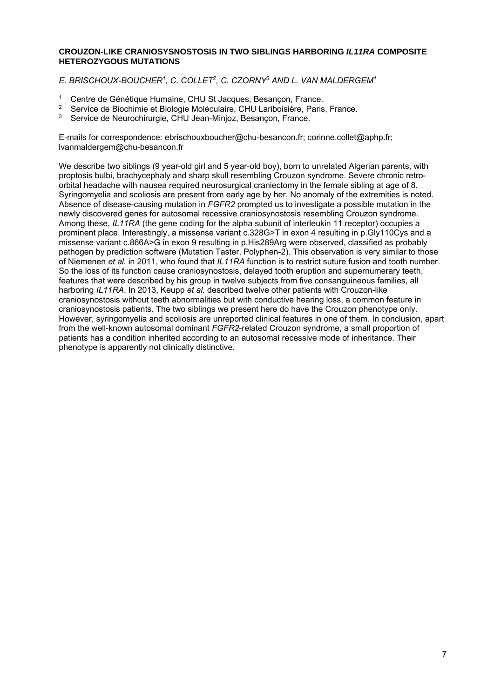#### **CROUZON-LIKE CRANIOSYSNOSTOSIS IN TWO SIBLINGS HARBORING** *IL11RA* **COMPOSITE HETEROZYGOUS MUTATIONS**

*E. BRISCHOUX-BOUCHER1, C. COLLET2, C. CZORNY3 AND L. VAN MALDERGEM1* 

- 1 Centre de Génétique Humaine, CHU St Jacques, Besançon, France.<br>2 Septice de Biochimie et Biologie Moléculaire, CHI Laribeirière, Paris
- <sup>2</sup> Service de Biochimie et Biologie Moléculaire, CHU Lariboisière, Paris, France.<br><sup>3</sup> Service de Nauvechinumie, CUU Jean Miniar, Pesanean, France.
- 3 Service de Neurochirurgie, CHU Jean-Minjoz, Besançon, France.

E-mails for correspondence: ebrischouxboucher@chu-besancon.fr; corinne.collet@aphp.fr; lvanmaldergem@chu-besancon.fr

We describe two siblings (9 year-old girl and 5 year-old boy), born to unrelated Algerian parents, with proptosis bulbi, brachycephaly and sharp skull resembling Crouzon syndrome. Severe chronic retroorbital headache with nausea required neurosurgical craniectomy in the female sibling at age of 8. Syringomyelia and scoliosis are present from early age by her. No anomaly of the extremities is noted. Absence of disease-causing mutation in *FGFR2* prompted us to investigate a possible mutation in the newly discovered genes for autosomal recessive craniosynostosis resembling Crouzon syndrome. Among these, *IL11RA* (the gene coding for the alpha subunit of interleukin 11 receptor) occupies a prominent place. Interestingly, a missense variant c.328G>T in exon 4 resulting in p.Gly110Cys and a missense variant c.866A>G in exon 9 resulting in p.His289Arg were observed, classified as probably pathogen by prediction software (Mutation Taster, Polyphen-2). This observation is very similar to those of Niemenen *et al.* in 2011, who found that *IL11RA* function is to restrict suture fusion and tooth number. So the loss of its function cause craniosynostosis, delayed tooth eruption and supernumerary teeth, features that were described by his group in twelve subjects from five consanguineous families, all harboring *IL11RA*. In 2013, Keupp *et al.* described twelve other patients with Crouzon-like craniosynostosis without teeth abnormalities but with conductive hearing loss, a common feature in craniosynostosis patients. The two siblings we present here do have the Crouzon phenotype only. However, syringomyelia and scoliosis are unreported clinical features in one of them. In conclusion, apart from the well-known autosomal dominant *FGFR2*-related Crouzon syndrome, a small proportion of patients has a condition inherited according to an autosomal recessive mode of inheritance. Their phenotype is apparently not clinically distinctive.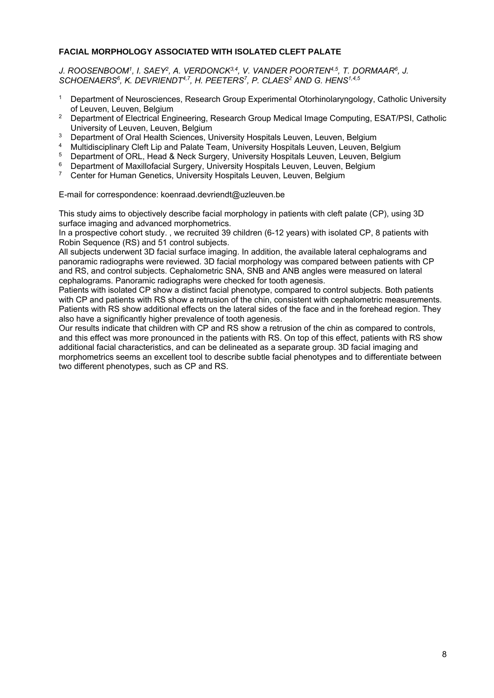#### **FACIAL MORPHOLOGY ASSOCIATED WITH ISOLATED CLEFT PALATE**

J. ROOSENBOOM<sup>1</sup>, I. SAEY<sup>2</sup>, A. VERDONCK<sup>3,4</sup>, V. VANDER POORTEN<sup>4,5</sup>, T. DORMAAR<sup>6</sup>, J. SCHOENAERS<sup>6</sup>, K. DEVRIENDT<sup>4,7</sup>, H. PEETERS<sup>7</sup>, P. CLAES<sup>2</sup> AND G. HENS<sup>1,4,5</sup>

- <sup>1</sup> Department of Neurosciences, Research Group Experimental Otorhinolaryngology, Catholic University of Leuven, Leuven, Belgium
- 2 Department of Electrical Engineering, Research Group Medical Image Computing, ESAT/PSI, Catholic University of Leuven, Leuven, Belgium
- <sup>3</sup> Department of Oral Health Sciences, University Hospitals Leuven, Leuven, Belgium
- 4 Multidisciplinary Cleft Lip and Palate Team, University Hospitals Leuven, Leuven, Belgium
- <sup>5</sup> Department of ORL, Head & Neck Surgery, University Hospitals Leuven, Leuven, Belgium
- <sup>6</sup> Department of Maxillofacial Surgery, University Hospitals Leuven, Leuven, Belgium<br><sup>7</sup> Center for Human Genetics Thiversity Hospitals Leuven, Leuven, Belgium
- 7 Center for Human Genetics, University Hospitals Leuven, Leuven, Belgium

E-mail for correspondence: koenraad.devriendt@uzleuven.be

This study aims to objectively describe facial morphology in patients with cleft palate (CP), using 3D surface imaging and advanced morphometrics.

In a prospective cohort study., we recruited 39 children (6-12 years) with isolated CP, 8 patients with Robin Sequence (RS) and 51 control subjects.

All subjects underwent 3D facial surface imaging. In addition, the available lateral cephalograms and panoramic radiographs were reviewed. 3D facial morphology was compared between patients with CP and RS, and control subjects. Cephalometric SNA, SNB and ANB angles were measured on lateral cephalograms. Panoramic radiographs were checked for tooth agenesis.

Patients with isolated CP show a distinct facial phenotype, compared to control subjects. Both patients with CP and patients with RS show a retrusion of the chin, consistent with cephalometric measurements. Patients with RS show additional effects on the lateral sides of the face and in the forehead region. They also have a significantly higher prevalence of tooth agenesis.

Our results indicate that children with CP and RS show a retrusion of the chin as compared to controls, and this effect was more pronounced in the patients with RS. On top of this effect, patients with RS show additional facial characteristics, and can be delineated as a separate group. 3D facial imaging and morphometrics seems an excellent tool to describe subtle facial phenotypes and to differentiate between two different phenotypes, such as CP and RS.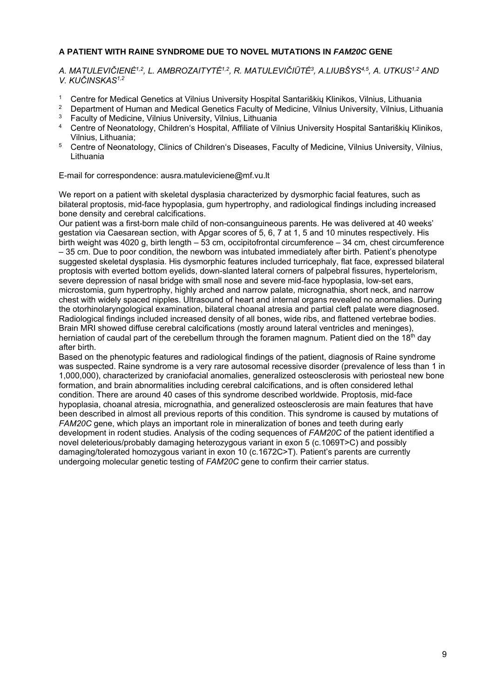#### **A PATIENT WITH RAINE SYNDROME DUE TO NOVEL MUTATIONS IN** *FAM20C* **GENE**

*A. MATULEVIČIENĖ1,2, L. AMBROZAITYTĖ1,2, R. MATULEVIČIŪTĖ3, A.LIUBŠYS4,5, A. UTKUS1,2 AND V. KUČINSKAS1,2* 

- 1 Centre for Medical Genetics at Vilnius University Hospital Santariškių Klinikos, Vilnius, Lithuania
- 2 Department of Human and Medical Genetics Faculty of Medicine, Vilnius University, Vilnius, Lithuania <sup>3</sup> Faculty of Medicine, Vilnius University, Vilnius, Lithuania
- 4 Centre of Neonatology, Children's Hospital, Affiliate of Vilnius University Hospital Santariškių Klinikos, Vilnius, Lithuania;
- 5 Centre of Neonatology, Clinics of Children's Diseases, Faculty of Medicine, Vilnius University, Vilnius, Lithuania

E-mail for correspondence: ausra.matuleviciene@mf.vu.lt

We report on a patient with skeletal dysplasia characterized by dysmorphic facial features, such as bilateral proptosis, mid-face hypoplasia, gum hypertrophy, and radiological findings including increased bone density and cerebral calcifications.

Our patient was a first-born male child of non-consanguineous parents. He was delivered at 40 weeks' gestation via Caesarean section, with Apgar scores of 5, 6, 7 at 1, 5 and 10 minutes respectively. His birth weight was 4020 g, birth length – 53 cm, occipitofrontal circumference – 34 cm, chest circumference – 35 cm. Due to poor condition, the newborn was intubated immediately after birth. Patient's phenotype suggested skeletal dysplasia. His dysmorphic features included turricephaly, flat face, expressed bilateral proptosis with everted bottom eyelids, down-slanted lateral corners of palpebral fissures, hypertelorism, severe depression of nasal bridge with small nose and severe mid-face hypoplasia, low-set ears, microstomia, gum hypertrophy, highly arched and narrow palate, micrognathia, short neck, and narrow chest with widely spaced nipples. Ultrasound of heart and internal organs revealed no anomalies. During the otorhinolaryngological examination, bilateral choanal atresia and partial cleft palate were diagnosed. Radiological findings included increased density of all bones, wide ribs, and flattened vertebrae bodies. Brain MRI showed diffuse cerebral calcifications (mostly around lateral ventricles and meninges), herniation of caudal part of the cerebellum through the foramen magnum. Patient died on the 18<sup>th</sup> day after birth.

Based on the phenotypic features and radiological findings of the patient, diagnosis of Raine syndrome was suspected. Raine syndrome is a very rare autosomal recessive disorder (prevalence of less than 1 in 1,000,000), characterized by craniofacial anomalies, generalized osteosclerosis with periosteal new bone formation, and brain abnormalities including cerebral calcifications, and is often considered lethal condition. There are around 40 cases of this syndrome described worldwide. Proptosis, mid-face hypoplasia, choanal atresia, micrognathia, and generalized osteosclerosis are main features that have been described in almost all previous reports of this condition. This syndrome is caused by mutations of *FAM20C* gene, which plays an important role in mineralization of bones and teeth during early development in rodent studies. Analysis of the coding sequences of *FAM20C* of the patient identified a novel deleterious/probably damaging heterozygous variant in exon 5 (c.1069T>C) and possibly damaging/tolerated homozygous variant in exon 10 (c.1672C>T). Patient's parents are currently undergoing molecular genetic testing of *FAM20C* gene to confirm their carrier status.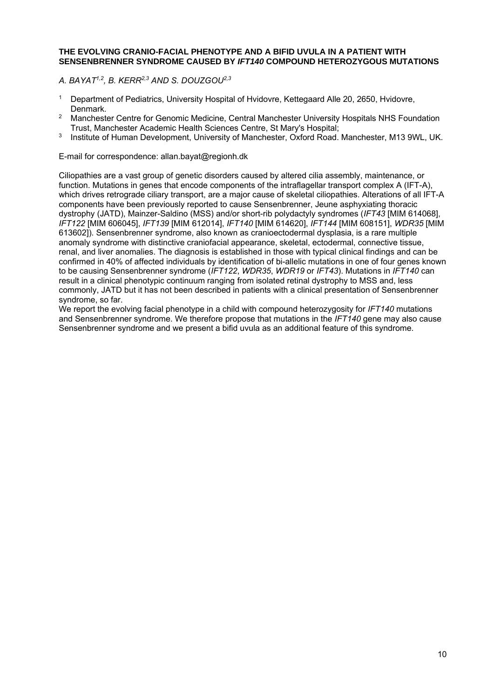#### **THE EVOLVING CRANIO-FACIAL PHENOTYPE AND A BIFID UVULA IN A PATIENT WITH SENSENBRENNER SYNDROME CAUSED BY** *IFT140* **COMPOUND HETEROZYGOUS MUTATIONS**

*A. BAYAT1,2, B. KERR2,3 AND S. DOUZGOU2,3* 

- <sup>1</sup> Department of Pediatrics, University Hospital of Hvidovre, Kettegaard Alle 20, 2650, Hvidovre, Denmark.
- <sup>2</sup> Manchester Centre for Genomic Medicine, Central Manchester University Hospitals NHS Foundation Trust, Manchester Academic Health Sciences Centre, St Mary's Hospital;
- <sup>3</sup> Institute of Human Development, University of Manchester, Oxford Road. Manchester, M13 9WL, UK.

E-mail for correspondence: allan.bayat@regionh.dk

Ciliopathies are a vast group of genetic disorders caused by altered cilia assembly, maintenance, or function. Mutations in genes that encode components of the intraflagellar transport complex A (IFT-A), which drives retrograde ciliary transport, are a major cause of skeletal ciliopathies. Alterations of all IFT-A components have been previously reported to cause Sensenbrenner, Jeune asphyxiating thoracic dystrophy (JATD), Mainzer-Saldino (MSS) and/or short-rib polydactyly syndromes (*IFT43* [MIM 614068], *IFT122* [MIM 606045], *IFT139* [MIM 612014], *IFT140* [MIM 614620], *IFT144* [MIM 608151], *WDR35* [MIM 613602]). Sensenbrenner syndrome, also known as cranioectodermal dysplasia, is a rare multiple anomaly syndrome with distinctive craniofacial appearance, skeletal, ectodermal, connective tissue, renal, and liver anomalies. The diagnosis is established in those with typical clinical findings and can be confirmed in 40% of affected individuals by identification of bi-allelic mutations in one of four genes known to be causing Sensenbrenner syndrome (*IFT122*, *WDR35*, *WDR19* or *IFT43*). Mutations in *IFT140* can result in a clinical phenotypic continuum ranging from isolated retinal dystrophy to MSS and, less commonly, JATD but it has not been described in patients with a clinical presentation of Sensenbrenner syndrome, so far.

We report the evolving facial phenotype in a child with compound heterozygosity for *IFT140* mutations and Sensenbrenner syndrome. We therefore propose that mutations in the *IFT140* gene may also cause Sensenbrenner syndrome and we present a bifid uvula as an additional feature of this syndrome.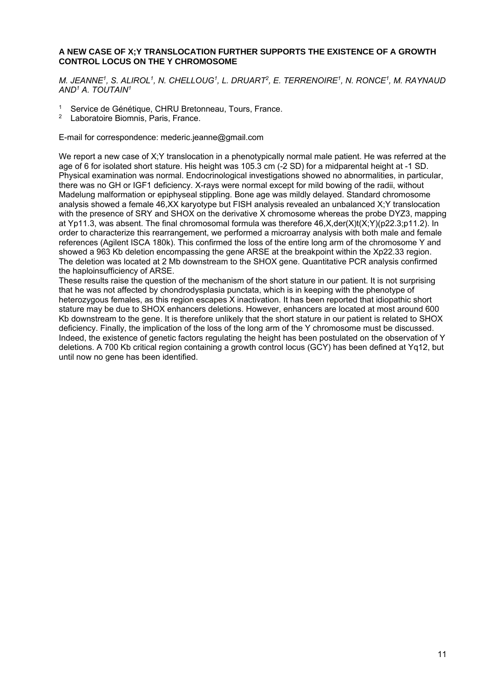#### **A NEW CASE OF X;Y TRANSLOCATION FURTHER SUPPORTS THE EXISTENCE OF A GROWTH CONTROL LOCUS ON THE Y CHROMOSOME**

*M. JEANNE1, S. ALIROL1, N. CHELLOUG1, L. DRUART2, E. TERRENOIRE1, N. RONCE1, M. RAYNAUD AND1 A. TOUTAIN1* 

- <sup>1</sup> Service de Génétique, CHRU Bretonneau, Tours, France.
- Laboratoire Biomnis, Paris, France.

E-mail for correspondence: mederic.jeanne@gmail.com

We report a new case of X;Y translocation in a phenotypically normal male patient. He was referred at the age of 6 for isolated short stature. His height was 105.3 cm (-2 SD) for a midparental height at -1 SD. Physical examination was normal. Endocrinological investigations showed no abnormalities, in particular, there was no GH or IGF1 deficiency. X-rays were normal except for mild bowing of the radii, without Madelung malformation or epiphyseal stippling. Bone age was mildly delayed. Standard chromosome analysis showed a female 46,XX karyotype but FISH analysis revealed an unbalanced X;Y translocation with the presence of SRY and SHOX on the derivative X chromosome whereas the probe DYZ3, mapping at Yp11.3, was absent. The final chromosomal formula was therefore 46,X,der(X)t(X;Y)(p22.3;p11.2). In order to characterize this rearrangement, we performed a microarray analysis with both male and female references (Agilent ISCA 180k). This confirmed the loss of the entire long arm of the chromosome Y and showed a 963 Kb deletion encompassing the gene ARSE at the breakpoint within the Xp22.33 region. The deletion was located at 2 Mb downstream to the SHOX gene. Quantitative PCR analysis confirmed the haploinsufficiency of ARSE.

These results raise the question of the mechanism of the short stature in our patient. It is not surprising that he was not affected by chondrodysplasia punctata, which is in keeping with the phenotype of heterozygous females, as this region escapes X inactivation. It has been reported that idiopathic short stature may be due to SHOX enhancers deletions. However, enhancers are located at most around 600 Kb downstream to the gene. It is therefore unlikely that the short stature in our patient is related to SHOX deficiency. Finally, the implication of the loss of the long arm of the Y chromosome must be discussed. Indeed, the existence of genetic factors regulating the height has been postulated on the observation of Y deletions. A 700 Kb critical region containing a growth control locus (GCY) has been defined at Yg12, but until now no gene has been identified.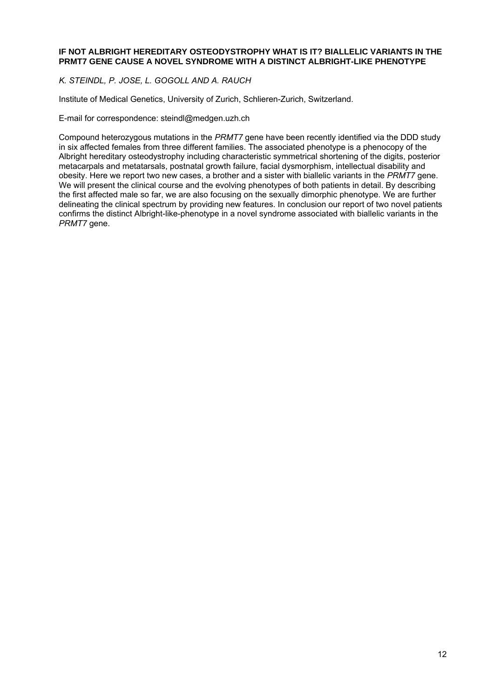#### **IF NOT ALBRIGHT HEREDITARY OSTEODYSTROPHY WHAT IS IT? BIALLELIC VARIANTS IN THE PRMT7 GENE CAUSE A NOVEL SYNDROME WITH A DISTINCT ALBRIGHT-LIKE PHENOTYPE**

*K. STEINDL, P. JOSE, L. GOGOLL AND A. RAUCH* 

Institute of Medical Genetics, University of Zurich, Schlieren-Zurich, Switzerland.

E-mail for correspondence: steindl@medgen.uzh.ch

Compound heterozygous mutations in the *PRMT7* gene have been recently identified via the DDD study in six affected females from three different families. The associated phenotype is a phenocopy of the Albright hereditary osteodystrophy including characteristic symmetrical shortening of the digits, posterior metacarpals and metatarsals, postnatal growth failure, facial dysmorphism, intellectual disability and obesity. Here we report two new cases, a brother and a sister with biallelic variants in the *PRMT7* gene. We will present the clinical course and the evolving phenotypes of both patients in detail. By describing the first affected male so far, we are also focusing on the sexually dimorphic phenotype. We are further delineating the clinical spectrum by providing new features. In conclusion our report of two novel patients confirms the distinct Albright-like-phenotype in a novel syndrome associated with biallelic variants in the *PRMT7* gene.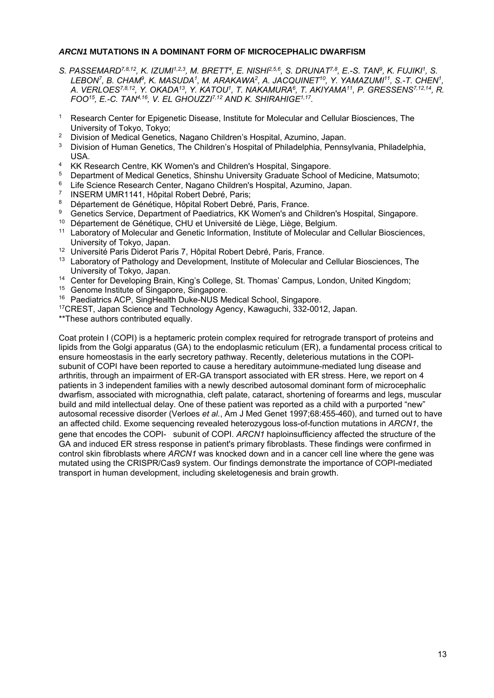#### *ARCN1* **MUTATIONS IN A DOMINANT FORM OF MICROCEPHALIC DWARFISM**

- *S. PASSEMARD7,8,12, K. IZUMI1,2,3, M. BRETT4, E. NISHI2,5,6, S. DRUNAT7,8, E.-S. TAN9, K. FUJIKI1, S. LEBON7, B. CHAM9, K. MASUDA1, M. ARAKAWA2, A. JACQUINET10, Y. YAMAZUMI11, S.-T. CHEN1, A. VERLOES7,8,12, Y. OKADA13, Y. KATOU1, T. NAKAMURA6, T. AKIYAMA11, P. GRESSENS7,12,14, R. FOO15, E.-C. TAN4,16, V. EL GHOUZZI7,12 AND K. SHIRAHIGE1,17.*
- <sup>1</sup> Research Center for Epigenetic Disease, Institute for Molecular and Cellular Biosciences, The University of Tokyo, Tokyo;
- <sup>2</sup> Division of Medical Genetics, Nagano Children's Hospital, Azumino, Japan.<br><sup>3</sup> Division of Human Constine, The Children's Hospital of Philadelphia, Ronne
- 3 Division of Human Genetics, The Children's Hospital of Philadelphia, Pennsylvania, Philadelphia, USA.
- 4 KK Research Centre, KK Women's and Children's Hospital, Singapore.
- <sup>5</sup> Department of Medical Genetics, Shinshu University Graduate School of Medicine, Matsumoto;
- <sup>6</sup> Life Science Research Center, Nagano Children's Hospital, Azumino, Japan.<br>7 INSERM UMR1141 Hôpital Pobert Debré, Paris:
- INSERM UMR1141, Hôpital Robert Debré, Paris;
- <sup>8</sup> Département de Génétique, Hôpital Robert Debré, Paris, France.<br>8 Ceneties Sentice, Department of Paodiatrics, KK Wemen's and C
- 9 Genetics Service, Department of Paediatrics, KK Women's and Children's Hospital, Singapore.
- 10 Département de Génétique, CHU et Université de Liège, Liège, Belgium.
- <sup>11</sup> Laboratory of Molecular and Genetic Information, Institute of Molecular and Cellular Biosciences, University of Tokyo, Japan.
- 12 Université Paris Diderot Paris 7, Hôpital Robert Debré, Paris, France.
- <sup>13</sup> Laboratory of Pathology and Development, Institute of Molecular and Cellular Biosciences. The University of Tokyo, Japan.
- 14 Center for Developing Brain, King's College, St. Thomas' Campus, London, United Kingdom;
- <sup>15</sup> Genome Institute of Singapore, Singapore.
- 16 Paediatrics ACP, SingHealth Duke-NUS Medical School, Singapore.
- 17CREST, Japan Science and Technology Agency, Kawaguchi, 332-0012, Japan.

\*\*These authors contributed equally.

Coat protein I (COPI) is a heptameric protein complex required for retrograde transport of proteins and lipids from the Golgi apparatus (GA) to the endoplasmic reticulum (ER), a fundamental process critical to ensure homeostasis in the early secretory pathway. Recently, deleterious mutations in the COPI subunit of COPI have been reported to cause a hereditary autoimmune-mediated lung disease and arthritis, through an impairment of ER-GA transport associated with ER stress. Here, we report on 4 patients in 3 independent families with a newly described autosomal dominant form of microcephalic dwarfism, associated with micrognathia, cleft palate, cataract, shortening of forearms and legs, muscular build and mild intellectual delay. One of these patient was reported as a child with a purported "new" autosomal recessive disorder (Verloes *et al.*, Am J Med Genet 1997;68:455-460), and turned out to have an affected child. Exome sequencing revealed heterozygous loss-of-function mutations in *ARCN1*, the gene that encodes the COPI- subunit of COPI. *ARCN1* haploinsufficiency affected the structure of the GA and induced ER stress response in patient's primary fibroblasts. These findings were confirmed in control skin fibroblasts where *ARCN1* was knocked down and in a cancer cell line where the gene was mutated using the CRISPR/Cas9 system. Our findings demonstrate the importance of COPI-mediated transport in human development, including skeletogenesis and brain growth.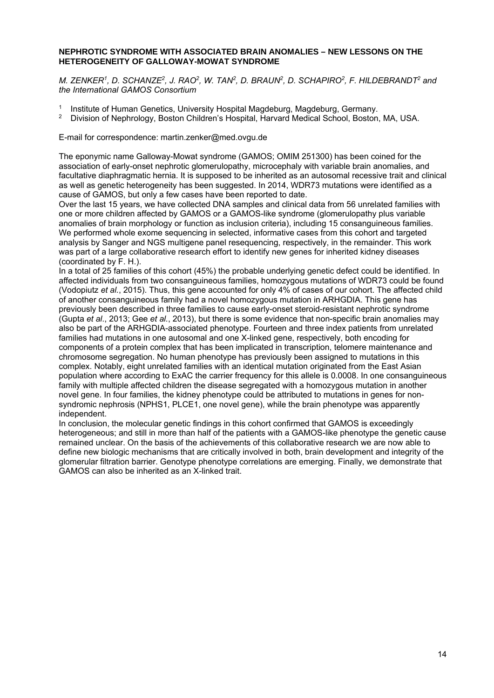#### **NEPHROTIC SYNDROME WITH ASSOCIATED BRAIN ANOMALIES – NEW LESSONS ON THE HETEROGENEITY OF GALLOWAY-MOWAT SYNDROME**

*M. ZENKER1, D. SCHANZE2, J. RAO2, W. TAN2, D. BRAUN2, D. SCHAPIRO2, F. HILDEBRANDT2 and the International GAMOS Consortium* 

- 1 Institute of Human Genetics, University Hospital Magdeburg, Magdeburg, Germany.<br>2 Division of Nephrology, Boston Children's Hospital, Hanvard Medical School, Boston
- 2 Division of Nephrology, Boston Children's Hospital, Harvard Medical School, Boston, MA, USA.

E-mail for correspondence: martin.zenker@med.ovgu.de

The eponymic name Galloway-Mowat syndrome (GAMOS; OMIM 251300) has been coined for the association of early-onset nephrotic glomerulopathy, microcephaly with variable brain anomalies, and facultative diaphragmatic hernia. It is supposed to be inherited as an autosomal recessive trait and clinical as well as genetic heterogeneity has been suggested. In 2014, WDR73 mutations were identified as a cause of GAMOS, but only a few cases have been reported to date.

Over the last 15 years, we have collected DNA samples and clinical data from 56 unrelated families with one or more children affected by GAMOS or a GAMOS-like syndrome (glomerulopathy plus variable anomalies of brain morphology or function as inclusion criteria), including 15 consanguineous families. We performed whole exome sequencing in selected, informative cases from this cohort and targeted analysis by Sanger and NGS multigene panel resequencing, respectively, in the remainder. This work was part of a large collaborative research effort to identify new genes for inherited kidney diseases (coordinated by F. H.).

In a total of 25 families of this cohort (45%) the probable underlying genetic defect could be identified. In affected individuals from two consanguineous families, homozygous mutations of WDR73 could be found (Vodopiutz *et al.*, 2015). Thus, this gene accounted for only 4% of cases of our cohort. The affected child of another consanguineous family had a novel homozygous mutation in ARHGDIA. This gene has previously been described in three families to cause early-onset steroid-resistant nephrotic syndrome (Gupta *et al*., 2013; Gee *et al.*, 2013), but there is some evidence that non-specific brain anomalies may also be part of the ARHGDIA-associated phenotype. Fourteen and three index patients from unrelated families had mutations in one autosomal and one X-linked gene, respectively, both encoding for components of a protein complex that has been implicated in transcription, telomere maintenance and chromosome segregation. No human phenotype has previously been assigned to mutations in this complex. Notably, eight unrelated families with an identical mutation originated from the East Asian population where according to ExAC the carrier frequency for this allele is 0.0008. In one consanguineous family with multiple affected children the disease segregated with a homozygous mutation in another novel gene. In four families, the kidney phenotype could be attributed to mutations in genes for nonsyndromic nephrosis (NPHS1, PLCE1, one novel gene), while the brain phenotype was apparently independent.

In conclusion, the molecular genetic findings in this cohort confirmed that GAMOS is exceedingly heterogeneous; and still in more than half of the patients with a GAMOS-like phenotype the genetic cause remained unclear. On the basis of the achievements of this collaborative research we are now able to define new biologic mechanisms that are critically involved in both, brain development and integrity of the glomerular filtration barrier. Genotype phenotype correlations are emerging. Finally, we demonstrate that GAMOS can also be inherited as an X-linked trait.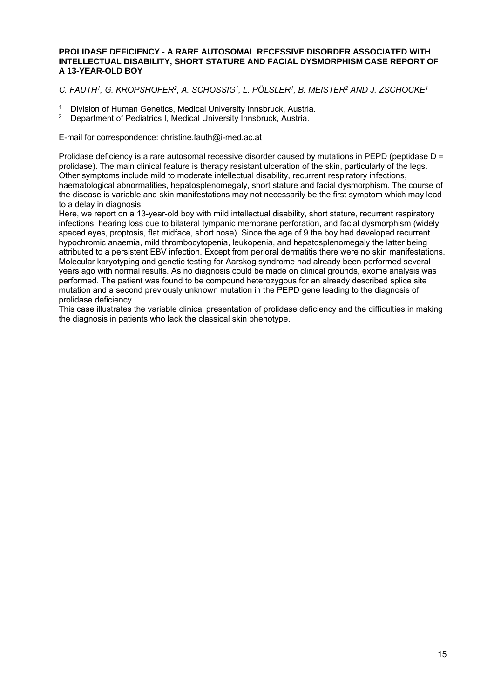#### **PROLIDASE DEFICIENCY - A RARE AUTOSOMAL RECESSIVE DISORDER ASSOCIATED WITH INTELLECTUAL DISABILITY, SHORT STATURE AND FACIAL DYSMORPHISM CASE REPORT OF A 13-YEAR-OLD BOY**

#### *C. FAUTH1, G. KROPSHOFER2, A. SCHOSSIG1, L. PÖLSLER1, B. MEISTER2 AND J. ZSCHOCKE1*

- <sup>1</sup> Division of Human Genetics, Medical University Innsbruck, Austria.<br><sup>2</sup> Department of Podigtrics L Medical University Innsbruck, Austria.
- 2 Department of Pediatrics I, Medical University Innsbruck, Austria.

E-mail for correspondence: christine.fauth@i-med.ac.at

Prolidase deficiency is a rare autosomal recessive disorder caused by mutations in PEPD (peptidase D = prolidase). The main clinical feature is therapy resistant ulceration of the skin, particularly of the legs. Other symptoms include mild to moderate intellectual disability, recurrent respiratory infections, haematological abnormalities, hepatosplenomegaly, short stature and facial dysmorphism. The course of the disease is variable and skin manifestations may not necessarily be the first symptom which may lead to a delay in diagnosis.

Here, we report on a 13-year-old boy with mild intellectual disability, short stature, recurrent respiratory infections, hearing loss due to bilateral tympanic membrane perforation, and facial dysmorphism (widely spaced eyes, proptosis, flat midface, short nose). Since the age of 9 the boy had developed recurrent hypochromic anaemia, mild thrombocytopenia, leukopenia, and hepatosplenomegaly the latter being attributed to a persistent EBV infection. Except from perioral dermatitis there were no skin manifestations. Molecular karyotyping and genetic testing for Aarskog syndrome had already been performed several years ago with normal results. As no diagnosis could be made on clinical grounds, exome analysis was performed. The patient was found to be compound heterozygous for an already described splice site mutation and a second previously unknown mutation in the PEPD gene leading to the diagnosis of prolidase deficiency.

This case illustrates the variable clinical presentation of prolidase deficiency and the difficulties in making the diagnosis in patients who lack the classical skin phenotype.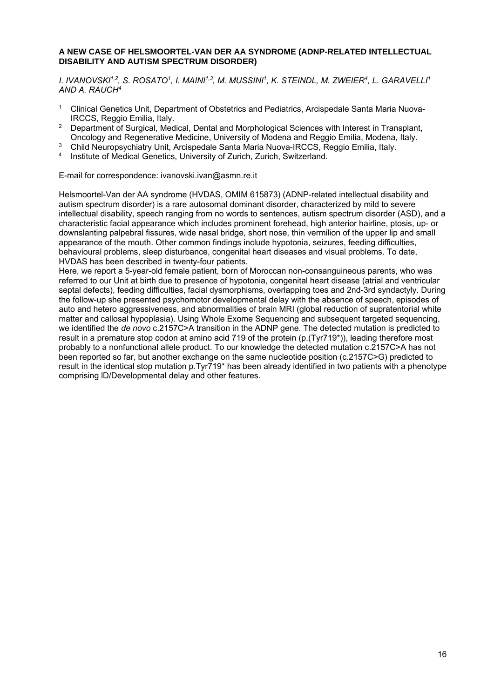#### **A NEW CASE OF HELSMOORTEL-VAN DER AA SYNDROME (ADNP-RELATED INTELLECTUAL DISABILITY AND AUTISM SPECTRUM DISORDER)**

*I. IVANOVSKI1,2, S. ROSATO1, I. MAINI1,3, M. MUSSINI1, K. STEINDL, M. ZWEIER4, L. GARAVELLI1 AND A. RAUCH4* 

- 1 Clinical Genetics Unit, Department of Obstetrics and Pediatrics, Arcispedale Santa Maria Nuova-IRCCS, Reggio Emilia, Italy.
- <sup>2</sup> Department of Surgical, Medical, Dental and Morphological Sciences with Interest in Transplant, Oncology and Regenerative Medicine, University of Modena and Reggio Emilia, Modena, Italy.
- 3 Child Neuropsychiatry Unit, Arcispedale Santa Maria Nuova-IRCCS, Reggio Emilia, Italy.
- 4 Institute of Medical Genetics, University of Zurich, Zurich, Switzerland.

E-mail for correspondence: ivanovski.ivan@asmn.re.it

Helsmoortel-Van der AA syndrome (HVDAS, OMIM 615873) (ADNP-related intellectual disability and autism spectrum disorder) is a rare autosomal dominant disorder, characterized by mild to severe intellectual disability, speech ranging from no words to sentences, autism spectrum disorder (ASD), and a characteristic facial appearance which includes prominent forehead, high anterior hairline, ptosis, up- or downslanting palpebral fissures, wide nasal bridge, short nose, thin vermilion of the upper lip and small appearance of the mouth. Other common findings include hypotonia, seizures, feeding difficulties, behavioural problems, sleep disturbance, congenital heart diseases and visual problems. To date, HVDAS has been described in twenty-four patients.

Here, we report a 5-year-old female patient, born of Moroccan non-consanguineous parents, who was referred to our Unit at birth due to presence of hypotonia, congenital heart disease (atrial and ventricular septal defects), feeding difficulties, facial dysmorphisms, overlapping toes and 2nd-3rd syndactyly. During the follow-up she presented psychomotor developmental delay with the absence of speech, episodes of auto and hetero aggressiveness, and abnormalities of brain MRI (global reduction of supratentorial white matter and callosal hypoplasia). Using Whole Exome Sequencing and subsequent targeted sequencing, we identified the *de novo* c.2157C>A transition in the ADNP gene. The detected mutation is predicted to result in a premature stop codon at amino acid 719 of the protein (p.(Tyr719\*)), leading therefore most probably to a nonfunctional allele product. To our knowledge the detected mutation c.2157C>A has not been reported so far, but another exchange on the same nucleotide position (c.2157C>G) predicted to result in the identical stop mutation p.Tyr719\* has been already identified in two patients with a phenotype comprising lD/Developmental delay and other features.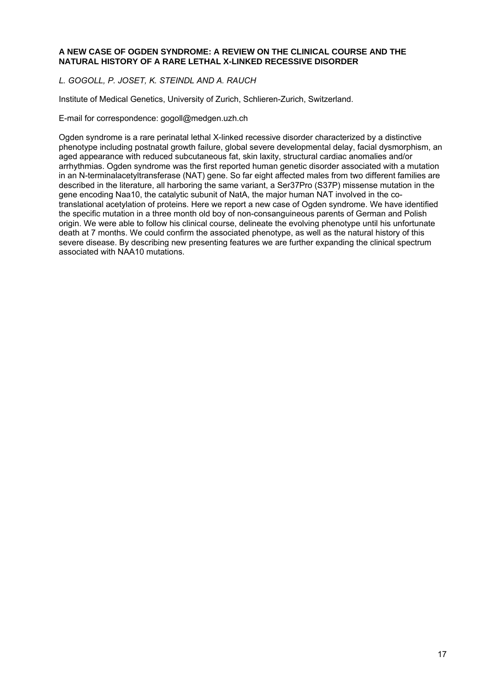#### **A NEW CASE OF OGDEN SYNDROME: A REVIEW ON THE CLINICAL COURSE AND THE NATURAL HISTORY OF A RARE LETHAL X-LINKED RECESSIVE DISORDER**

#### *L. GOGOLL, P. JOSET, K. STEINDL AND A. RAUCH*

Institute of Medical Genetics, University of Zurich, Schlieren-Zurich, Switzerland.

E-mail for correspondence: gogoll@medgen.uzh.ch

Ogden syndrome is a rare perinatal lethal X-linked recessive disorder characterized by a distinctive phenotype including postnatal growth failure, global severe developmental delay, facial dysmorphism, an aged appearance with reduced subcutaneous fat, skin laxity, structural cardiac anomalies and/or arrhythmias. Ogden syndrome was the first reported human genetic disorder associated with a mutation in an N-terminalacetyltransferase (NAT) gene. So far eight affected males from two different families are described in the literature, all harboring the same variant, a Ser37Pro (S37P) missense mutation in the gene encoding Naa10, the catalytic subunit of NatA, the major human NAT involved in the cotranslational acetylation of proteins. Here we report a new case of Ogden syndrome. We have identified the specific mutation in a three month old boy of non-consanguineous parents of German and Polish origin. We were able to follow his clinical course, delineate the evolving phenotype until his unfortunate death at 7 months. We could confirm the associated phenotype, as well as the natural history of this severe disease. By describing new presenting features we are further expanding the clinical spectrum associated with NAA10 mutations.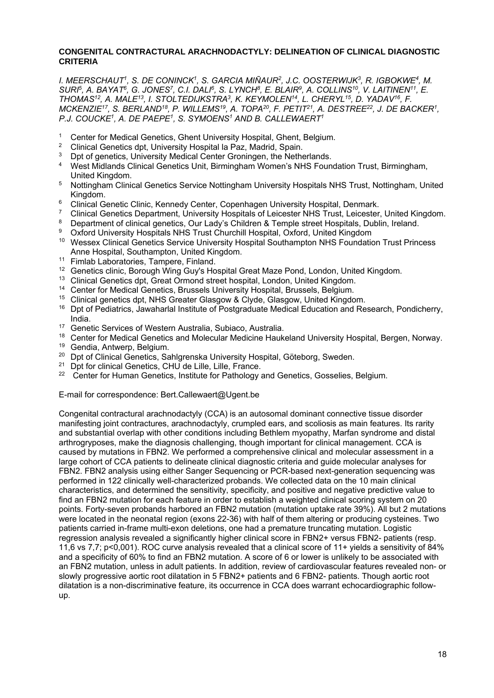#### **CONGENITAL CONTRACTURAL ARACHNODACTYLY: DELINEATION OF CLINICAL DIAGNOSTIC CRITERIA**

*I. MEERSCHAUT1, S. DE CONINCK1, S. GARCIA MIÑAUR2, J.C. OOSTERWIJK3, R. IGBOKWE4, M. SURI5, A. BAYAT6, G. JONES7, C.I. DALI6, S. LYNCH8, E. BLAIR9, A. COLLINS10, V. LAITINEN11, E. THOMAS12, A. MALE13, I. STOLTEDIJKSTRA3, K. KEYMOLEN14, L. CHERYL15, D. YADAV16, F. MCKENZIE17, S. BERLAND18, P. WILLEMS19, A. TOPA20, F. PETIT21, A. DESTREE22, J. DE BACKER1, P.J. COUCKE1, A. DE PAEPE1, S. SYMOENS1 AND B. CALLEWAERT1* 

- <sup>1</sup> Center for Medical Genetics, Ghent University Hospital, Ghent, Belgium.<br><sup>2</sup> Clinical Constitue dat, University Usepital a Pers Mediid, Speig.
- 2 Clinical Genetics dpt, University Hospital la Paz, Madrid, Spain.
- <sup>3</sup> Dpt of genetics, University Medical Center Groningen, the Netherlands.
- 4 West Midlands Clinical Genetics Unit, Birmingham Women's NHS Foundation Trust, Birmingham, United Kingdom.
- 5 Nottingham Clinical Genetics Service Nottingham University Hospitals NHS Trust, Nottingham, United Kingdom.
- <sup>6</sup> Clinical Genetic Clinic, Kennedy Center, Copenhagen University Hospital, Denmark.<br><sup>7</sup> Clinical Genetics Denartment, University Hospitals of Leicester NHS Trust, Leicester
- <sup>7</sup> Clinical Genetics Department, University Hospitals of Leicester NHS Trust, Leicester, United Kingdom.<br>8. Department of clinical genetics, Our Lady's Children & Temple atreet Hespitals, Dublin, Ireland
- <sup>8</sup> Department of clinical genetics, Our Lady's Children & Temple street Hospitals, Dublin, Ireland.<br><sup>8</sup> Oxford University Hospitals NHS Truet Churchill Hospital, Oxford, United Kingdom.
- 9 Oxford University Hospitals NHS Trust Churchill Hospital, Oxford, United Kingdom
- 10 Wessex Clinical Genetics Service University Hospital Southampton NHS Foundation Trust Princess Anne Hospital, Southampton, United Kingdom.
- <sup>11</sup> Fimlab Laboratories, Tampere, Finland.<br><sup>12</sup> Genetics clinic, Borough Wing Guy's Ho
- <sup>12</sup> Genetics clinic, Borough Wing Guy's Hospital Great Maze Pond, London, United Kingdom.<br><sup>13</sup> Clinical Genetics dpt. Great Ormond street bospital. London, United Kingdom.
- <sup>13</sup> Clinical Genetics dpt, Great Ormond street hospital, London, United Kingdom.<br><sup>14</sup> Center for Medical Conotice, Brussels University Hospital, Brussels, Belgium.
- 14 Center for Medical Genetics, Brussels University Hospital, Brussels, Belgium.
- 15 Clinical genetics dpt, NHS Greater Glasgow & Clyde, Glasgow, United Kingdom.
- 16 Dpt of Pediatrics, Jawaharlal Institute of Postgraduate Medical Education and Research, Pondicherry, India.
- 17 Genetic Services of Western Australia, Subiaco, Australia.
- <sup>18</sup> Center for Medical Genetics and Molecular Medicine Haukeland University Hospital, Bergen, Norway.
- 19 Gendia, Antwerp, Belgium.
- <sup>20</sup> Dpt of Clinical Genetics, Sahlgrenska University Hospital, Göteborg, Sweden.
- <sup>21</sup> Dot for clinical Genetics, CHU de Lille, Lille, France.
- <sup>22</sup> Center for Human Genetics, Institute for Pathology and Genetics, Gosselies, Belgium.

E-mail for correspondence: Bert.Callewaert@Ugent.be

Congenital contractural arachnodactyly (CCA) is an autosomal dominant connective tissue disorder manifesting joint contractures, arachnodactyly, crumpled ears, and scoliosis as main features. Its rarity and substantial overlap with other conditions including Bethlem myopathy, Marfan syndrome and distal arthrogryposes, make the diagnosis challenging, though important for clinical management. CCA is caused by mutations in FBN2. We performed a comprehensive clinical and molecular assessment in a large cohort of CCA patients to delineate clinical diagnostic criteria and guide molecular analyses for FBN2. FBN2 analysis using either Sanger Sequencing or PCR-based next-generation sequencing was performed in 122 clinically well-characterized probands. We collected data on the 10 main clinical characteristics, and determined the sensitivity, specificity, and positive and negative predictive value to find an FBN2 mutation for each feature in order to establish a weighted clinical scoring system on 20 points. Forty-seven probands harbored an FBN2 mutation (mutation uptake rate 39%). All but 2 mutations were located in the neonatal region (exons 22-36) with half of them altering or producing cysteines. Two patients carried in-frame multi-exon deletions, one had a premature truncating mutation. Logistic regression analysis revealed a significantly higher clinical score in FBN2+ versus FBN2- patients (resp. 11,6 vs 7,7; p<0,001). ROC curve analysis revealed that a clinical score of 11+ yields a sensitivity of 84% and a specificity of 60% to find an FBN2 mutation. A score of 6 or lower is unlikely to be associated with an FBN2 mutation, unless in adult patients. In addition, review of cardiovascular features revealed non- or slowly progressive aortic root dilatation in 5 FBN2+ patients and 6 FBN2- patients. Though aortic root dilatation is a non-discriminative feature, its occurrence in CCA does warrant echocardiographic followup.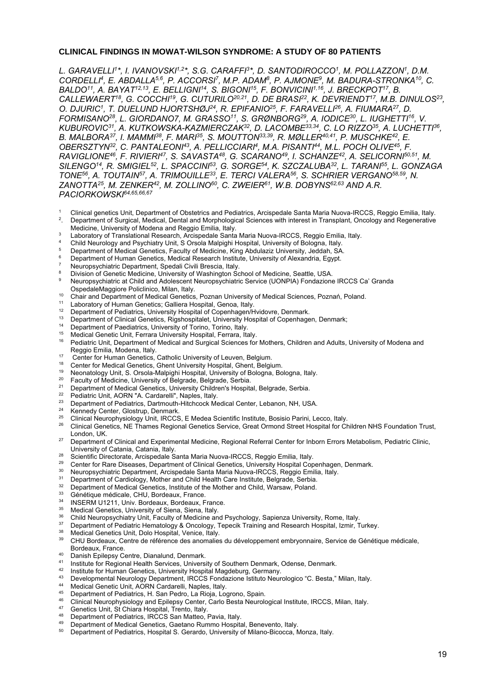#### **CLINICAL FINDINGS IN MOWAT-WILSON SYNDROME: A STUDY OF 80 PATIENTS**

L. GARAVELLI<sup>1\*</sup>, I. IVANOVSKI<sup>1,2\*</sup>, S.G. CARAFFI<sup>3\*</sup>, D. SANTODIROCCO<sup>1</sup>, M. POLLAZZON<sup>1</sup>, D.M. *CORDELLI4, E. ABDALLA5,6, P. ACCORSI7, M.P. ADAM8, P. AJMONE9, M. BADURA-STRONKA10, C. BALDO11, A. BAYAT12,13, E. BELLIGNI14, S. BIGONI15, F. BONVICINI1,16, J. BRECKPOT17, B. CALLEWAERT18, G. COCCHI19, G. CUTURILO20,21, D. DE BRASI22, K. DEVRIENDT17, M.B. DINULOS23, O. DJURIC1, T. DUELUND HJORTSHØJ24, R. EPIFANIO25, F. FARAVELLI26, A. FIUMARA27, D. FORMISANO28, L. GIORDANO7, M. GRASSO11, S. GRØNBORG29, A. IODICE30, L. IUGHETTI16, V. KUBUROVIC31, A. KUTKOWSKA-KAZMIERCZAK32, D. LACOMBE33,34, C. LO RIZZO35, A. LUCHETTI36, B. MALBORA<sup>37</sup>, I. MAMMI<sup>38</sup>, F. MARI<sup>35</sup>, S. MOUTTON<sup>33,39</sup>, R. MØLLER<sup>40,41</sup>, P. MUSCHKE<sup>42</sup>, E. OBERSZTYN32, C. PANTALEONI43, A. PELLICCIARI4, M.A. PISANTI44, M.L. POCH OLIVE45, F. RAVIGLIONE46, F. RIVIERI47, S. SAVASTA48, G. SCARANO49, I. SCHANZE42, A. SELICORNI50,51, M. SILENGO14, R. SMIGIEL52, L. SPACCINI53, G. SORGE54, K. SZCZALUBA32, L. TARANI55, L. GONZAGA TONE56, A. TOUTAIN57, A. TRIMOUILLE33, E. TERCI VALERA56, S. SCHRIER VERGANO58,59, N. ZANOTTA25, M. ZENKER42, M. ZOLLINO60, C. ZWEIER61, W.B. DOBYNS62,63 AND A.R. PACIORKOWSKI64,65,66,67* 

- 1 <sup>1</sup> Clinical genetics Unit, Department of Obstetrics and Pediatrics, Arcispedale Santa Maria Nuova-IRCCS, Reggio Emilia, Italy.<br><sup>2</sup> Department of Surgical Medical Dental and Morphological Sciences with interest in Transpla
- . Department of Surgical, Medical, Dental and Morphological Sciences with interest in Transplant, Oncology and Regenerative Medicine, University of Modena and Reggio Emilia, Italy.
- Laboratory of Translational Research, Arcispedale Santa Maria Nuova-IRCCS, Reggio Emilia, Italy. 4
- Child Neurology and Psychiatry Unit, S Orsola Malpighi Hospital, University of Bologna, Italy.
- <sup>5</sup> Department of Medical Genetics, Faculty of Medicine, King Abdulaziz University, Jeddah, SA.
- Department of Human Genetics, Medical Research Institute, University of Alexandria, Egypt.
- 7 Neuropsychiatric Department, Spedali Civili Brescia, Italy.
- 8 **BE Division of Genetic Medicine, University of Washington School of Medicine, Seattle, USA.**<br>9 Deuropsychiatric at Child and Adolescent Neuropsychiatric Service (UONPIA) Fondazione
- <sup>9</sup> Neuropsychiatric at Child and Adolescent Neuropsychiatric Service (UONPIA) Fondazione IRCCS Ca' Granda OspedaleMaggiore Policlinico, Milan, Italy.<br>
10 Chair and Department of Medical Genetics, Poznan University of Medical Sciences, Poznań, Poland.<br>
11 Laboratory of Human Genetics; Galliera Hospital, Genoa, Italy.<br>
12 Depart
- 
- 
- 
- <sup>13</sup> Department of Clinical Genetics, Rigshospitalet, University Hospital of Copenhagen, Denmark;<br><sup>14</sup> Department of Paediatrics, University of Torino, Torino, Italy.<br><sup>15</sup> Medical Constitution: Light Ecrecy University Hosp
- 
- <sup>15</sup> Medical Genetic Unit, Ferrara University Hospital, Ferrara, Italy.<br><sup>16</sup> Redigitio Unit, Department of Medical and Surgical Sciences for
- 16 Pediatric Unit, Department of Medical and Surgical Sciences for Mothers, Children and Adults, University of Modena and Reggio Emilia, Modena, Italy.<br>17 Center for Human Genetics, Catholic University of Leuven, Belgium.<br>18 Center for Medical Genetics, Ghent University Hospital, Ghent, Belgium.
- 
- 
- <sup>19</sup> Neonatology Unit, S. Orsola-Malpighi Hospital, University of Bologna, Bologna, Italy.<br><sup>20</sup> Faculty of Medicine, University of Belgrade, Belgrade, Serbia.<br><sup>21</sup> Department of Medical Constite, University Children's Hosp
- 
- <sup>21</sup> Department of Medical Genetics, University Children's Hospital, Belgrade, Serbia.<br><sup>22</sup> Pediatric Unit, AORN "A. Cardarelli", Naples, Italy.<br><sup>23</sup> Penertment of Pediatrics, Pertamitik Unit, Italy.
- 
- 23 Department of Pediatrics, Dartmouth-Hitchcock Medical Center, Lebanon, NH, USA.
- 
- Kennedy Center, Glostrup, Denmark.<br>Clinical Neurophysiology Unit, IRCCS, E Medea Scientific Institute, Bosisio Parini, Lecco, Italy.
- <sup>26</sup> Clinical Genetics, NE Thames Regional Genetics Service, Great Ormond Street Hospital for Children NHS Foundation Trust,
- London, UK.<br><sup>27</sup> Department of Clinical and Experimental Medicine, Regional Referral Center for Inborn Errors Metabolism, Pediatric Clinic,<br>University of Catania, Catania, Italy.
- 
- 28 Scientific Directorate, Arcispedale Santa Maria Nuova-IRCCS, Reggio Emilia, Italy.<br>
29 Center for Rare Diseases, Department of Clinical Genetics, University Hospital Copenhagen, Denmark.<br>
30 Neuropsychiatric Department,
- 
- 
- <sup>32</sup> Department of Medical Genetics, Institute of the Mother and Child, Warsaw, Poland.<br><sup>33</sup> Génétique médicale, CHU Bordeaux, France
- <sup>33</sup> Génétique médicale, CHU, Bordeaux, France.<br><sup>34</sup> JUSE DALU 14944, Unix, Regisseur, Bertherux, F
- <sup>34</sup> INSERM U1211, Univ. Bordeaux, Bordeaux, France.
- 
- 35 Medical Genetics, University of Siena, Siena, Italy.<br>35 Medical Genetics, University of Siena, Siena, Italy.<br>36 Child Neuropsychiatry Unit, Faculty of Medicine and Psychology, Sapienza University, Rome, Italy.
- Department of Pediatric Hematology & Oncology, Tepecik Training and Research Hospital, Izmir, Turkey.<br><sup>38</sup> Medical Genetics Unit, Dolo Hospital, Venice, Italy.<br><sup>38</sup> CHILE Decretics: Unit, Dolo Hospital, Venice, Italy.
- 
- 39 CHU Bordeaux, Centre de référence des anomalies du développement embryonnaire, Service de Génétique médicale,
- Bordeaux, France.<br>
<sup>40</sup> Danish Epilepsy Centre, Dianalund, Denmark.<br>
<sup>41</sup> Unstitute for Degiscal Haelth Centinea, Univers
- 41 Institute for Regional Health Services, University of Southern Denmark, Odense, Denmark.<br>42 Institute for Human Genetics, University Hospital Magdeburg, Germany.<br>43 Developmental Nauroleay Department, IBCCS Fondazione I
- 
- 43 Developmental Neurology Department, IRCCS Fondazione Istituto Neurologico "C. Besta," Milan, Italy.<br>44 Medical Genetic Unit, AORN Cardarelli, Naples, Italy.<br>45 Department of Dediction U. Can Dadre J.a Disia Jacquese Cap
- 
- 45 Department of Pediatrics, H. San Pedro, La Rioja, Logrono, Spain.<br>46 Clinical Neurophysiology and Enilopsy Contar, Carlo Bosta Neurole
- 46 Clinical Neurophysiology and Epilepsy Center, Carlo Besta Neurological Institute, IRCCS, Milan, Italy.<br>47 Genetics Unit, St Chiara Hospital, Trento, Italy.
- 
- 48 Department of Pediatrics, IRCCS San Matteo, Pavia, Italy.<br>49 Department of Modical Conctine Centers Bumme Heepite
- Department of Medical Genetics, Gaetano Rummo Hospital, Benevento, Italy.
- 50 Department of Pediatrics, Hospital S. Gerardo, University of Milano-Bicocca, Monza, Italy.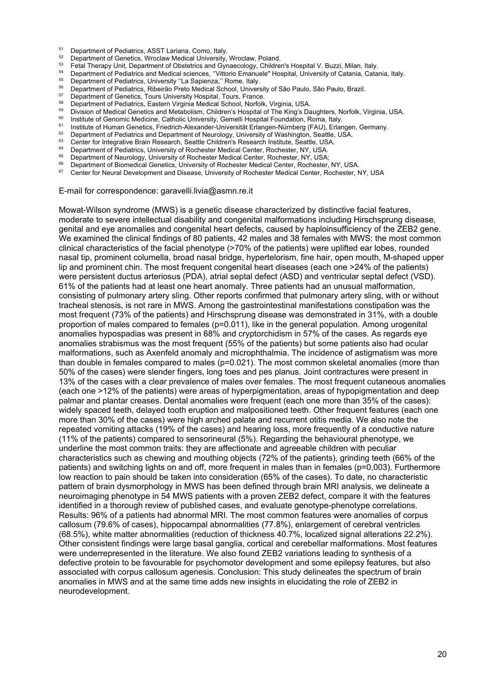- 
- <sup>51</sup> Department of Pediatrics, ASST Lariana, Como, Italy.<br><sup>52</sup> Department of Genetics, Wroclaw Medical University, Wroclaw, Poland.
- 
- <sup>53</sup><br>
Fetal Therapy Unit, Department of Obstetrics and Gynaecology, Children's Hospital V. Buzzi, Milan, Italy.<br>
<sup>54</sup> Department of Pediatrics and Medical sciences, "Vittorio Emanuele" Hospital, University of Catania, Cata
- 
- 
- 
- 
- 
- 
- <sup>61</sup> Institute of Human Genetics, Friedrich-Alexander-Universität Erlangen-Nürnberg (FAU), Erlangen, Germany.<br>
<sup>62</sup> Department of Pediatrics and Department of Neurology, University of Washington, Seattle, USA.<br>
<sup>63</sup> Center
- 
- 
- 
- 
- 
- 

E-mail for correspondence: garavelli.livia@asmn.re.it

Mowat-Wilson syndrome (MWS) is a genetic disease characterized by distinctive facial features, moderate to severe intellectual disability and congenital malformations including Hirschsprung disease, genital and eye anomalies and congenital heart defects, caused by haploinsufficiency of the ZEB2 gene. We examined the clinical findings of 80 patients, 42 males and 38 females with MWS: the most common clinical characteristics of the facial phenotype (>70% of the patients) were uplifted ear lobes, rounded nasal tip, prominent columella, broad nasal bridge, hypertelorism, fine hair, open mouth, M-shaped upper lip and prominent chin. The most frequent congenital heart diseases (each one >24% of the patients) were persistent ductus arteriosus (PDA), atrial septal defect (ASD) and ventricular septal defect (VSD). 61% of the patients had at least one heart anomaly. Three patients had an unusual malformation, consisting of pulmonary artery sling. Other reports confirmed that pulmonary artery sling, with or without tracheal stenosis, is not rare in MWS. Among the gastrointestinal manifestations constipation was the most frequent (73% of the patients) and Hirschsprung disease was demonstrated in 31%, with a double proportion of males compared to females (p=0.011), like in the general population. Among urogenital anomalies hypospadias was present in 68% and cryptorchidism in 57% of the cases. As regards eye anomalies strabismus was the most frequent (55% of the patients) but some patients also had ocular malformations, such as Axenfeld anomaly and microphthalmia. The incidence of astigmatism was more than double in females compared to males (p=0.021). The most common skeletal anomalies (more than 50% of the cases) were slender fingers, long toes and pes planus. Joint contractures were present in 13% of the cases with a clear prevalence of males over females. The most frequent cutaneous anomalies (each one >12% of the patients) were areas of hyperpigmentation, areas of hypopigmentation and deep palmar and plantar creases. Dental anomalies were frequent (each one more than 35% of the cases): widely spaced teeth, delayed tooth eruption and malpositioned teeth. Other frequent features (each one more than 30% of the cases) were high arched palate and recurrent otitis media. We also note the repeated vomiting attacks (19% of the cases) and hearing loss, more frequently of a conductive nature (11% of the patients) compared to sensorineural (5%). Regarding the behavioural phenotype, we underline the most common traits: they are affectionate and agreeable children with peculiar characteristics such as chewing and mouthing objects (72% of the patients), grinding teeth (66% of the patients) and switching lights on and off, more frequent in males than in females (p=0,003). Furthermore low reaction to pain should be taken into consideration (65% of the cases). To date, no characteristic pattern of brain dysmorphology in MWS has been defined through brain MRI analysis, we delineate a neuroimaging phenotype in 54 MWS patients with a proven ZEB2 defect, compare it with the features identified in a thorough review of published cases, and evaluate genotype-phenotype correlations. Results: 96% of a patients had abnormal MRI. The most common features were anomalies of corpus callosum (79.6% of cases), hippocampal abnormalities (77.8%), enlargement of cerebral ventricles (68.5%), white matter abnormalities (reduction of thickness 40.7%, localized signal alterations 22.2%). Other consistent findings were large basal ganglia, cortical and cerebellar malformations. Most features were underrepresented in the literature. We also found ZEB2 variations leading to synthesis of a defective protein to be favourable for psychomotor development and some epilepsy features, but also associated with corpus callosum agenesis. Conclusion: This study delineates the spectrum of brain anomalies in MWS and at the same time adds new insights in elucidating the role of ZEB2 in neurodevelopment.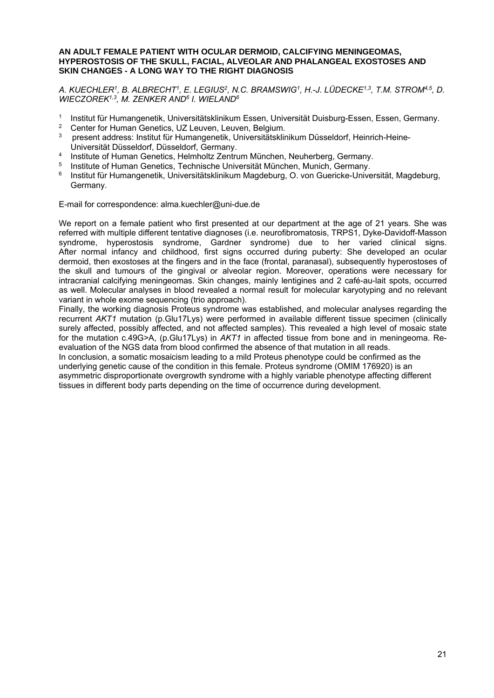#### **AN ADULT FEMALE PATIENT WITH OCULAR DERMOID, CALCIFYING MENINGEOMAS, HYPEROSTOSIS OF THE SKULL, FACIAL, ALVEOLAR AND PHALANGEAL EXOSTOSES AND SKIN CHANGES - A LONG WAY TO THE RIGHT DIAGNOSIS**

*A. KUECHLER1, B. ALBRECHT1, E. LEGIUS2, N.C. BRAMSWIG1, H.-J. LÜDECKE1,3, T.M. STROM4,5, D. WIECZOREK1,3, M. ZENKER AND6 I. WIELAND6* 

- 1 Institut für Humangenetik, Universitätsklinikum Essen, Universität Duisburg-Essen, Essen, Germany.<br>2 Center for Human Genetics, UZ Leuven, Leuven, Belgium
- <sup>2</sup> Center for Human Genetics, UZ Leuven, Leuven, Belgium.
- 3 present address: Institut für Humangenetik, Universitätsklinikum Düsseldorf, Heinrich-Heine-Universität Düsseldorf, Düsseldorf, Germany.
- <sup>4</sup> Institute of Human Genetics, Helmholtz Zentrum München, Neuherberg, Germany.<br>
<sup>5</sup> Institute of Human Conotice, Technische Universität München, Munich, Cermany.
- 5 Institute of Human Genetics, Technische Universität München, Munich, Germany.
- 6 Institut für Humangenetik, Universitätsklinikum Magdeburg, O. von Guericke-Universität, Magdeburg, Germany.

E-mail for correspondence: alma.kuechler@uni-due.de

We report on a female patient who first presented at our department at the age of 21 years. She was referred with multiple different tentative diagnoses (i.e. neurofibromatosis, TRPS1, Dyke-Davidoff-Masson syndrome, hyperostosis syndrome, Gardner syndrome) due to her varied clinical signs. After normal infancy and childhood, first signs occurred during puberty: She developed an ocular dermoid, then exostoses at the fingers and in the face (frontal, paranasal), subsequently hyperostoses of the skull and tumours of the gingival or alveolar region. Moreover, operations were necessary for intracranial calcifying meningeomas. Skin changes, mainly lentigines and 2 café-au-lait spots, occurred as well. Molecular analyses in blood revealed a normal result for molecular karyotyping and no relevant variant in whole exome sequencing (trio approach).

Finally, the working diagnosis Proteus syndrome was established, and molecular analyses regarding the recurrent *AKT1* mutation (p.Glu17Lys) were performed in available different tissue specimen (clinically surely affected, possibly affected, and not affected samples). This revealed a high level of mosaic state for the mutation c.49G>A, (p.Glu17Lys) in *AKT1* in affected tissue from bone and in meningeoma. Reevaluation of the NGS data from blood confirmed the absence of that mutation in all reads. In conclusion, a somatic mosaicism leading to a mild Proteus phenotype could be confirmed as the underlying genetic cause of the condition in this female. Proteus syndrome (OMIM 176920) is an asymmetric disproportionate overgrowth syndrome with a highly variable phenotype affecting different tissues in different body parts depending on the time of occurrence during development.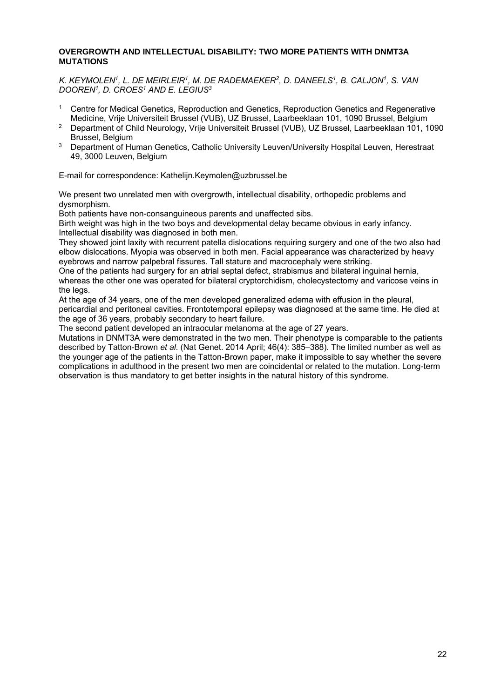#### **OVERGROWTH AND INTELLECTUAL DISABILITY: TWO MORE PATIENTS WITH DNMT3A MUTATIONS**

*K. KEYMOLEN1, L. DE MEIRLEIR1, M. DE RADEMAEKER2, D. DANEELS1, B. CALJON1, S. VAN DOOREN1, D. CROES1 AND E. LEGIUS3* 

- 1 Centre for Medical Genetics, Reproduction and Genetics, Reproduction Genetics and Regenerative Medicine, Vrije Universiteit Brussel (VUB), UZ Brussel, Laarbeeklaan 101, 1090 Brussel, Belgium
- <sup>2</sup> Department of Child Neurology, Vrije Universiteit Brussel (VUB), UZ Brussel, Laarbeeklaan 101, 1090 Brussel, Belgium
- <sup>3</sup> Department of Human Genetics, Catholic University Leuven/University Hospital Leuven, Herestraat 49, 3000 Leuven, Belgium

E-mail for correspondence: Kathelijn.Keymolen@uzbrussel.be

We present two unrelated men with overgrowth, intellectual disability, orthopedic problems and dysmorphism.

Both patients have non-consanguineous parents and unaffected sibs.

Birth weight was high in the two boys and developmental delay became obvious in early infancy. Intellectual disability was diagnosed in both men.

They showed joint laxity with recurrent patella dislocations requiring surgery and one of the two also had elbow dislocations. Myopia was observed in both men. Facial appearance was characterized by heavy eyebrows and narrow palpebral fissures. Tall stature and macrocephaly were striking.

One of the patients had surgery for an atrial septal defect, strabismus and bilateral inguinal hernia, whereas the other one was operated for bilateral cryptorchidism, cholecystectomy and varicose veins in the legs.

At the age of 34 years, one of the men developed generalized edema with effusion in the pleural, pericardial and peritoneal cavities. Frontotemporal epilepsy was diagnosed at the same time. He died at the age of 36 years, probably secondary to heart failure.

The second patient developed an intraocular melanoma at the age of 27 years.

Mutations in DNMT3A were demonstrated in the two men. Their phenotype is comparable to the patients described by Tatton-Brown *et al*. (Nat Genet. 2014 April; 46(4): 385–388). The limited number as well as the younger age of the patients in the Tatton-Brown paper, make it impossible to say whether the severe complications in adulthood in the present two men are coincidental or related to the mutation. Long-term observation is thus mandatory to get better insights in the natural history of this syndrome.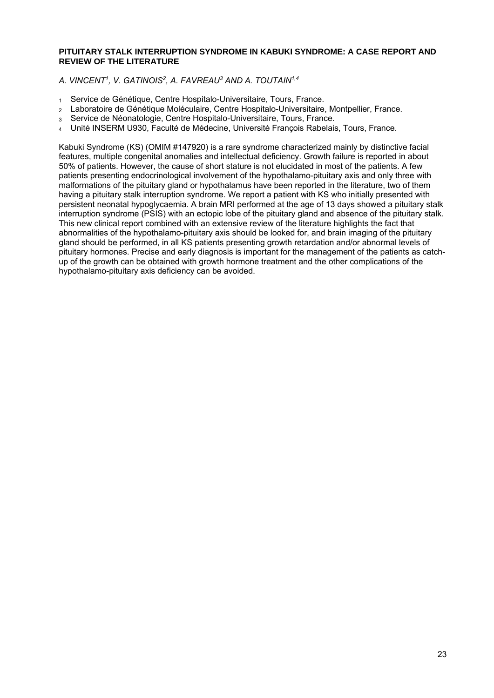#### **PITUITARY STALK INTERRUPTION SYNDROME IN KABUKI SYNDROME: A CASE REPORT AND REVIEW OF THE LITERATURE**

*A. VINCENT1, V. GATINOIS2, A. FAVREAU3 AND A. TOUTAIN1,4* 

- 1 Service de Génétique, Centre Hospitalo-Universitaire, Tours, France.
- 2 Laboratoire de Génétique Moléculaire, Centre Hospitalo-Universitaire, Montpellier, France.
- 3 Service de Néonatologie, Centre Hospitalo-Universitaire, Tours, France.
- 4 Unité INSERM U930, Faculté de Médecine, Université François Rabelais, Tours, France.

Kabuki Syndrome (KS) (OMIM #147920) is a rare syndrome characterized mainly by distinctive facial features, multiple congenital anomalies and intellectual deficiency. Growth failure is reported in about 50% of patients. However, the cause of short stature is not elucidated in most of the patients. A few patients presenting endocrinological involvement of the hypothalamo-pituitary axis and only three with malformations of the pituitary gland or hypothalamus have been reported in the literature, two of them having a pituitary stalk interruption syndrome. We report a patient with KS who initially presented with persistent neonatal hypoglycaemia. A brain MRI performed at the age of 13 days showed a pituitary stalk interruption syndrome (PSIS) with an ectopic lobe of the pituitary gland and absence of the pituitary stalk. This new clinical report combined with an extensive review of the literature highlights the fact that abnormalities of the hypothalamo-pituitary axis should be looked for, and brain imaging of the pituitary gland should be performed, in all KS patients presenting growth retardation and/or abnormal levels of pituitary hormones. Precise and early diagnosis is important for the management of the patients as catchup of the growth can be obtained with growth hormone treatment and the other complications of the hypothalamo-pituitary axis deficiency can be avoided.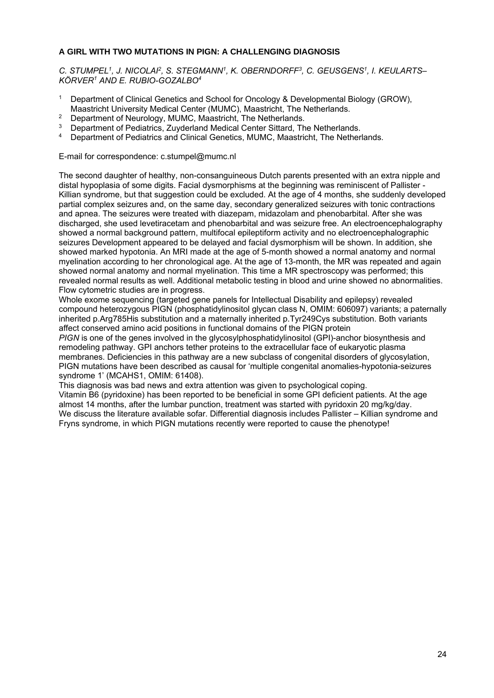#### **A GIRL WITH TWO MUTATIONS IN PIGN: A CHALLENGING DIAGNOSIS**

*C. STUMPEL1, J. NICOLAI2, S. STEGMANN1, K. OBERNDORFF3, C. GEUSGENS1, I. KEULARTS– KÖRVER1 AND E. RUBIO-GOZALBO4* 

- <sup>1</sup> Department of Clinical Genetics and School for Oncology & Developmental Biology (GROW), Maastricht University Medical Center (MUMC), Maastricht, The Netherlands.
- <sup>2</sup> Department of Neurology, MUMC, Maastricht, The Netherlands.
- <sup>3</sup> Department of Pediatrics, Zuyderland Medical Center Sittard, The Netherlands.<br><sup>4</sup> Department of Pediatrics and Clinical Censties, MUMC, Megatricht, The Netherlands.
- 4 Department of Pediatrics and Clinical Genetics, MUMC, Maastricht, The Netherlands.

E-mail for correspondence: c.stumpel@mumc.nl

The second daughter of healthy, non-consanguineous Dutch parents presented with an extra nipple and distal hypoplasia of some digits. Facial dysmorphisms at the beginning was reminiscent of Pallister - Killian syndrome, but that suggestion could be excluded. At the age of 4 months, she suddenly developed partial complex seizures and, on the same day, secondary generalized seizures with tonic contractions and apnea. The seizures were treated with diazepam, midazolam and phenobarbital. After she was discharged, she used levetiracetam and phenobarbital and was seizure free. An electroencephalography showed a normal background pattern, multifocal epileptiform activity and no electroencephalographic seizures Development appeared to be delayed and facial dysmorphism will be shown. In addition, she showed marked hypotonia. An MRI made at the age of 5-month showed a normal anatomy and normal myelination according to her chronological age. At the age of 13-month, the MR was repeated and again showed normal anatomy and normal myelination. This time a MR spectroscopy was performed; this revealed normal results as well. Additional metabolic testing in blood and urine showed no abnormalities. Flow cytometric studies are in progress.

Whole exome sequencing (targeted gene panels for Intellectual Disability and epilepsy) revealed compound heterozygous PIGN (phosphatidylinositol glycan class N, OMIM: 606097) variants; a paternally inherited p.Arg785His substitution and a maternally inherited p.Tyr249Cys substitution. Both variants affect conserved amino acid positions in functional domains of the PIGN protein

*PIGN* is one of the genes involved in the glycosylphosphatidylinositol (GPI)-anchor biosynthesis and remodeling pathway. GPI anchors tether proteins to the extracellular face of eukaryotic plasma membranes. Deficiencies in this pathway are a new subclass of congenital disorders of glycosylation, PIGN mutations have been described as causal for 'multiple congenital anomalies-hypotonia-seizures syndrome 1' (MCAHS1, OMIM: 61408).

This diagnosis was bad news and extra attention was given to psychological coping.

Vitamin B6 (pyridoxine) has been reported to be beneficial in some GPI deficient patients. At the age almost 14 months, after the lumbar punction, treatment was started with pyridoxin 20 mg/kg/day. We discuss the literature available sofar. Differential diagnosis includes Pallister – Killian syndrome and Fryns syndrome, in which PIGN mutations recently were reported to cause the phenotype!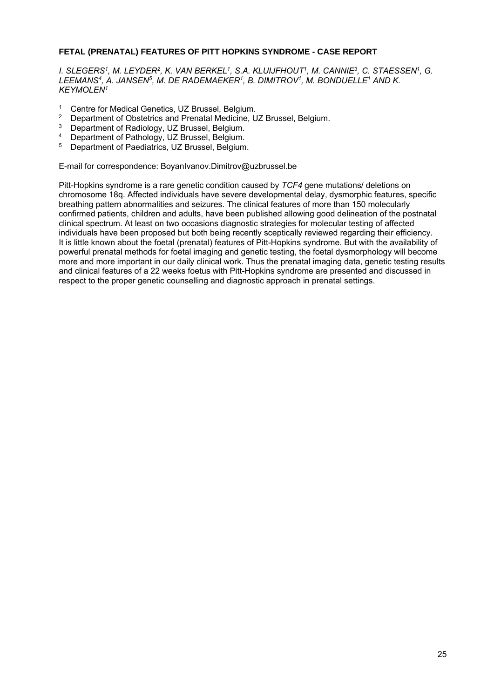#### **FETAL (PRENATAL) FEATURES OF PITT HOPKINS SYNDROME - CASE REPORT**

*I. SLEGERS1, M. LEYDER2, K. VAN BERKEL1, S.A. KLUIJFHOUT1, M. CANNIE3, C. STAESSEN1, G.*  LEEMANS<sup>4</sup>, A. JANSEN<sup>5</sup>, M. DE RADEMAEKER<sup>1</sup>, B. DIMITROV<sup>1</sup>, M. BONDUELLE<sup>1</sup> AND K. *KEYMOLEN1* 

- <sup>1</sup> Centre for Medical Genetics, UZ Brussel, Belgium.<br><sup>2</sup> Department of Obstatrics and Prepatal Medicine, U
- <sup>2</sup> Department of Obstetrics and Prenatal Medicine, UZ Brussel, Belgium.<br><sup>3</sup> Department of Badielagy, UZ Brussel, Belgium.
- <sup>3</sup> Department of Radiology, UZ Brussel, Belgium.<br><sup>4</sup> Department of Bethology, UZ Brussel, Belgium.
- <sup>4</sup> Department of Pathology, UZ Brussel, Belgium.<br><sup>5</sup> Department of Paediatrics, UZ Brussel, Belgium
- 5 Department of Paediatrics, UZ Brussel, Belgium.

E-mail for correspondence: BoyanIvanov.Dimitrov@uzbrussel.be

Pitt-Hopkins syndrome is a rare genetic condition caused by *TCF4* gene mutations/ deletions on chromosome 18q. Affected individuals have severe developmental delay, dysmorphic features, specific breathing pattern abnormalities and seizures. The clinical features of more than 150 molecularly confirmed patients, children and adults, have been published allowing good delineation of the postnatal clinical spectrum. At least on two occasions diagnostic strategies for molecular testing of affected individuals have been proposed but both being recently sceptically reviewed regarding their efficiency. It is little known about the foetal (prenatal) features of Pitt-Hopkins syndrome. But with the availability of powerful prenatal methods for foetal imaging and genetic testing, the foetal dysmorphology will become more and more important in our daily clinical work. Thus the prenatal imaging data, genetic testing results and clinical features of a 22 weeks foetus with Pitt-Hopkins syndrome are presented and discussed in respect to the proper genetic counselling and diagnostic approach in prenatal settings.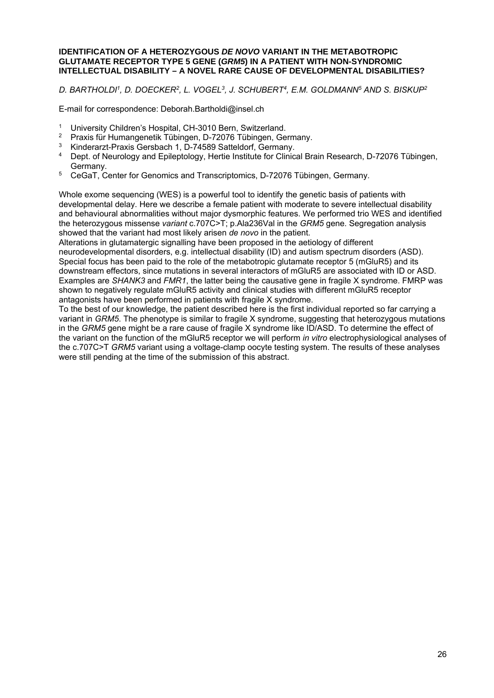#### **IDENTIFICATION OF A HETEROZYGOUS** *DE NOVO* **VARIANT IN THE METABOTROPIC GLUTAMATE RECEPTOR TYPE 5 GENE (***GRM5***) IN A PATIENT WITH NON-SYNDROMIC INTELLECTUAL DISABILITY – A NOVEL RARE CAUSE OF DEVELOPMENTAL DISABILITIES?**

*D. BARTHOLDI1, D. DOECKER2, L. VOGEL3, J. SCHUBERT4, E.M. GOLDMANN5 AND S. BISKUP2* 

E-mail for correspondence: Deborah.Bartholdi@insel.ch

- <sup>1</sup> University Children's Hospital, CH-3010 Bern, Switzerland.<br><sup>2</sup> Provis für Humangenetik Tübingen, D. 72076 Tübingen, Co.
- <sup>2</sup> Praxis für Humangenetik Tübingen, D-72076 Tübingen, Germany.<br><sup>3</sup> Kinderert Praxis Cerebash 1, D. 74589 Settelderf, Germany.
- <sup>3</sup> Kinderarzt-Praxis Gersbach 1, D-74589 Satteldorf, Germany.<br><sup>4</sup> Dent of Neurolagy and Epileptelegy, Hertie Institute for Clinia
- 4 Dept. of Neurology and Epileptology, Hertie Institute for Clinical Brain Research, D-72076 Tübingen, Germany.
- <sup>5</sup> CeGaT, Center for Genomics and Transcriptomics, D-72076 Tübingen, Germany.

Whole exome sequencing (WES) is a powerful tool to identify the genetic basis of patients with developmental delay. Here we describe a female patient with moderate to severe intellectual disability and behavioural abnormalities without major dysmorphic features. We performed trio WES and identified the heterozygous missense *variant* c.707C>T; p.Ala236Val in the *GRM5* gene. Segregation analysis showed that the variant had most likely arisen *de novo* in the patient.

Alterations in glutamatergic signalling have been proposed in the aetiology of different neurodevelopmental disorders, e.g. intellectual disability (ID) and autism spectrum disorders (ASD). Special focus has been paid to the role of the metabotropic glutamate receptor 5 (mGluR5) and its downstream effectors, since mutations in several interactors of mGluR5 are associated with ID or ASD. Examples are *SHANK3* and *FMR1*, the latter being the causative gene in fragile X syndrome. FMRP was shown to negatively regulate mGluR5 activity and clinical studies with different mGluR5 receptor antagonists have been performed in patients with fragile X syndrome.

To the best of our knowledge, the patient described here is the first individual reported so far carrying a variant in *GRM5*. The phenotype is similar to fragile X syndrome, suggesting that heterozygous mutations in the *GRM5* gene might be a rare cause of fragile X syndrome like ID/ASD. To determine the effect of the variant on the function of the mGluR5 receptor we will perform *in vitro* electrophysiological analyses of the c.707C>T *GRM5* variant using a voltage-clamp oocyte testing system. The results of these analyses were still pending at the time of the submission of this abstract.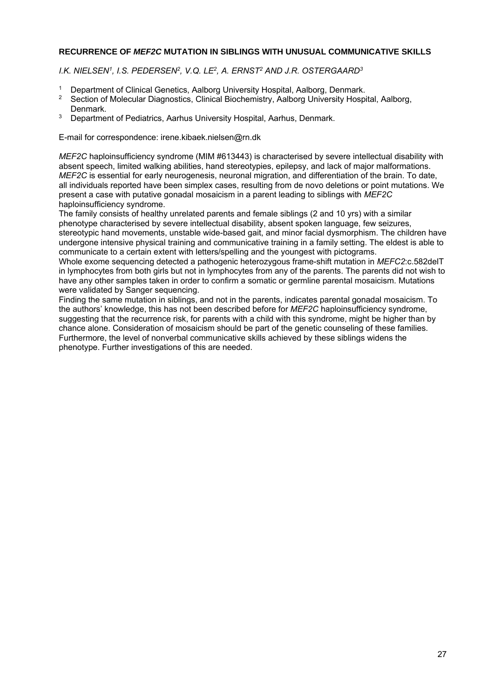#### **RECURRENCE OF** *MEF2C* **MUTATION IN SIBLINGS WITH UNUSUAL COMMUNICATIVE SKILLS**

*I.K. NIELSEN1, I.S. PEDERSEN2, V.Q. LE2, A. ERNST2 AND J.R. OSTERGAARD3* 

- <sup>1</sup> Department of Clinical Genetics, Aalborg University Hospital, Aalborg, Denmark.<br><sup>2</sup> Section of Melocular Digenesties, Clinical Biochemistry, Aalborg University Hosp
- 2 Section of Molecular Diagnostics, Clinical Biochemistry, Aalborg University Hospital, Aalborg, Denmark.
- <sup>3</sup> Department of Pediatrics, Aarhus University Hospital, Aarhus, Denmark.

E-mail for correspondence: irene.kibaek.nielsen@rn.dk

*MEF2C* haploinsufficiency syndrome (MIM #613443) is characterised by severe intellectual disability with absent speech, limited walking abilities, hand stereotypies, epilepsy, and lack of major malformations. *MEF2C* is essential for early neurogenesis, neuronal migration, and differentiation of the brain. To date, all individuals reported have been simplex cases, resulting from de novo deletions or point mutations. We present a case with putative gonadal mosaicism in a parent leading to siblings with *MEF2C* haploinsufficiency syndrome.

The family consists of healthy unrelated parents and female siblings (2 and 10 yrs) with a similar phenotype characterised by severe intellectual disability, absent spoken language, few seizures, stereotypic hand movements, unstable wide-based gait, and minor facial dysmorphism. The children have undergone intensive physical training and communicative training in a family setting. The eldest is able to communicate to a certain extent with letters/spelling and the youngest with pictograms.

Whole exome sequencing detected a pathogenic heterozygous frame-shift mutation in *MEFC2*:c.582delT in lymphocytes from both girls but not in lymphocytes from any of the parents. The parents did not wish to have any other samples taken in order to confirm a somatic or germline parental mosaicism. Mutations were validated by Sanger sequencing.

Finding the same mutation in siblings, and not in the parents, indicates parental gonadal mosaicism. To the authors' knowledge, this has not been described before for *MEF2C* haploinsufficiency syndrome, suggesting that the recurrence risk, for parents with a child with this syndrome, might be higher than by chance alone. Consideration of mosaicism should be part of the genetic counseling of these families. Furthermore, the level of nonverbal communicative skills achieved by these siblings widens the phenotype. Further investigations of this are needed.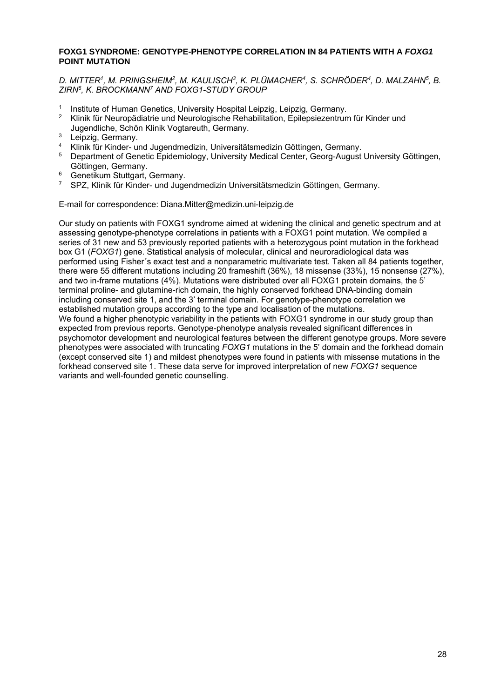#### **FOXG1 SYNDROME: GENOTYPE-PHENOTYPE CORRELATION IN 84 PATIENTS WITH A** *FOXG1* **POINT MUTATION**

*D. MITTER1, M. PRINGSHEIM2, M. KAULISCH3, K. PLÜMACHER4, S. SCHRÖDER4, D. MALZAHN5, B. ZIRN6, K. BROCKMANN7 AND FOXG1-STUDY GROUP* 

- 1 Institute of Human Genetics, University Hospital Leipzig, Leipzig, Germany.<br>2 Klinik für Neuropädiatrie und Neurologische Pehabilitation. Enilensiezentrun
- 2 Klinik für Neuropädiatrie und Neurologische Rehabilitation, Epilepsiezentrum für Kinder und Jugendliche, Schön Klinik Vogtareuth, Germany.
- $3$  Leipzig, Germany.
- 4 Klinik für Kinder- und Jugendmedizin, Universitätsmedizin Göttingen, Germany.
- 5 Department of Genetic Epidemiology, University Medical Center, Georg-August University Göttingen, Göttingen, Germany.
- <sup>6</sup> Genetikum Stuttgart, Germany.
- 7 SPZ, Klinik für Kinder- und Jugendmedizin Universitätsmedizin Göttingen, Germany.

E-mail for correspondence: Diana.Mitter@medizin.uni-leipzig.de

Our study on patients with FOXG1 syndrome aimed at widening the clinical and genetic spectrum and at assessing genotype-phenotype correlations in patients with a FOXG1 point mutation. We compiled a series of 31 new and 53 previously reported patients with a heterozygous point mutation in the forkhead box G1 (*FOXG1*) gene. Statistical analysis of molecular, clinical and neuroradiological data was performed using Fisher´s exact test and a nonparametric multivariate test. Taken all 84 patients together, there were 55 different mutations including 20 frameshift (36%), 18 missense (33%), 15 nonsense (27%), and two in-frame mutations (4%). Mutations were distributed over all FOXG1 protein domains, the 5' terminal proline- and glutamine-rich domain, the highly conserved forkhead DNA-binding domain including conserved site 1, and the 3' terminal domain. For genotype-phenotype correlation we established mutation groups according to the type and localisation of the mutations. We found a higher phenotypic variability in the patients with FOXG1 syndrome in our study group than expected from previous reports. Genotype-phenotype analysis revealed significant differences in psychomotor development and neurological features between the different genotype groups. More severe phenotypes were associated with truncating *FOXG1* mutations in the 5' domain and the forkhead domain (except conserved site 1) and mildest phenotypes were found in patients with missense mutations in the forkhead conserved site 1. These data serve for improved interpretation of new *FOXG1* sequence variants and well-founded genetic counselling.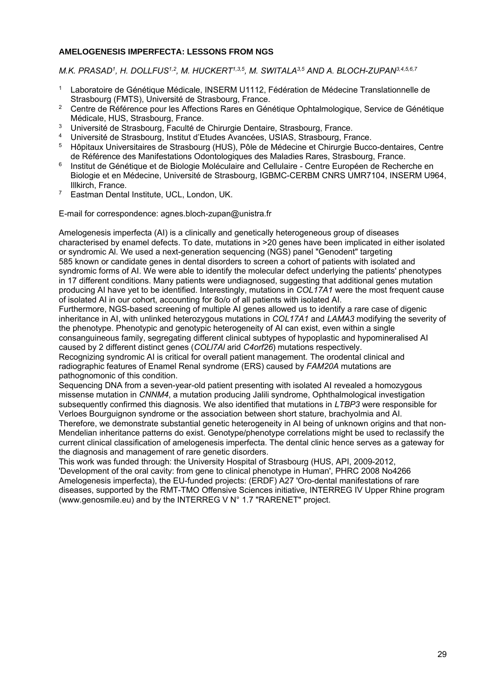#### **AMELOGENESIS IMPERFECTA: LESSONS FROM NGS**

*M.K. PRASAD1, H. DOLLFUS1,2, M. HUCKERT1,3,5, M. SWITALA3,5 AND A. BLOCH-ZUPAN3,4,5,6,7*

- 1 Laboratoire de Génétique Médicale, INSERM U1112, Fédération de Médecine Translationnelle de Strasbourg (FMTS), Université de Strasbourg, France.
- <sup>2</sup> Centre de Référence pour les Affections Rares en Génétique Ophtalmologique, Service de Génétique Médicale, HUS, Strasbourg, France.
- <sup>3</sup> Université de Strasbourg, Faculté de Chirurgie Dentaire, Strasbourg, France.<br><sup>4</sup> Université de Strasbourg, Institut d'Etudes Avenaées, USIAS, Strasbourg, France.
- 4 Université de Strasbourg, Institut d'Etudes Avancées, USIAS, Strasbourg, France.<br>5 Hêpitaux Universitaires de Strasbourg (HUS), Pêle de Médecine et Chirurgie Buego
- 5 Hôpitaux Universitaires de Strasbourg (HUS), Pôle de Médecine et Chirurgie Bucco-dentaires, Centre de Référence des Manifestations Odontologiques des Maladies Rares, Strasbourg, France.
- <sup>6</sup> Institut de Génétique et de Biologie Moléculaire and Cellulaire Centre Européen de Recherche en Biologie et en Médecine, Université de Strasbourg, IGBMC-CERBM CNRS UMR7104, INSERM U964, Illkirch, France.
- 7 Eastman Dental Institute, UCL, London, UK.

E-mail for correspondence: agnes.bloch-zupan@unistra.fr

Amelogenesis imperfecta (AI) is a clinically and genetically heterogeneous group of diseases characterised by enamel defects. To date, mutations in >20 genes have been implicated in either isolated or syndromic Al. We used a next-generation sequencing (NGS) panel "Genodent" targeting 585 known or candidate genes in dental disorders to screen a cohort of patients with isolated and syndromic forms of AI. We were able to identify the molecular defect underlying the patients' phenotypes in 17 different conditions. Many patients were undiagnosed, suggesting that additional genes mutation producing AI have yet to be identified. Interestingly, mutations in *COL17A1* were the most frequent cause of isolated AI in our cohort, accounting for 8o/o of all patients with isolated AI.

Furthermore, NGS-based screening of multiple AI genes allowed us to identify a rare case of digenic inheritance in AI, with unlinked heterozygous mutations in *COL17A1* and *LAMA3* modifying the severity of the phenotype. Phenotypic and genotypic heterogeneity of AI can exist, even within a single consanguineous family, segregating different clinical subtypes of hypoplastic and hypomineralised AI caused by 2 different distinct genes (*COLl7Al* arid *C4orf26*) mutations respectively.

Recognizing syndromic AI is critical for overall patient management. The orodental clinical and radiographic features of Enamel Renal syndrome (ERS) caused by *FAM20A* mutations are pathognomonic of this condition.

Sequencing DNA from a seven-year-old patient presenting with isolated AI revealed a homozygous missense mutation in *CNNM4*, a mutation producing Jalili syndrome, Ophthalmological investigation subsequently confirmed this diagnosis. We also identified that mutations in *LTBP3* were responsible for Verloes Bourguignon syndrome or the association between short stature, brachyolmia and AI. Therefore, we demonstrate substantial genetic heterogeneity in AI being of unknown origins and that non-

Mendelian inheritance patterns do exist. Genotype/phenotype correlations might be used to reclassify the current clinical classification of amelogenesis imperfecta. The dental clinic hence serves as a gateway for the diagnosis and management of rare genetic disorders.

This work was funded through: the University Hospital of Strasbourg (HUS, API, 2009-2012, 'Development of the oral cavity: from gene to clinical phenotype in Human', PHRC 2008 No4266 Amelogenesis imperfecta), the EU-funded projects: (ERDF) A27 'Oro-dental manifestations of rare diseases, supported by the RMT-TMO Offensive Sciences initiative, INTERREG IV Upper Rhine program (www.genosmile.eu) and by the INTERREG V N° 1.7 "RARENET" project.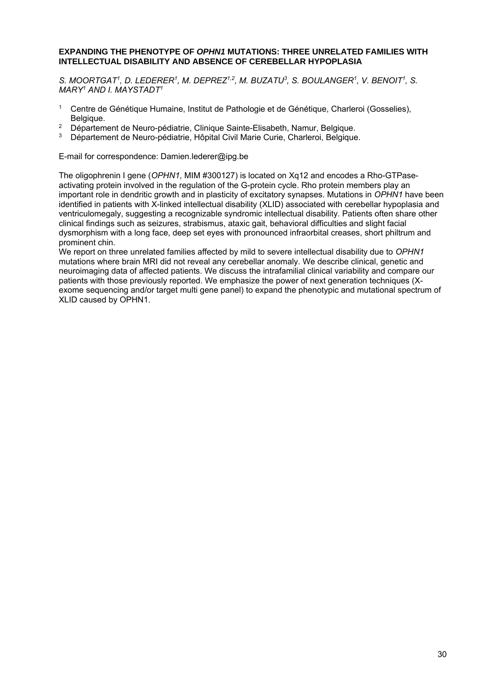#### **EXPANDING THE PHENOTYPE OF** *OPHN1* **MUTATIONS: THREE UNRELATED FAMILIES WITH INTELLECTUAL DISABILITY AND ABSENCE OF CEREBELLAR HYPOPLASIA**

S. MOORTGAT<sup>1</sup>, D. LEDERER<sup>1</sup>, M. DEPREZ<sup>1,2</sup>, M. BUZATU<sup>3</sup>, S. BOULANGER<sup>1</sup>, V. BENOIT<sup>1</sup>, S. *MARY1 AND I. MAYSTADT1* 

- <sup>1</sup> Centre de Génétique Humaine, Institut de Pathologie et de Génétique, Charleroi (Gosselies), Belgique.
- <sup>2</sup> Département de Neuro-pédiatrie, Clinique Sainte-Elisabeth, Namur, Belgique.<br>3 Département de Neure pédiatrie, Ufinital Civil Marie Curie, Charlettei, Belgique.
- Département de Neuro-pédiatrie, Hôpital Civil Marie Curie, Charleroi, Belgique.

E-mail for correspondence: Damien.lederer@ipg.be

The oligophrenin I gene (*OPHN1*, MIM #300127) is located on Xq12 and encodes a Rho-GTPaseactivating protein involved in the regulation of the G-protein cycle. Rho protein members play an important role in dendritic growth and in plasticity of excitatory synapses. Mutations in *OPHN1* have been identified in patients with X-linked intellectual disability (XLID) associated with cerebellar hypoplasia and ventriculomegaly, suggesting a recognizable syndromic intellectual disability. Patients often share other clinical findings such as seizures, strabismus, ataxic gait, behavioral difficulties and slight facial dysmorphism with a long face, deep set eyes with pronounced infraorbital creases, short philtrum and prominent chin.

We report on three unrelated families affected by mild to severe intellectual disability due to *OPHN1* mutations where brain MRI did not reveal any cerebellar anomaly. We describe clinical, genetic and neuroimaging data of affected patients. We discuss the intrafamilial clinical variability and compare our patients with those previously reported. We emphasize the power of next generation techniques (Xexome sequencing and/or target multi gene panel) to expand the phenotypic and mutational spectrum of XLID caused by OPHN1.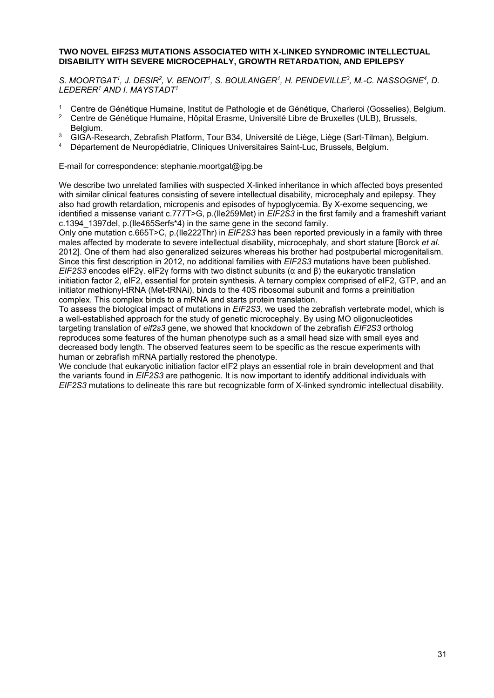#### **TWO NOVEL EIF2S3 MUTATIONS ASSOCIATED WITH X-LINKED SYNDROMIC INTELLECTUAL DISABILITY WITH SEVERE MICROCEPHALY, GROWTH RETARDATION, AND EPILEPSY**

*S. MOORTGAT1, J. DESIR2, V. BENOIT1, S. BOULANGER1, H. PENDEVILLE3, M.-C. NASSOGNE4, D. LEDERER1 AND I. MAYSTADT1* 

- 1 Centre de Génétique Humaine, Institut de Pathologie et de Génétique, Charleroi (Gosselies), Belgium.<br>2 Centre de Génétique Humaine, Hênital Erasme, Université Libre de Bruxelles (ULB), Brussels.
- 2 Centre de Génétique Humaine, Hôpital Erasme, Université Libre de Bruxelles (ULB), Brussels, Belgium.
- <sup>3</sup> GIGA-Research, Zebrafish Platform, Tour B34, Université de Liège, Liège (Sart-Tilman), Belgium.<br>4 Département de Nourenédigtrie, Cliniques Universitaires Saint Lue Brussele, Belgium.
- 4 Département de Neuropédiatrie, Cliniques Universitaires Saint-Luc, Brussels, Belgium.

E-mail for correspondence: stephanie.moortgat@ipg.be

We describe two unrelated families with suspected X-linked inheritance in which affected boys presented with similar clinical features consisting of severe intellectual disability, microcephaly and epilepsy. They also had growth retardation, micropenis and episodes of hypoglycemia. By X-exome sequencing, we identified a missense variant c.777T>G, p.(Ile259Met) in *EIF2S3* in the first family and a frameshift variant c.1394\_1397del, p.(Ile465Serfs\*4) in the same gene in the second family.

Only one mutation c.665T>C, p.(Ile222Thr) in *EIF2S3* has been reported previously in a family with three males affected by moderate to severe intellectual disability, microcephaly, and short stature [Borck *et al.* 2012]. One of them had also generalized seizures whereas his brother had postpubertal microgenitalism. Since this first description in 2012, no additional families with *EIF2S3* mutations have been published. *EIF2S3* encodes eIF2γ. eIF2γ forms with two distinct subunits (α and β) the eukaryotic translation initiation factor 2, eIF2, essential for protein synthesis. A ternary complex comprised of eIF2, GTP, and an initiator methionyl-tRNA (Met-tRNAi), binds to the 40S ribosomal subunit and forms a preinitiation complex. This complex binds to a mRNA and starts protein translation.

To assess the biological impact of mutations in *EIF2S3,* we used the zebrafish vertebrate model, which is a well-established approach for the study of genetic microcephaly. By using MO oligonucleotides targeting translation of *eif2s3* gene, we showed that knockdown of the zebrafish *EIF2S3* ortholog reproduces some features of the human phenotype such as a small head size with small eyes and decreased body length. The observed features seem to be specific as the rescue experiments with human or zebrafish mRNA partially restored the phenotype.

We conclude that eukaryotic initiation factor eIF2 plays an essential role in brain development and that the variants found in *EIF2S3* are pathogenic. It is now important to identify additional individuals with *EIF2S3* mutations to delineate this rare but recognizable form of X-linked syndromic intellectual disability.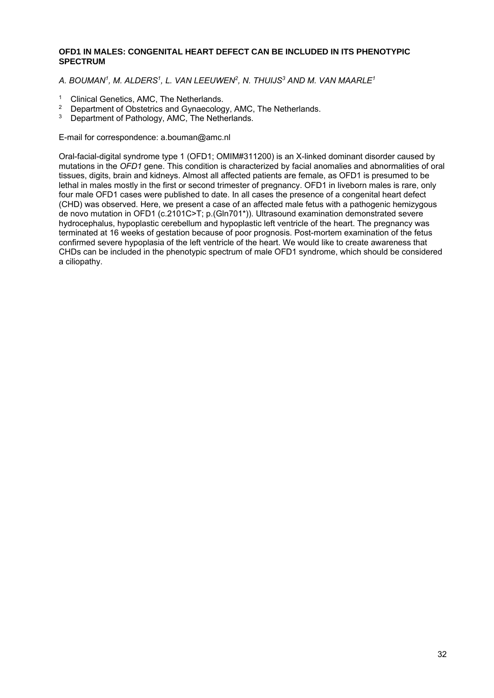#### **OFD1 IN MALES: CONGENITAL HEART DEFECT CAN BE INCLUDED IN ITS PHENOTYPIC SPECTRUM**

*A. BOUMAN1, M. ALDERS1, L. VAN LEEUWEN2, N. THUIJS3 AND M. VAN MAARLE1* 

- <sup>1</sup> Clinical Genetics, AMC, The Netherlands.<br><sup>2</sup> Department of Obstatrics and Gunaecology
- <sup>2</sup> Department of Obstetrics and Gynaecology, AMC, The Netherlands.<br><sup>3</sup> Department of Pathology, AMC, The Netherlands.
- Department of Pathology, AMC, The Netherlands.

E-mail for correspondence: a.bouman@amc.nl

Oral-facial-digital syndrome type 1 (OFD1; OMIM#311200) is an X-linked dominant disorder caused by mutations in the *OFD1* gene. This condition is characterized by facial anomalies and abnormalities of oral tissues, digits, brain and kidneys. Almost all affected patients are female, as OFD1 is presumed to be lethal in males mostly in the first or second trimester of pregnancy. OFD1 in liveborn males is rare, only four male OFD1 cases were published to date. In all cases the presence of a congenital heart defect (CHD) was observed. Here, we present a case of an affected male fetus with a pathogenic hemizygous de novo mutation in OFD1 (c.2101C>T; p.(Gln701\*)). Ultrasound examination demonstrated severe hydrocephalus, hypoplastic cerebellum and hypoplastic left ventricle of the heart. The pregnancy was terminated at 16 weeks of gestation because of poor prognosis. Post-mortem examination of the fetus confirmed severe hypoplasia of the left ventricle of the heart. We would like to create awareness that CHDs can be included in the phenotypic spectrum of male OFD1 syndrome, which should be considered a ciliopathy.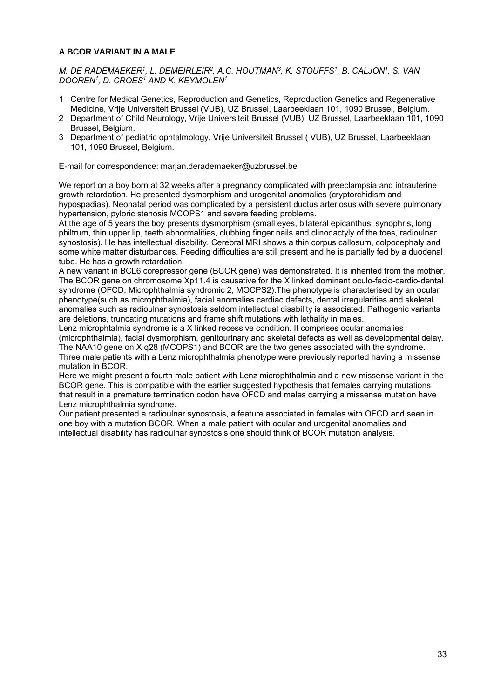#### **A BCOR VARIANT IN A MALE**

*M. DE RADEMAEKER1, L. DEMEIRLEIR2, A.C. HOUTMAN3, K. STOUFFS1, B. CALJON1, S. VAN DOOREN1, D. CROES1 AND K. KEYMOLEN1* 

- 1 Centre for Medical Genetics, Reproduction and Genetics, Reproduction Genetics and Regenerative Medicine, Vrije Universiteit Brussel (VUB), UZ Brussel, Laarbeeklaan 101, 1090 Brussel, Belgium.
- 2 Department of Child Neurology, Vrije Universiteit Brussel (VUB), UZ Brussel, Laarbeeklaan 101, 1090 Brussel, Belgium.
- 3 Department of pediatric ophtalmology, Vrije Universiteit Brussel ( VUB), UZ Brussel, Laarbeeklaan 101, 1090 Brussel, Belgium.

E-mail for correspondence: marjan.derademaeker@uzbrussel.be

We report on a boy born at 32 weeks after a pregnancy complicated with preeclampsia and intrauterine growth retardation. He presented dysmorphism and urogenital anomalies (cryptorchidism and hypospadias). Neonatal period was complicated by a persistent ductus arteriosus with severe pulmonary hypertension, pyloric stenosis MCOPS1 and severe feeding problems.

At the age of 5 years the boy presents dysmorphism (small eyes, bilateral epicanthus, synophris, long philtrum, thin upper lip, teeth abnormalities, clubbing finger nails and clinodactyly of the toes, radioulnar synostosis). He has intellectual disability. Cerebral MRI shows a thin corpus callosum, colpocephaly and some white matter disturbances. Feeding difficulties are still present and he is partially fed by a duodenal tube. He has a growth retardation.

A new variant in BCL6 corepressor gene (BCOR gene) was demonstrated. It is inherited from the mother. The BCOR gene on chromosome Xp11.4 is causative for the X linked dominant oculo-facio-cardio-dental syndrome (OFCD, Microphthalmia syndromic 2, MOCPS2).The phenotype is characterised by an ocular phenotype(such as microphthalmia), facial anomalies cardiac defects, dental irregularities and skeletal anomalies such as radioulnar synostosis seldom intellectual disability is associated. Pathogenic variants are deletions, truncating mutations and frame shift mutations with lethality in males.

Lenz microphtalmia syndrome is a X linked recessive condition. It comprises ocular anomalies (microphthalmia), facial dysmorphism, genitourinary and skeletal defects as well as developmental delay. The NAA10 gene on X q28 (MCOPS1) and BCOR are the two genes associated with the syndrome. Three male patients with a Lenz microphthalmia phenotype were previously reported having a missense mutation in BCOR.

Here we might present a fourth male patient with Lenz microphthalmia and a new missense variant in the BCOR gene. This is compatible with the earlier suggested hypothesis that females carrying mutations that result in a premature termination codon have OFCD and males carrying a missense mutation have Lenz microphthalmia syndrome.

Our patient presented a radioulnar synostosis, a feature associated in females with OFCD and seen in one boy with a mutation BCOR. When a male patient with ocular and urogenital anomalies and intellectual disability has radioulnar synostosis one should think of BCOR mutation analysis.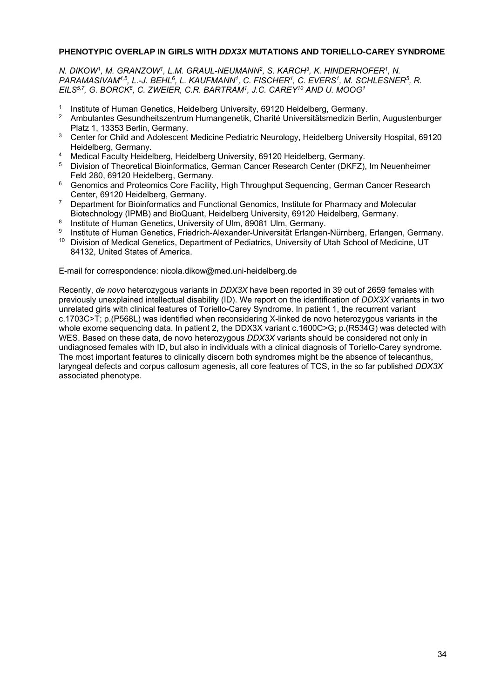#### **PHENOTYPIC OVERLAP IN GIRLS WITH** *DDX3X* **MUTATIONS AND TORIELLO-CAREY SYNDROME**

*N. DIKOW1, M. GRANZOW1, L.M. GRAUL-NEUMANN2, S. KARCH3, K. HINDERHOFER1, N.*  PARAMASIVAM<sup>4,5</sup>, L.-J. BEHL<sup>6</sup>, L. KAUFMANN<sup>1</sup>, C. FISCHER<sup>1</sup>, C. EVERS<sup>1</sup>, M. SCHLESNER<sup>5</sup>, R. *EILS5,7, G. BORCK8, C. ZWEIER, C.R. BARTRAM1, J.C. CAREY10 AND U. MOOG1* 

- 1 Institute of Human Genetics, Heidelberg University, 69120 Heidelberg, Germany.<br>2 Ambulantes Gesundheitszentrum Humangenetik, Charité Universitätsmedizin Ber
- 2 Ambulantes Gesundheitszentrum Humangenetik, Charité Universitätsmedizin Berlin, Augustenburger Platz 1, 13353 Berlin, Germany.
- <sup>3</sup> Center for Child and Adolescent Medicine Pediatric Neurology, Heidelberg University Hospital, 69120 Heidelberg, Germany.
- <sup>4</sup> Medical Faculty Heidelberg, Heidelberg University, 69120 Heidelberg, Germany.<br><sup>5</sup> Division of Theoretical Bioinformation, Corpor Cancer Bessexsh Center (DKEZ).
- 5 Division of Theoretical Bioinformatics, German Cancer Research Center (DKFZ), Im Neuenheimer Feld 280, 69120 Heidelberg, Germany.
- <sup>6</sup> Genomics and Proteomics Core Facility, High Throughput Sequencing, German Cancer Research Center, 69120 Heidelberg, Germany.
- <sup>7</sup> Department for Bioinformatics and Functional Genomics, Institute for Pharmacy and Molecular Biotechnology (IPMB) and BioQuant, Heidelberg University, 69120 Heidelberg, Germany.
- <sup>8</sup> Institute of Human Genetics, University of Ulm, 89081 Ulm, Germany.
- 9 Institute of Human Genetics, Friedrich-Alexander-Universität Erlangen-Nürnberg, Erlangen, Germany.
- <sup>10</sup> Division of Medical Genetics, Department of Pediatrics, University of Utah School of Medicine, UT 84132, United States of America.

E-mail for correspondence: nicola.dikow@med.uni-heidelberg.de

Recently, *de novo* heterozygous variants in *DDX3X* have been reported in 39 out of 2659 females with previously unexplained intellectual disability (ID). We report on the identification of *DDX3X* variants in two unrelated girls with clinical features of Toriello-Carey Syndrome. In patient 1, the recurrent variant c.1703C>T; p.(P568L) was identified when reconsidering X-linked de novo heterozygous variants in the whole exome sequencing data. In patient 2, the DDX3X variant c.1600C>G; p.(R534G) was detected with WES. Based on these data, de novo heterozygous *DDX3X* variants should be considered not only in undiagnosed females with ID, but also in individuals with a clinical diagnosis of Toriello-Carey syndrome. The most important features to clinically discern both syndromes might be the absence of telecanthus, laryngeal defects and corpus callosum agenesis, all core features of TCS, in the so far published *DDX3X* associated phenotype.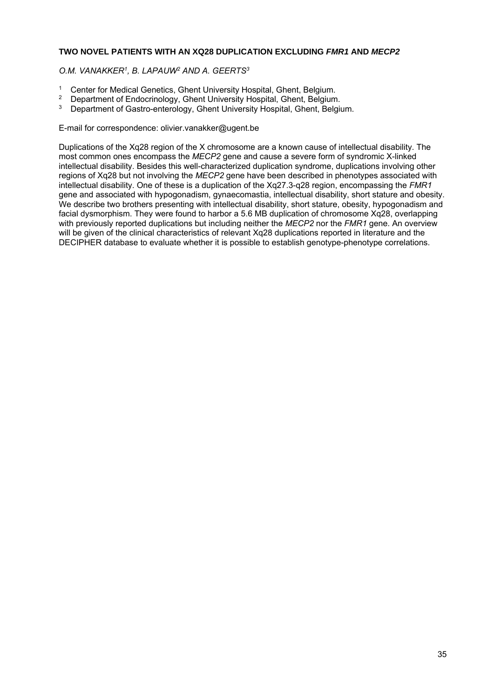#### **TWO NOVEL PATIENTS WITH AN XQ28 DUPLICATION EXCLUDING** *FMR1* **AND** *MECP2*

*O.M. VANAKKER1, B. LAPAUW2 AND A. GEERTS3* 

- <sup>1</sup> Center for Medical Genetics, Ghent University Hospital, Ghent, Belgium.<br><sup>2</sup> Department of Endocripology, Ghent University Hospital, Ghent, Belgium.
- <sup>2</sup> Department of Endocrinology, Ghent University Hospital, Ghent, Belgium.
- Department of Gastro-enterology, Ghent University Hospital, Ghent, Belgium.

E-mail for correspondence: olivier.vanakker@ugent.be

Duplications of the Xq28 region of the X chromosome are a known cause of intellectual disability. The most common ones encompass the *MECP2* gene and cause a severe form of syndromic X-linked intellectual disability. Besides this well-characterized duplication syndrome, duplications involving other regions of Xq28 but not involving the *MECP2* gene have been described in phenotypes associated with intellectual disability. One of these is a duplication of the Xq27.3-q28 region, encompassing the *FMR1* gene and associated with hypogonadism, gynaecomastia, intellectual disability, short stature and obesity. We describe two brothers presenting with intellectual disability, short stature, obesity, hypogonadism and facial dysmorphism. They were found to harbor a 5.6 MB duplication of chromosome Xq28, overlapping with previously reported duplications but including neither the *MECP2* nor the *FMR1* gene. An overview will be given of the clinical characteristics of relevant Xq28 duplications reported in literature and the DECIPHER database to evaluate whether it is possible to establish genotype-phenotype correlations.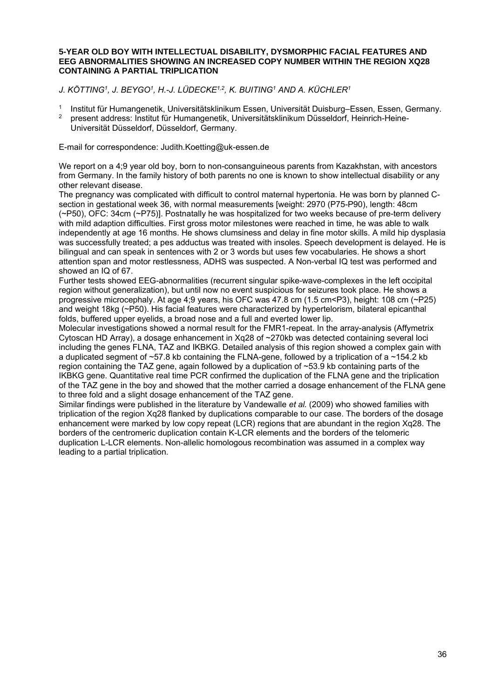#### **5-YEAR OLD BOY WITH INTELLECTUAL DISABILITY, DYSMORPHIC FACIAL FEATURES AND EEG ABNORMALITIES SHOWING AN INCREASED COPY NUMBER WITHIN THE REGION XQ28 CONTAINING A PARTIAL TRIPLICATION**

*J. KÖTTING1, J. BEYGO1, H.-J. LÜDECKE1,2, K. BUITING1 AND A. KÜCHLER1* 

- 1 Institut für Humangenetik, Universitätsklinikum Essen, Universität Duisburg–Essen, Essen, Germany.
- 2 present address: Institut für Humangenetik, Universitätsklinikum Düsseldorf, Heinrich-Heine-Universität Düsseldorf, Düsseldorf, Germany.

E-mail for correspondence: Judith.Koetting@uk-essen.de

We report on a 4:9 year old boy, born to non-consanguineous parents from Kazakhstan, with ancestors from Germany. In the family history of both parents no one is known to show intellectual disability or any other relevant disease.

The pregnancy was complicated with difficult to control maternal hypertonia. He was born by planned Csection in gestational week 36, with normal measurements [weight: 2970 (P75-P90), length: 48cm (~P50), OFC: 34cm (~P75)]. Postnatally he was hospitalized for two weeks because of pre-term delivery with mild adaption difficulties. First gross motor milestones were reached in time, he was able to walk independently at age 16 months. He shows clumsiness and delay in fine motor skills. A mild hip dysplasia was successfully treated; a pes adductus was treated with insoles. Speech development is delayed. He is bilingual and can speak in sentences with 2 or 3 words but uses few vocabularies. He shows a short attention span and motor restlessness, ADHS was suspected. A Non-verbal IQ test was performed and showed an IQ of 67.

Further tests showed EEG-abnormalities (recurrent singular spike-wave-complexes in the left occipital region without generalization), but until now no event suspicious for seizures took place. He shows a progressive microcephaly. At age 4;9 years, his OFC was 47.8 cm (1.5 cm<P3), height: 108 cm (~P25) and weight 18kg (~P50). His facial features were characterized by hypertelorism, bilateral epicanthal folds, buffered upper eyelids, a broad nose and a full and everted lower lip.

Molecular investigations showed a normal result for the FMR1-repeat. In the array-analysis (Affymetrix Cytoscan HD Array), a dosage enhancement in Xq28 of ~270kb was detected containing several loci including the genes FLNA, TAZ and IKBKG. Detailed analysis of this region showed a complex gain with a duplicated segment of  $~57.8$  kb containing the FLNA-gene, followed by a triplication of a  $~154.2$  kb region containing the TAZ gene, again followed by a duplication of ~53.9 kb containing parts of the IKBKG gene. Quantitative real time PCR confirmed the duplication of the FLNA gene and the triplication of the TAZ gene in the boy and showed that the mother carried a dosage enhancement of the FLNA gene to three fold and a slight dosage enhancement of the TAZ gene.

Similar findings were published in the literature by Vandewalle *et al.* (2009) who showed families with triplication of the region Xq28 flanked by duplications comparable to our case. The borders of the dosage enhancement were marked by low copy repeat (LCR) regions that are abundant in the region Xq28. The borders of the centromeric duplication contain K-LCR elements and the borders of the telomeric duplication L-LCR elements. Non-allelic homologous recombination was assumed in a complex way leading to a partial triplication.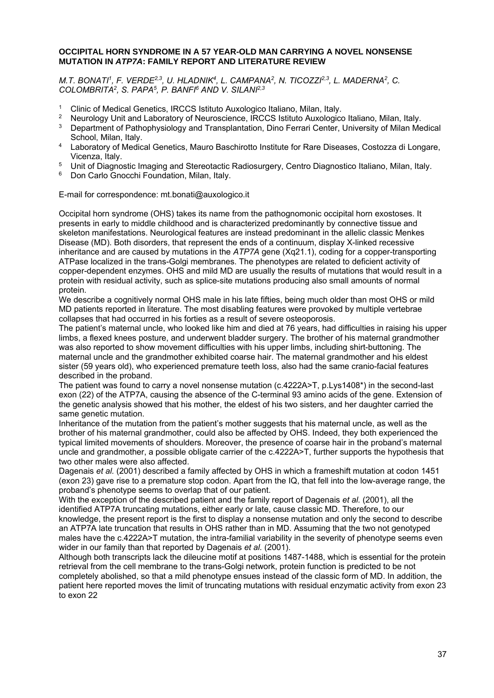#### **OCCIPITAL HORN SYNDROME IN A 57 YEAR-OLD MAN CARRYING A NOVEL NONSENSE MUTATION IN** *ATP7A***: FAMILY REPORT AND LITERATURE REVIEW**

*M.T. BONATI<sup>1</sup>, F. VERDE<sup>2,3</sup>, U. HLADNIK<sup>4</sup>, L. CAMPANA<sup>2</sup>, N. TICOZZI<sup>2,3</sup>, L. MADERNA<sup>2</sup>, C. COLOMBRITA2, S. PAPA5, P. BANFI6 AND V. SILANI2,3* 

- <sup>1</sup> Clinic of Medical Genetics, IRCCS Istituto Auxologico Italiano, Milan, Italy.<br><sup>2</sup> Neurology Unit and Laboratory of Neuroscience, IPCCS Istituto Auxologica
- <sup>2</sup> Neurology Unit and Laboratory of Neuroscience, IRCCS Istituto Auxologico Italiano, Milan, Italy.<br><sup>3</sup> Department of Pathophysiology and Transplantation. Dino Ferrari Center, University of Milan Me
- 3 Department of Pathophysiology and Transplantation, Dino Ferrari Center, University of Milan Medical School, Milan, Italy.
- 4 Laboratory of Medical Genetics, Mauro Baschirotto Institute for Rare Diseases, Costozza di Longare, Vicenza, Italy.
- 5 Unit of Diagnostic Imaging and Stereotactic Radiosurgery, Centro Diagnostico Italiano, Milan, Italy.
- 6 Don Carlo Gnocchi Foundation, Milan, Italy.

E-mail for correspondence: mt.bonati@auxologico.it

Occipital horn syndrome (OHS) takes its name from the pathognomonic occipital horn exostoses. It presents in early to middle childhood and is characterized predominantly by connective tissue and skeleton manifestations. Neurological features are instead predominant in the allelic classic Menkes Disease (MD). Both disorders, that represent the ends of a continuum, display X-linked recessive inheritance and are caused by mutations in the *ATP7A* gene (Xq21.1), coding for a copper-transporting ATPase localized in the trans-Golgi membranes. The phenotypes are related to deficient activity of copper-dependent enzymes. OHS and mild MD are usually the results of mutations that would result in a protein with residual activity, such as splice-site mutations producing also small amounts of normal protein.

We describe a cognitively normal OHS male in his late fifties, being much older than most OHS or mild MD patients reported in literature. The most disabling features were provoked by multiple vertebrae collapses that had occurred in his forties as a result of severe osteoporosis.

The patient's maternal uncle, who looked like him and died at 76 years, had difficulties in raising his upper limbs, a flexed knees posture, and underwent bladder surgery. The brother of his maternal grandmother was also reported to show movement difficulties with his upper limbs, including shirt-buttoning. The maternal uncle and the grandmother exhibited coarse hair. The maternal grandmother and his eldest sister (59 years old), who experienced premature teeth loss, also had the same cranio-facial features described in the proband.

The patient was found to carry a novel nonsense mutation (c.4222A>T, p.Lys1408\*) in the second-last exon (22) of the ATP7A, causing the absence of the C-terminal 93 amino acids of the gene. Extension of the genetic analysis showed that his mother, the eldest of his two sisters, and her daughter carried the same genetic mutation.

Inheritance of the mutation from the patient's mother suggests that his maternal uncle, as well as the brother of his maternal grandmother, could also be affected by OHS. Indeed, they both experienced the typical limited movements of shoulders. Moreover, the presence of coarse hair in the proband's maternal uncle and grandmother, a possible obligate carrier of the c.4222A>T, further supports the hypothesis that two other males were also affected.

Dagenais *et al.* (2001) described a family affected by OHS in which a frameshift mutation at codon 1451 (exon 23) gave rise to a premature stop codon. Apart from the IQ, that fell into the low-average range, the proband's phenotype seems to overlap that of our patient.

With the exception of the described patient and the family report of Dagenais *et al.* (2001), all the identified ATP7A truncating mutations, either early or late, cause classic MD. Therefore, to our knowledge, the present report is the first to display a nonsense mutation and only the second to describe an ATP7A late truncation that results in OHS rather than in MD. Assuming that the two not genotyped males have the c.4222A>T mutation, the intra-familial variability in the severity of phenotype seems even wider in our family than that reported by Dagenais *et al.* (2001).

Although both transcripts lack the dileucine motif at positions 1487-1488, which is essential for the protein retrieval from the cell membrane to the trans-Golgi network, protein function is predicted to be not completely abolished, so that a mild phenotype ensues instead of the classic form of MD. In addition, the patient here reported moves the limit of truncating mutations with residual enzymatic activity from exon 23 to exon 22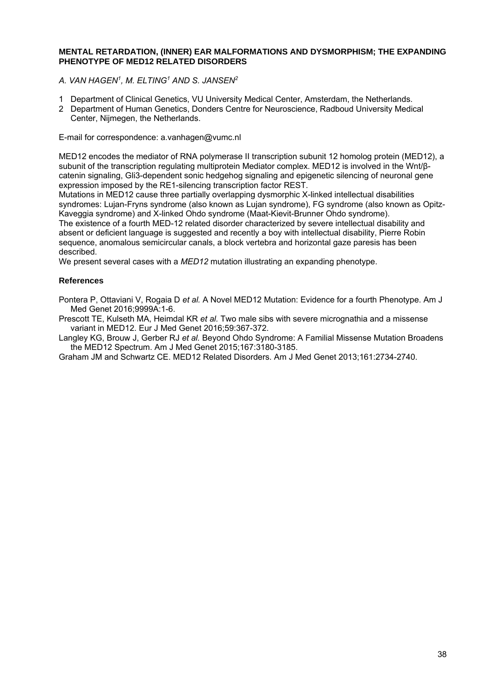#### **MENTAL RETARDATION, (INNER) EAR MALFORMATIONS AND DYSMORPHISM; THE EXPANDING PHENOTYPE OF MED12 RELATED DISORDERS**

- *A. VAN HAGEN1, M. ELTING1 AND S. JANSEN2*
- 1 Department of Clinical Genetics, VU University Medical Center, Amsterdam, the Netherlands.
- 2 Department of Human Genetics, Donders Centre for Neuroscience, Radboud University Medical Center, Nijmegen, the Netherlands.

E-mail for correspondence: a.vanhagen@vumc.nl

MED12 encodes the mediator of RNA polymerase II transcription subunit 12 homolog protein (MED12), a subunit of the transcription regulating multiprotein Mediator complex. MED12 is involved in the Wnt/βcatenin signaling, Gli3-dependent sonic hedgehog signaling and epigenetic silencing of neuronal gene expression imposed by the RE1-silencing transcription factor REST.

Mutations in MED12 cause three partially overlapping dysmorphic X-linked intellectual disabilities syndromes: Lujan-Fryns syndrome (also known as Lujan syndrome), FG syndrome (also known as Opitz-Kaveggia syndrome) and X-linked Ohdo syndrome (Maat-Kievit-Brunner Ohdo syndrome).

The existence of a fourth MED-12 related disorder characterized by severe intellectual disability and absent or deficient language is suggested and recently a boy with intellectual disability, Pierre Robin sequence, anomalous semicircular canals, a block vertebra and horizontal gaze paresis has been described.

We present several cases with a *MED12* mutation illustrating an expanding phenotype.

#### **References**

Pontera P, Ottaviani V, Rogaia D *et al.* A Novel MED12 Mutation: Evidence for a fourth Phenotype. Am J Med Genet 2016;9999A:1-6.

Prescott TE, Kulseth MA, Heimdal KR *et al.* Two male sibs with severe micrognathia and a missense variant in MED12. Eur J Med Genet 2016;59:367-372.

Langley KG, Brouw J, Gerber RJ *et al.* Beyond Ohdo Syndrome: A Familial Missense Mutation Broadens the MED12 Spectrum. Am J Med Genet 2015;167:3180-3185.

Graham JM and Schwartz CE. MED12 Related Disorders. Am J Med Genet 2013;161:2734-2740.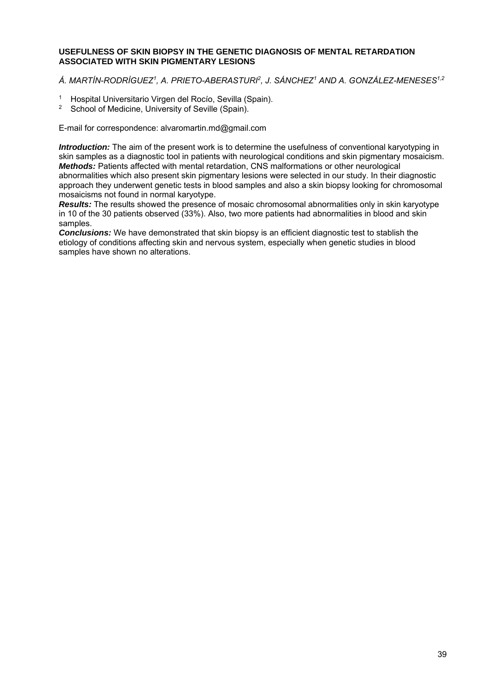#### **USEFULNESS OF SKIN BIOPSY IN THE GENETIC DIAGNOSIS OF MENTAL RETARDATION ASSOCIATED WITH SKIN PIGMENTARY LESIONS**

### *Á. MARTÍN-RODRÍGUEZ1, A. PRIETO-ABERASTURI2, J. SÁNCHEZ1 AND A. GONZÁLEZ-MENESES1,2*

- 1 Hospital Universitario Virgen del Rocío, Sevilla (Spain).
- School of Medicine, University of Seville (Spain).

E-mail for correspondence: alvaromartin.md@gmail.com

*Introduction:* The aim of the present work is to determine the usefulness of conventional karyotyping in skin samples as a diagnostic tool in patients with neurological conditions and skin pigmentary mosaicism. *Methods:* Patients affected with mental retardation, CNS malformations or other neurological abnormalities which also present skin pigmentary lesions were selected in our study. In their diagnostic approach they underwent genetic tests in blood samples and also a skin biopsy looking for chromosomal mosaicisms not found in normal karyotype.

*Results:* The results showed the presence of mosaic chromosomal abnormalities only in skin karyotype in 10 of the 30 patients observed (33%). Also, two more patients had abnormalities in blood and skin samples.

*Conclusions:* We have demonstrated that skin biopsy is an efficient diagnostic test to stablish the etiology of conditions affecting skin and nervous system, especially when genetic studies in blood samples have shown no alterations.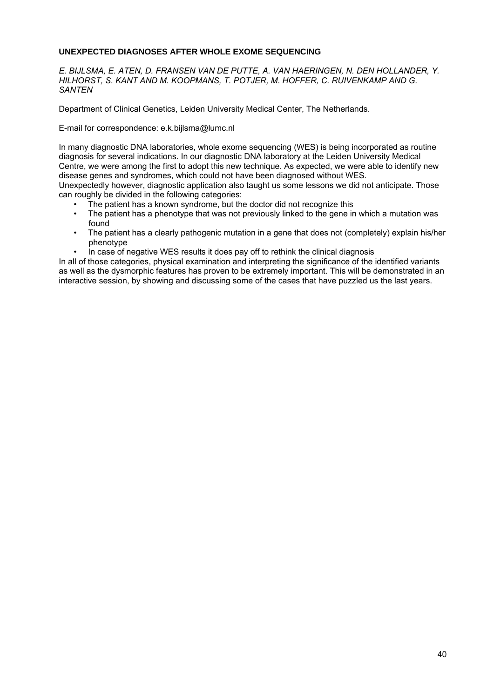#### **UNEXPECTED DIAGNOSES AFTER WHOLE EXOME SEQUENCING**

*E. BIJLSMA, E. ATEN, D. FRANSEN VAN DE PUTTE, A. VAN HAERINGEN, N. DEN HOLLANDER, Y. HILHORST, S. KANT AND M. KOOPMANS, T. POTJER, M. HOFFER, C. RUIVENKAMP AND G. SANTEN* 

Department of Clinical Genetics, Leiden University Medical Center, The Netherlands.

E-mail for correspondence: e.k.bijlsma@lumc.nl

In many diagnostic DNA laboratories, whole exome sequencing (WES) is being incorporated as routine diagnosis for several indications. In our diagnostic DNA laboratory at the Leiden University Medical Centre, we were among the first to adopt this new technique. As expected, we were able to identify new disease genes and syndromes, which could not have been diagnosed without WES.

Unexpectedly however, diagnostic application also taught us some lessons we did not anticipate. Those can roughly be divided in the following categories:

- The patient has a known syndrome, but the doctor did not recognize this
- The patient has a phenotype that was not previously linked to the gene in which a mutation was found
- The patient has a clearly pathogenic mutation in a gene that does not (completely) explain his/her phenotype
- In case of negative WES results it does pay off to rethink the clinical diagnosis

In all of those categories, physical examination and interpreting the significance of the identified variants as well as the dysmorphic features has proven to be extremely important. This will be demonstrated in an interactive session, by showing and discussing some of the cases that have puzzled us the last years.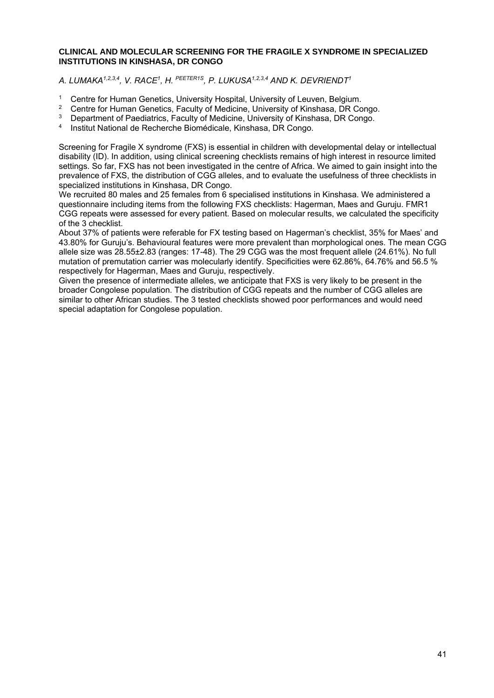#### **CLINICAL AND MOLECULAR SCREENING FOR THE FRAGILE X SYNDROME IN SPECIALIZED INSTITUTIONS IN KINSHASA, DR CONGO**

*A. LUMAKA1,2,3,4, V. RACE1, H. PEETER1S, P. LUKUSA1,2,3,4 AND K. DEVRIENDT1* 

- <sup>1</sup> Centre for Human Genetics, University Hospital, University of Leuven, Belgium.<br><sup>2</sup> Centre for Human Cenetics, Fosulty of Medicine, University of Kingbess, DD Co
- <sup>2</sup> Centre for Human Genetics, Faculty of Medicine, University of Kinshasa, DR Congo.<br><sup>3</sup> Department of Paediatrics, Faculty of Medicine, University of Kinshasa, DR Congo.
- <sup>3</sup> Department of Paediatrics, Faculty of Medicine, University of Kinshasa, DR Congo.<br><sup>4</sup> Institut National de Bechershe Biomédicale, Kinshasa, DB Congo.
- 4 Institut National de Recherche Biomédicale, Kinshasa, DR Congo.

Screening for Fragile X syndrome (FXS) is essential in children with developmental delay or intellectual disability (ID). In addition, using clinical screening checklists remains of high interest in resource limited settings. So far, FXS has not been investigated in the centre of Africa. We aimed to gain insight into the prevalence of FXS, the distribution of CGG alleles, and to evaluate the usefulness of three checklists in specialized institutions in Kinshasa, DR Congo.

We recruited 80 males and 25 females from 6 specialised institutions in Kinshasa. We administered a questionnaire including items from the following FXS checklists: Hagerman, Maes and Guruju. FMR1 CGG repeats were assessed for every patient. Based on molecular results, we calculated the specificity of the 3 checklist.

About 37% of patients were referable for FX testing based on Hagerman's checklist, 35% for Maes' and 43.80% for Guruju's. Behavioural features were more prevalent than morphological ones. The mean CGG allele size was 28.55±2.83 (ranges: 17-48). The 29 CGG was the most frequent allele (24.61%). No full mutation of premutation carrier was molecularly identify. Specificities were 62.86%, 64.76% and 56.5 % respectively for Hagerman, Maes and Guruju, respectively.

Given the presence of intermediate alleles, we anticipate that FXS is very likely to be present in the broader Congolese population. The distribution of CGG repeats and the number of CGG alleles are similar to other African studies. The 3 tested checklists showed poor performances and would need special adaptation for Congolese population.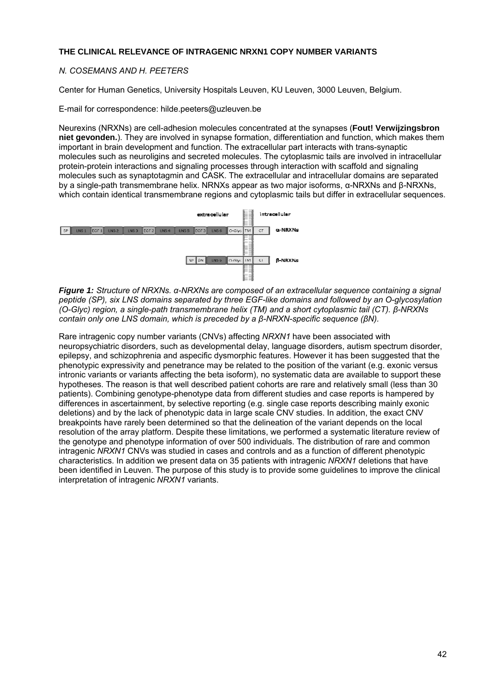#### **THE CLINICAL RELEVANCE OF INTRAGENIC NRXN1 COPY NUMBER VARIANTS**

#### *N. COSEMANS AND H. PEETERS*

Center for Human Genetics, University Hospitals Leuven, KU Leuven, 3000 Leuven, Belgium.

E-mail for correspondence: hilde.peeters@uzleuven.be

Neurexins (NRXNs) are cell-adhesion molecules concentrated at the synapses (**Fout! Verwijzingsbron niet gevonden.**). They are involved in synapse formation, differentiation and function, which makes them important in brain development and function. The extracellular part interacts with trans-synaptic molecules such as neuroligins and secreted molecules. The cytoplasmic tails are involved in intracellular protein-protein interactions and signaling processes through interaction with scaffold and signaling molecules such as synaptotagmin and CASK. The extracellular and intracellular domains are separated by a single-path transmembrane helix. NRNXs appear as two major isoforms, α-NRXNs and β-NRXNs, which contain identical transmembrane regions and cytoplasmic tails but differ in extracellular sequences.



*Figure 1: Structure of NRXNs. α-NRXNs are composed of an extracellular sequence containing a signal peptide (SP), six LNS domains separated by three EGF-like domains and followed by an O-glycosylation (O-Glyc) region, a single-path transmembrane helix (TM) and a short cytoplasmic tail (CT). β-NRXNs contain only one LNS domain, which is preceded by a β-NRXN-specific sequence (βN).* 

Rare intragenic copy number variants (CNVs) affecting *NRXN1* have been associated with neuropsychiatric disorders, such as developmental delay, language disorders, autism spectrum disorder, epilepsy, and schizophrenia and aspecific dysmorphic features. However it has been suggested that the phenotypic expressivity and penetrance may be related to the position of the variant (e.g. exonic versus intronic variants or variants affecting the beta isoform), no systematic data are available to support these hypotheses. The reason is that well described patient cohorts are rare and relatively small (less than 30 patients). Combining genotype-phenotype data from different studies and case reports is hampered by differences in ascertainment, by selective reporting (e.g. single case reports describing mainly exonic deletions) and by the lack of phenotypic data in large scale CNV studies. In addition, the exact CNV breakpoints have rarely been determined so that the delineation of the variant depends on the local resolution of the array platform. Despite these limitations, we performed a systematic literature review of the genotype and phenotype information of over 500 individuals. The distribution of rare and common intragenic *NRXN1* CNVs was studied in cases and controls and as a function of different phenotypic characteristics. In addition we present data on 35 patients with intragenic *NRXN1* deletions that have been identified in Leuven. The purpose of this study is to provide some guidelines to improve the clinical interpretation of intragenic *NRXN1* variants.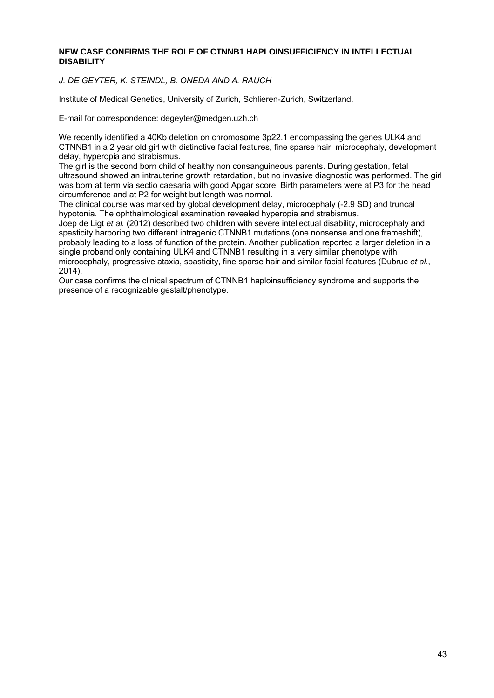#### **NEW CASE CONFIRMS THE ROLE OF CTNNB1 HAPLOINSUFFICIENCY IN INTELLECTUAL DISABILITY**

*J. DE GEYTER, K. STEINDL, B. ONEDA AND A. RAUCH* 

Institute of Medical Genetics, University of Zurich, Schlieren-Zurich, Switzerland.

E-mail for correspondence: degeyter@medgen.uzh.ch

We recently identified a 40Kb deletion on chromosome 3p22.1 encompassing the genes ULK4 and CTNNB1 in a 2 year old girl with distinctive facial features, fine sparse hair, microcephaly, development delay, hyperopia and strabismus.

The girl is the second born child of healthy non consanguineous parents. During gestation, fetal ultrasound showed an intrauterine growth retardation, but no invasive diagnostic was performed. The girl was born at term via sectio caesaria with good Apgar score. Birth parameters were at P3 for the head circumference and at P2 for weight but length was normal.

The clinical course was marked by global development delay, microcephaly (-2.9 SD) and truncal hypotonia. The ophthalmological examination revealed hyperopia and strabismus.

Joep de Ligt *et al.* (2012) described two children with severe intellectual disability, microcephaly and spasticity harboring two different intragenic CTNNB1 mutations (one nonsense and one frameshift), probably leading to a loss of function of the protein. Another publication reported a larger deletion in a single proband only containing ULK4 and CTNNB1 resulting in a very similar phenotype with microcephaly, progressive ataxia, spasticity, fine sparse hair and similar facial features (Dubruc *et al.*, 2014).

Our case confirms the clinical spectrum of CTNNB1 haploinsufficiency syndrome and supports the presence of a recognizable gestalt/phenotype.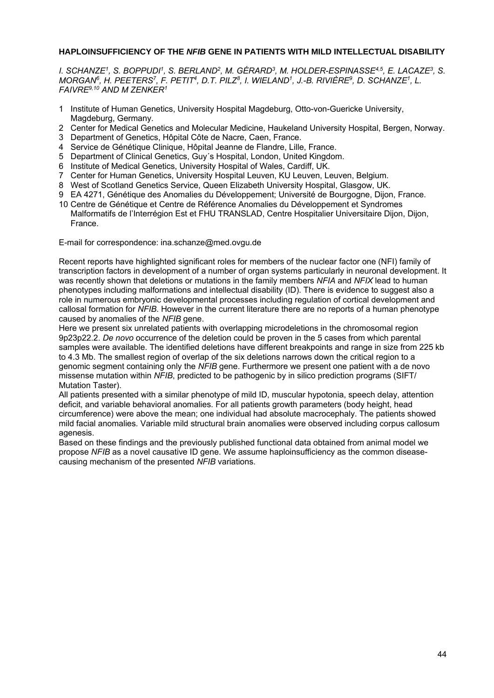#### **HAPLOINSUFFICIENCY OF THE** *NFIB* **GENE IN PATIENTS WITH MILD INTELLECTUAL DISABILITY**

*I. SCHANZE1, S. BOPPUDI1, S. BERLAND2, M. GÉRARD3, M. HOLDER-ESPINASSE4,5, E. LACAZE3, S. MORGAN6, H. PEETERS7, F. PETIT4, D.T. PILZ8, I. WIELAND1, J.-B. RIVIÈRE9, D. SCHANZE1, L. FAIVRE9,10 AND M ZENKER1* 

- 1 Institute of Human Genetics, University Hospital Magdeburg, Otto-von-Guericke University, Magdeburg, Germany.
- 2 Center for Medical Genetics and Molecular Medicine, Haukeland University Hospital, Bergen, Norway.
- 3 Department of Genetics, Hôpital Côte de Nacre, Caen, France.
- 4 Service de Génétique Clinique, Hôpital Jeanne de Flandre, Lille, France.
- 5 Department of Clinical Genetics, Guy´s Hospital, London, United Kingdom.
- 6 Institute of Medical Genetics, University Hospital of Wales, Cardiff, UK.
- 7 Center for Human Genetics, University Hospital Leuven, KU Leuven, Leuven, Belgium.
- 8 West of Scotland Genetics Service, Queen Elizabeth University Hospital, Glasgow, UK.
- 9 EA 4271, Génétique des Anomalies du Développement; Université de Bourgogne, Dijon, France.
- 10 Centre de Génétique et Centre de Référence Anomalies du Développement et Syndromes Malformatifs de l'Interrégion Est et FHU TRANSLAD, Centre Hospitalier Universitaire Dijon, Dijon, France.

E-mail for correspondence: ina.schanze@med.ovgu.de

Recent reports have highlighted significant roles for members of the nuclear factor one (NFI) family of transcription factors in development of a number of organ systems particularly in neuronal development. It was recently shown that deletions or mutations in the family members *NFIA* and *NFIX* lead to human phenotypes including malformations and intellectual disability (ID). There is evidence to suggest also a role in numerous embryonic developmental processes including regulation of cortical development and callosal formation for *NFIB*. However in the current literature there are no reports of a human phenotype caused by anomalies of the *NFIB* gene.

Here we present six unrelated patients with overlapping microdeletions in the chromosomal region 9p23p22.2. *De novo* occurrence of the deletion could be proven in the 5 cases from which parental samples were available. The identified deletions have different breakpoints and range in size from 225 kb to 4.3 Mb. The smallest region of overlap of the six deletions narrows down the critical region to a genomic segment containing only the *NFIB* gene. Furthermore we present one patient with a de novo missense mutation within *NFIB*, predicted to be pathogenic by in silico prediction programs (SIFT/ Mutation Taster).

All patients presented with a similar phenotype of mild ID, muscular hypotonia, speech delay, attention deficit, and variable behavioral anomalies. For all patients growth parameters (body height, head circumference) were above the mean; one individual had absolute macrocephaly. The patients showed mild facial anomalies. Variable mild structural brain anomalies were observed including corpus callosum agenesis.

Based on these findings and the previously published functional data obtained from animal model we propose *NFIB* as a novel causative ID gene. We assume haploinsufficiency as the common diseasecausing mechanism of the presented *NFIB* variations.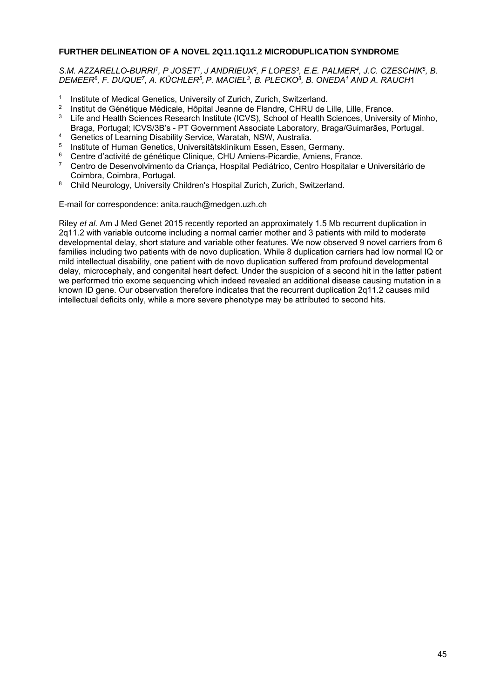#### **FURTHER DELINEATION OF A NOVEL 2Q11.1Q11.2 MICRODUPLICATION SYNDROME**

S.M. AZZARELLO-BURRI<sup>1</sup>, P JOSET<sup>1</sup>, J ANDRIEUX<sup>2</sup>, F LOPES<sup>3</sup>, E.E. PALMER<sup>4</sup>, J.C. CZESCHIK<sup>5</sup>, B. *DEMEER6, F. DUQUE7, A. KÜCHLER5, P. MACIEL3, B. PLECKO8, B. ONEDA1 AND A. RAUCH*1

- 1 Institute of Medical Genetics, University of Zurich, Zurich, Switzerland.<br>2 Institut de Cénétique Médicale, Hêpital Jeanne de Flandre, CHPLL de L
- <sup>2</sup> Institut de Génétique Médicale, Hôpital Jeanne de Flandre, CHRU de Lille, Lille, France.<br><sup>3</sup> Life and Health Sciences Research Institute (ICVS), School of Health Sciences, Universi
- Life and Health Sciences Research Institute (ICVS), School of Health Sciences, University of Minho, Braga, Portugal; ICVS/3B's - PT Government Associate Laboratory, Braga/Guimarães, Portugal.
- 4 Genetics of Learning Disability Service, Waratah, NSW, Australia.
- 5 Institute of Human Genetics, Universitätsklinikum Essen, Essen, Germany.
- <sup>6</sup> Centre d'activité de génétique Clinique, CHU Amiens-Picardie, Amiens, France.<br>7 Centre de Desenvolvimente de Crience, Hespital Podiátrice, Centre Hespitaler e
- 7 Centro de Desenvolvimento da Criança, Hospital Pediátrico, Centro Hospitalar e Universitário de Coimbra, Coimbra, Portugal.
- 8 Child Neurology, University Children's Hospital Zurich, Zurich, Switzerland.

E-mail for correspondence: anita.rauch@medgen.uzh.ch

Riley *et al.* Am J Med Genet 2015 recently reported an approximately 1.5 Mb recurrent duplication in 2q11.2 with variable outcome including a normal carrier mother and 3 patients with mild to moderate developmental delay, short stature and variable other features. We now observed 9 novel carriers from 6 families including two patients with de novo duplication. While 8 duplication carriers had low normal IQ or mild intellectual disability, one patient with de novo duplication suffered from profound developmental delay, microcephaly, and congenital heart defect. Under the suspicion of a second hit in the latter patient we performed trio exome sequencing which indeed revealed an additional disease causing mutation in a known ID gene. Our observation therefore indicates that the recurrent duplication 2q11.2 causes mild intellectual deficits only, while a more severe phenotype may be attributed to second hits.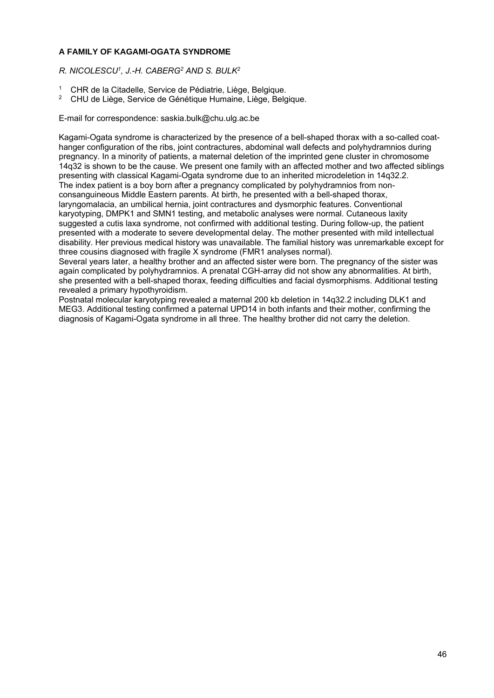#### **A FAMILY OF KAGAMI-OGATA SYNDROME**

*R. NICOLESCU1, J.-H. CABERG2 AND S. BULK2* 

- 1 CHR de la Citadelle, Service de Pédiatrie, Liège, Belgique.
- 2 CHU de Liège, Service de Génétique Humaine, Liège, Belgique.

E-mail for correspondence: saskia.bulk@chu.ulg.ac.be

Kagami-Ogata syndrome is characterized by the presence of a bell-shaped thorax with a so-called coathanger configuration of the ribs, joint contractures, abdominal wall defects and polyhydramnios during pregnancy. In a minority of patients, a maternal deletion of the imprinted gene cluster in chromosome 14q32 is shown to be the cause. We present one family with an affected mother and two affected siblings presenting with classical Kagami-Ogata syndrome due to an inherited microdeletion in 14q32.2. The index patient is a boy born after a pregnancy complicated by polyhydramnios from nonconsanguineous Middle Eastern parents. At birth, he presented with a bell-shaped thorax, laryngomalacia, an umbilical hernia, joint contractures and dysmorphic features. Conventional karyotyping, DMPK1 and SMN1 testing, and metabolic analyses were normal. Cutaneous laxity suggested a cutis laxa syndrome, not confirmed with additional testing. During follow-up, the patient presented with a moderate to severe developmental delay. The mother presented with mild intellectual disability. Her previous medical history was unavailable. The familial history was unremarkable except for three cousins diagnosed with fragile X syndrome (FMR1 analyses normal).

Several years later, a healthy brother and an affected sister were born. The pregnancy of the sister was again complicated by polyhydramnios. A prenatal CGH-array did not show any abnormalities. At birth, she presented with a bell-shaped thorax, feeding difficulties and facial dysmorphisms. Additional testing revealed a primary hypothyroidism.

Postnatal molecular karyotyping revealed a maternal 200 kb deletion in 14q32.2 including DLK1 and MEG3. Additional testing confirmed a paternal UPD14 in both infants and their mother, confirming the diagnosis of Kagami-Ogata syndrome in all three. The healthy brother did not carry the deletion.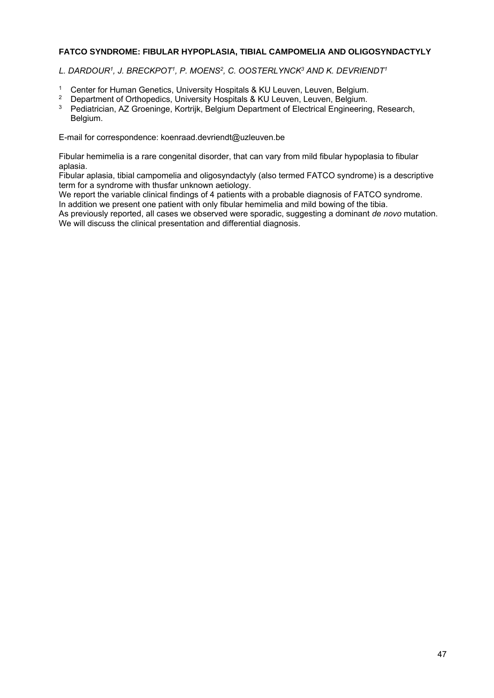#### **FATCO SYNDROME: FIBULAR HYPOPLASIA, TIBIAL CAMPOMELIA AND OLIGOSYNDACTYLY**

L. DARDOUR<sup>1</sup>, J. BRECKPOT<sup>1</sup>, P. MOENS<sup>2</sup>, C. OOSTERLYNCK<sup>3</sup> AND K. DEVRIENDT<sup>1</sup>

- <sup>1</sup> Center for Human Genetics, University Hospitals & KU Leuven, Leuven, Belgium.<br><sup>2</sup> Department of Orthopedics, University Hospitals & KU Leuven, Leuven, Belgium.
- <sup>2</sup> Department of Orthopedics, University Hospitals & KU Leuven, Leuven, Belgium.<br><sup>3</sup> Pediatrician, AZ Greeninge, Kertrijk, Belgium Department of Electrical Engineering
- 3 Pediatrician, AZ Groeninge, Kortrijk, Belgium Department of Electrical Engineering, Research, Belgium.

E-mail for correspondence: koenraad.devriendt@uzleuven.be

Fibular hemimelia is a rare congenital disorder, that can vary from mild fibular hypoplasia to fibular aplasia.

Fibular aplasia, tibial campomelia and oligosyndactyly (also termed FATCO syndrome) is a descriptive term for a syndrome with thusfar unknown aetiology.

We report the variable clinical findings of 4 patients with a probable diagnosis of FATCO syndrome. In addition we present one patient with only fibular hemimelia and mild bowing of the tibia.

As previously reported, all cases we observed were sporadic, suggesting a dominant *de novo* mutation. We will discuss the clinical presentation and differential diagnosis.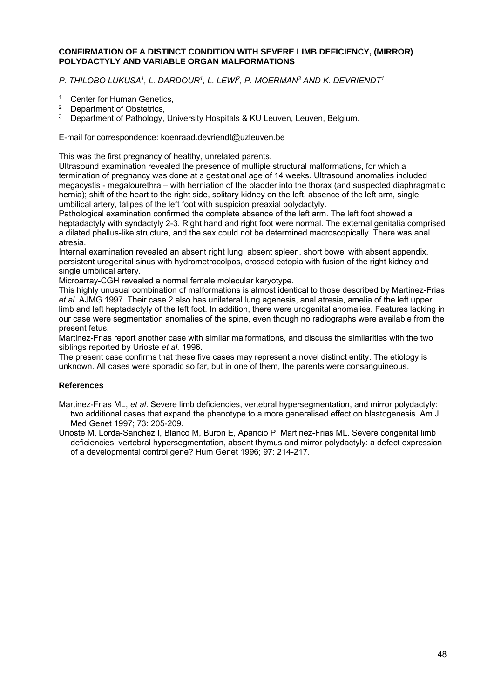#### **CONFIRMATION OF A DISTINCT CONDITION WITH SEVERE LIMB DEFICIENCY, (MIRROR) POLYDACTYLY AND VARIABLE ORGAN MALFORMATIONS**

*P. THILOBO LUKUSA1, L. DARDOUR1, L. LEWI2, P. MOERMAN3 AND K. DEVRIENDT1* 

- <sup>1</sup> Center for Human Genetics,<br><sup>2</sup> Department of Obstatrics
- <sup>2</sup> Department of Obstetrics,<br> $\frac{3}{2}$  Department of Pathology
- Department of Pathology, University Hospitals & KU Leuven, Leuven, Belgium.

E-mail for correspondence: koenraad.devriendt@uzleuven.be

This was the first pregnancy of healthy, unrelated parents.

Ultrasound examination revealed the presence of multiple structural malformations, for which a termination of pregnancy was done at a gestational age of 14 weeks. Ultrasound anomalies included megacystis - megalourethra – with herniation of the bladder into the thorax (and suspected diaphragmatic hernia); shift of the heart to the right side, solitary kidney on the left, absence of the left arm, single umbilical artery, talipes of the left foot with suspicion preaxial polydactyly.

Pathological examination confirmed the complete absence of the left arm. The left foot showed a heptadactyly with syndactyly 2-3. Right hand and right foot were normal. The external genitalia comprised a dilated phallus-like structure, and the sex could not be determined macroscopically. There was anal atresia.

Internal examination revealed an absent right lung, absent spleen, short bowel with absent appendix, persistent urogenital sinus with hydrometrocolpos, crossed ectopia with fusion of the right kidney and single umbilical artery.

Microarray-CGH revealed a normal female molecular karyotype.

This highly unusual combination of malformations is almost identical to those described by Martinez-Frias *et al.* AJMG 1997. Their case 2 also has unilateral lung agenesis, anal atresia, amelia of the left upper limb and left heptadactyly of the left foot. In addition, there were urogenital anomalies. Features lacking in our case were segmentation anomalies of the spine, even though no radiographs were available from the present fetus.

Martinez-Frias report another case with similar malformations, and discuss the similarities with the two siblings reported by Urioste *et al.* 1996.

The present case confirms that these five cases may represent a novel distinct entity. The etiology is unknown. All cases were sporadic so far, but in one of them, the parents were consanguineous.

#### **References**

Martinez-Frias ML, *et al*. Severe limb deficiencies, vertebral hypersegmentation, and mirror polydactyly: two additional cases that expand the phenotype to a more generalised effect on blastogenesis. Am J Med Genet 1997; 73: 205-209.

Urioste M, Lorda-Sanchez I, Blanco M, Buron E, Aparicio P, Martinez-Frias ML. Severe congenital limb deficiencies, vertebral hypersegmentation, absent thymus and mirror polydactyly: a defect expression of a developmental control gene? Hum Genet 1996; 97: 214-217.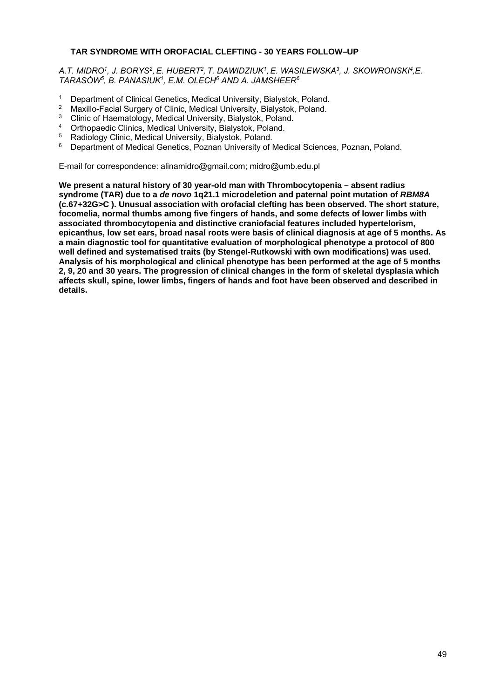#### **TAR SYNDROME WITH OROFACIAL CLEFTING - 30 YEARS FOLLOW–UP**

*A.T. MIDRO1, J. BORYS2, E. HUBERT2, T. DAWIDZIUK1, E. WASILEWSKA3, J. SKOWRONSKI4,E. TARASÓW5, B. PANASIUK1, E.M. OLECH6 AND A. JAMSHEER6* 

- 1 Department of Clinical Genetics, Medical University, Bialystok, Poland.<br>2 Maxillo Eacial Surgery of Clinic, Medical University, Bialystok, Poland.
- <sup>2</sup> Maxillo-Facial Surgery of Clinic, Medical University, Bialystok, Poland.
- <sup>3</sup> Clinic of Haematology, Medical University, Bialystok, Poland.
- <sup>4</sup> Orthopaedic Clinics, Medical University, Bialystok, Poland.<br><sup>5</sup> Bodiology Clinic Medical University Biolystok, Poland.
- <sup>5</sup> Radiology Clinic, Medical University, Bialystok, Poland.<br><sup>6</sup> Penertment of Medical Constice, Reznan University of
- 6 Department of Medical Genetics, Poznan University of Medical Sciences, Poznan, Poland.

E-mail for correspondence: alinamidro@gmail.com; midro@umb.edu.pl

**We present a natural history of 30 year-old man with Thrombocytopenia – absent radius syndrome (TAR) due to a** *de novo* **1q21.1 microdeletion and paternal point mutation of** *RBM8A*  **(c.67+32G>C ). Unusual association with orofacial clefting has been observed. The short stature, focomelia, normal thumbs among five fingers of hands, and some defects of lower limbs with associated thrombocytopenia and distinctive craniofacial features included hypertelorism, epicanthus, low set ears, broad nasal roots were basis of clinical diagnosis at age of 5 months. As a main diagnostic tool for quantitative evaluation of morphological phenotype a protocol of 800 well defined and systematised traits (by Stengel-Rutkowski with own modifications) was used. Analysis of his morphological and clinical phenotype has been performed at the age of 5 months 2, 9, 20 and 30 years. The progression of clinical changes in the form of skeletal dysplasia which affects skull, spine, lower limbs, fingers of hands and foot have been observed and described in details.**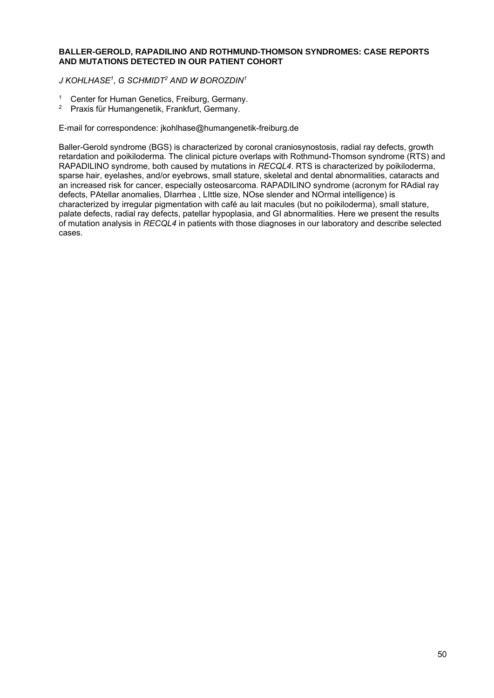#### **BALLER-GEROLD, RAPADILINO AND ROTHMUND-THOMSON SYNDROMES: CASE REPORTS AND MUTATIONS DETECTED IN OUR PATIENT COHORT**

*J KOHLHASE1, G SCHMIDT2 AND W BOROZDIN1*

- <sup>1</sup> Center for Human Genetics, Freiburg, Germany.<br><sup>2</sup> Praxis für Humangenetik, Frankfurt, Germany.
- 2 Praxis für Humangenetik, Frankfurt, Germany.

E-mail for correspondence: jkohlhase@humangenetik-freiburg.de

Baller-Gerold syndrome (BGS) is characterized by coronal craniosynostosis, radial ray defects, growth retardation and poikiloderma. The clinical picture overlaps with Rothmund-Thomson syndrome (RTS) and RAPADILINO syndrome, both caused by mutations in *RECQL4*. RTS is characterized by poikiloderma, sparse hair, eyelashes, and/or eyebrows, small stature, skeletal and dental abnormalities, cataracts and an increased risk for cancer, especially osteosarcoma. RAPADILINO syndrome (acronym for RAdial ray defects, PAtellar anomalies, DIarrhea , LIttle size, NOse slender and NOrmal intelligence) is characterized by irregular pigmentation with café au lait macules (but no poikiloderma), small stature, palate defects, radial ray defects, patellar hypoplasia, and GI abnormalities. Here we present the results of mutation analysis in *RECQL4* in patients with those diagnoses in our laboratory and describe selected cases.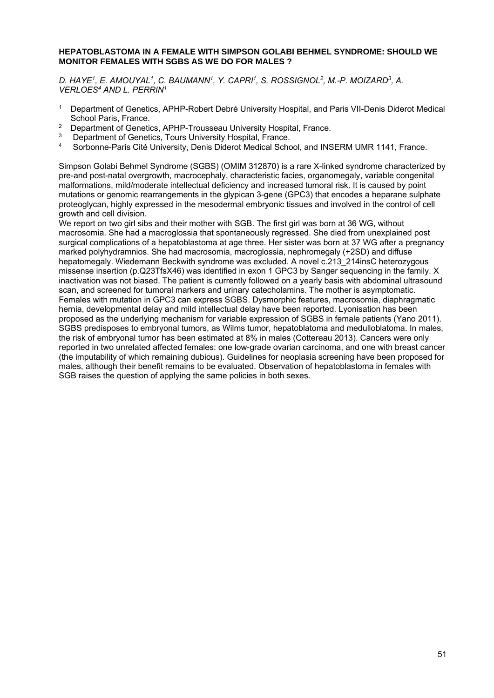#### **HEPATOBLASTOMA IN A FEMALE WITH SIMPSON GOLABI BEHMEL SYNDROME: SHOULD WE MONITOR FEMALES WITH SGBS AS WE DO FOR MALES ?**

*D. HAYE1, E. AMOUYAL1, C. BAUMANN1, Y. CAPRI1, S. ROSSIGNOL2, M.-P. MOIZARD3, A. VERLOES4 AND L. PERRIN1* 

- <sup>1</sup> Department of Genetics, APHP-Robert Debré University Hospital, and Paris VII-Denis Diderot Medical School Paris, France.
- <sup>2</sup> Department of Genetics, APHP-Trousseau University Hospital, France.
- <sup>3</sup> Department of Genetics, Tours University Hospital, France.<br><sup>4</sup> Serbanne Darie Cité University, Darie Didaret Madieel Sebe
- 4 Sorbonne-Paris Cité University, Denis Diderot Medical School, and INSERM UMR 1141, France.

Simpson Golabi Behmel Syndrome (SGBS) (OMIM 312870) is a rare X-linked syndrome characterized by pre-and post-natal overgrowth, macrocephaly, characteristic facies, organomegaly, variable congenital malformations, mild/moderate intellectual deficiency and increased tumoral risk. It is caused by point mutations or genomic rearrangements in the glypican 3-gene (GPC3) that encodes a heparane sulphate proteoglycan, highly expressed in the mesodermal embryonic tissues and involved in the control of cell growth and cell division.

We report on two girl sibs and their mother with SGB. The first girl was born at 36 WG, without macrosomia. She had a macroglossia that spontaneously regressed. She died from unexplained post surgical complications of a hepatoblastoma at age three. Her sister was born at 37 WG after a pregnancy marked polyhydramnios. She had macrosomia, macroglossia, nephromegaly (+2SD) and diffuse hepatomegaly. Wiedemann Beckwith syndrome was excluded. A novel c.213\_214insC heterozygous missense insertion (p.Q23TfsX46) was identified in exon 1 GPC3 by Sanger sequencing in the family. X inactivation was not biased. The patient is currently followed on a yearly basis with abdominal ultrasound scan, and screened for tumoral markers and urinary catecholamins. The mother is asymptomatic. Females with mutation in GPC3 can express SGBS. Dysmorphic features, macrosomia, diaphragmatic hernia, developmental delay and mild intellectual delay have been reported. Lyonisation has been proposed as the underlying mechanism for variable expression of SGBS in female patients (Yano 2011). SGBS predisposes to embryonal tumors, as Wilms tumor, hepatoblatoma and medulloblatoma. In males, the risk of embryonal tumor has been estimated at 8% in males (Cottereau 2013). Cancers were only reported in two unrelated affected females: one low-grade ovarian carcinoma, and one with breast cancer (the imputability of which remaining dubious). Guidelines for neoplasia screening have been proposed for males, although their benefit remains to be evaluated. Observation of hepatoblastoma in females with SGB raises the question of applying the same policies in both sexes.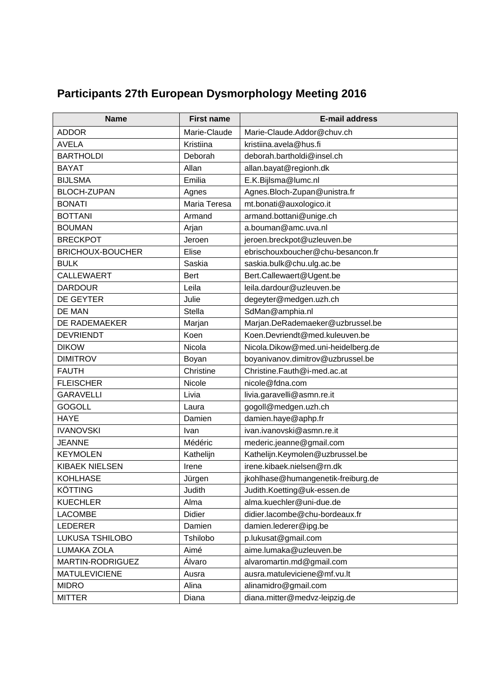| <b>Participants 27th European Dysmorphology Meeting 2016</b> |  |  |  |
|--------------------------------------------------------------|--|--|--|
|--------------------------------------------------------------|--|--|--|

| <b>Name</b>             | <b>First name</b> | <b>E-mail address</b>              |
|-------------------------|-------------------|------------------------------------|
| <b>ADDOR</b>            | Marie-Claude      | Marie-Claude.Addor@chuv.ch         |
| <b>AVELA</b>            | Kristiina         | kristiina.avela@hus.fi             |
| <b>BARTHOLDI</b>        | Deborah           | deborah.bartholdi@insel.ch         |
| <b>BAYAT</b>            | Allan             | allan.bayat@regionh.dk             |
| <b>BIJLSMA</b>          | Emilia            | E.K.Bijlsma@lumc.nl                |
| <b>BLOCH-ZUPAN</b>      | Agnes             | Agnes.Bloch-Zupan@unistra.fr       |
| <b>BONATI</b>           | Maria Teresa      | mt.bonati@auxologico.it            |
| <b>BOTTANI</b>          | Armand            | armand.bottani@unige.ch            |
| <b>BOUMAN</b>           | Arjan             | a.bouman@amc.uva.nl                |
| <b>BRECKPOT</b>         | Jeroen            | jeroen.breckpot@uzleuven.be        |
| <b>BRICHOUX-BOUCHER</b> | Elise             | ebrischouxboucher@chu-besancon.fr  |
| <b>BULK</b>             | Saskia            | saskia.bulk@chu.ulg.ac.be          |
| <b>CALLEWAERT</b>       | <b>Bert</b>       | Bert.Callewaert@Ugent.be           |
| <b>DARDOUR</b>          | Leila             | leila.dardour@uzleuven.be          |
| <b>DE GEYTER</b>        | Julie             | degeyter@medgen.uzh.ch             |
| DE MAN                  | Stella            | SdMan@amphia.nl                    |
| <b>DE RADEMAEKER</b>    | Marjan            | Marjan.DeRademaeker@uzbrussel.be   |
| <b>DEVRIENDT</b>        | Koen              | Koen.Devriendt@med.kuleuven.be     |
| <b>DIKOW</b>            | Nicola            | Nicola.Dikow@med.uni-heidelberg.de |
| <b>DIMITROV</b>         | Boyan             | boyanivanov.dimitrov@uzbrussel.be  |
| <b>FAUTH</b>            | Christine         | Christine.Fauth@i-med.ac.at        |
| <b>FLEISCHER</b>        | Nicole            | nicole@fdna.com                    |
| <b>GARAVELLI</b>        | Livia             | livia.garavelli@asmn.re.it         |
| <b>GOGOLL</b>           | Laura             | gogoll@medgen.uzh.ch               |
| <b>HAYE</b>             | Damien            | damien.haye@aphp.fr                |
| <b>IVANOVSKI</b>        | Ivan              | ivan.ivanovski@asmn.re.it          |
| <b>JEANNE</b>           | Médéric           | mederic.jeanne@gmail.com           |
| <b>KEYMOLEN</b>         | Kathelijn         | Kathelijn.Keymolen@uzbrussel.be    |
| <b>KIBAEK NIELSEN</b>   | Irene             | irene.kibaek.nielsen@rn.dk         |
| <b>KOHLHASE</b>         | Jürgen            | jkohlhase@humangenetik-freiburg.de |
| <b>KÖTTING</b>          | Judith            | Judith.Koetting@uk-essen.de        |
| <b>KUECHLER</b>         | Alma              | alma.kuechler@uni-due.de           |
| <b>LACOMBE</b>          | Didier            | didier.lacombe@chu-bordeaux.fr     |
| <b>LEDERER</b>          | Damien            | damien.lederer@ipg.be              |
| LUKUSA TSHILOBO         | Tshilobo          | p.lukusat@gmail.com                |
| LUMAKA ZOLA             | Aimé              | aime.lumaka@uzleuven.be            |
| MARTIN-RODRIGUEZ        | Álvaro            | alvaromartin.md@gmail.com          |
| <b>MATULEVICIENE</b>    | Ausra             | ausra.matuleviciene@mf.vu.lt       |
| <b>MIDRO</b>            | Alina             | alinamidro@gmail.com               |
| <b>MITTER</b>           | Diana             | diana.mitter@medvz-leipzig.de      |